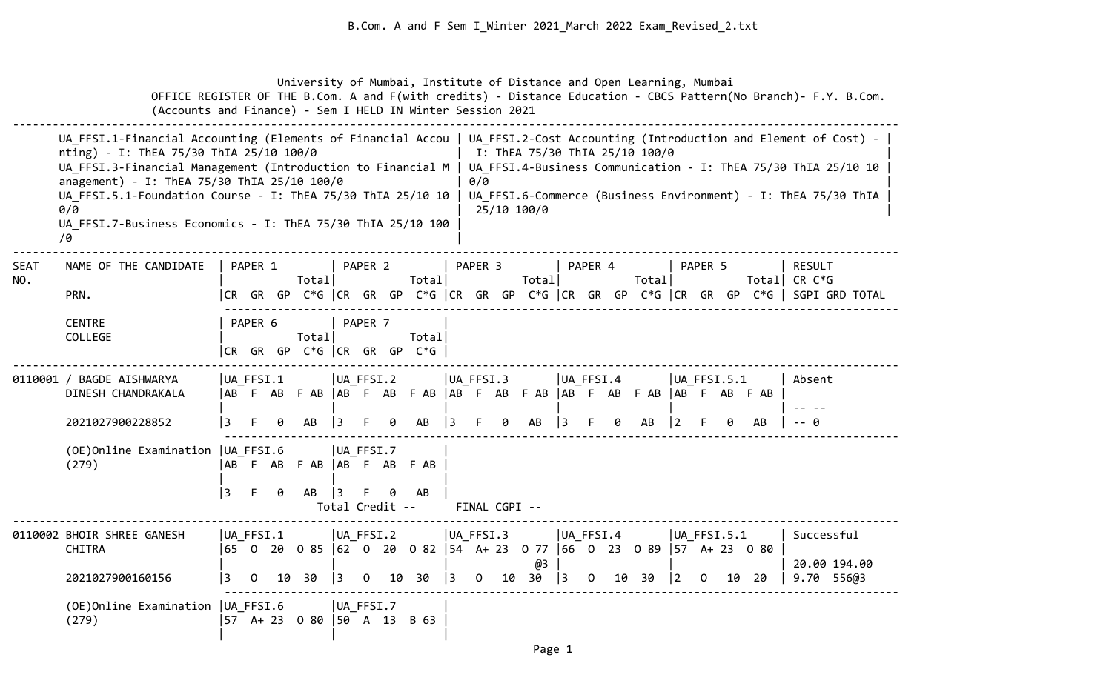University of Mumbai, Institute of Distance and Open Learning, Mumbai OFFICE REGISTER OF THE B.Com. A and F(with credits) - Distance Education - CBCS Pattern(No Branch)- F.Y. B.Com. (Accounts and Finance) - Sem I HELD IN Winter Session 2021 -------------------------------------------------------------------------------------------------------------------------------------- UA FFSI.1-Financial Accounting (Elements of Financial Accou | UA\_FFSI.2-Cost Accounting (Introduction and Element of Cost) nting) - I: ThEA 75/30 ThIA 25/10 100/0 | I: ThEA 75/30 ThIA 25/10 100/0 UA FFSI.3-Financial Management (Introduction to Financial M | UA FFSI.4-Business Communication - I: ThEA 75/30 ThIA 25/10 10 anagement) - I: ThEA 75/30 ThIA 25/10 100/0  $| 0/0$ UA FFSI.5.1-Foundation Course - I: ThEA 75/30 ThIA 25/10 10 | UA FFSI.6-Commerce (Business Environment) - I: ThEA 75/30 ThIA  $0/0$  | 25/10 100/0 | 25/10 100 | 25/10 100 | 25/10 100 | 25/10 | 25/10 | 25/10 | 25/10 | 25/10 | 25/10 | 25/10 | 25/10 | 25/10 | 25/10 | 25/10 | 25/10 | 25/10 | 25/10 | 25/10 | 25/10 | 25/10 | 25/10 | 25/10 | 25/10 | 25/ UA FFSI.7-Business Economics - I: ThEA 75/30 ThIA 25/10 100  $/9$ -------------------------------------------------------------------------------------------------------------------------------------- SEAT NAME OF THE CANDIDATE | PAPER 1 | PAPER 2 | PAPER 3 | PAPER 4 | PAPER 5 | RESULT NO. | Total| Total| Total| Total| Total| CR C\*G PRN.  $|CR \t{GR} \t{GP} C*G \t{CR} \t{GP} C*G \t{CR} \t{GP} C*G \t{CR} \t{GP} C*G \t{CR} \t{GP} C*G \t{CR} \t{GP} C*G \t{CR} \t{GP} C*G \t{CR} \t{GP} C*G \t{CR} \t{GP} C*G \t{CR} \t{GP} C*G \t{CR} \t{GP} C*G \t{CR} \t{GP} C*G \t{CR} \t{GP} C*G \t{GP} C*G \t{GP} C*G \t{GP} C*G \t{GP} C*G \t{GP} C*G \t{GP}$  ------------------------------------------------------------------------------------------------------ CENTRE | PAPER 6 | PAPER 7 COLLEGE | Total| Total| |CR GR GP C\*G |CR GR GP C\*G | -------------------------------------------------------------------------------------------------------------------------------------- 0110001 / BAGDE AISHWARYA | | UA FFSI.1 | UA FFSI.2 | UA FFSI.3 | UA FFSI.4 | UA FFSI.5.1 | Absent DINESH CHANDRAKALA |AB F AB F AB |AB F AB F AB |AB F AB F AB |AB F AB F AB |AB F AB F AB | | | | | | | -- -- 2021027900228852 |3 F 0 AB |3 F 0 AB |3 F 0 AB |3 F 0 AB |2 F 0 AB | -- 0 ------------------------------------------------------------------------------------------------------ (OE)Online Examination |UA\_FFSI.6 |UA\_FFSI.7 | (279) |AB F AB F AB |AB F AB F AB | | | |3 F 0 AB |3 F 0 AB | Total Credit -- FINAL CGPI -- -------------------------------------------------------------------------------------------------------------------------------------- 0110002 BHOIR SHREE GANESH |UA FFSI.1 |UA FFSI.2 |UA FFSI.3 |UA FFSI.4 |UA FFSI.5.1 | Successful CHITRA |65 O 20 O 85 |62 O 20 O 82 |54 A+ 23 O 77 |66 O 23 O 89 |57 A+ 23 O 80 | | | | @3 | | | 20.00 194.00 2021027900160156 |3 O 10 30 |3 O 10 30 |3 O 10 30 |3 O 10 30 |2 O 10 20 | 9.70 556@3 ------------------------------------------------------------------------------------------------------ (OE)Online Examination |UA\_FFSI.6 |UA\_FFSI.7 | (279) |57 A+ 23 O 80 |50 A 13 B 63 | | | |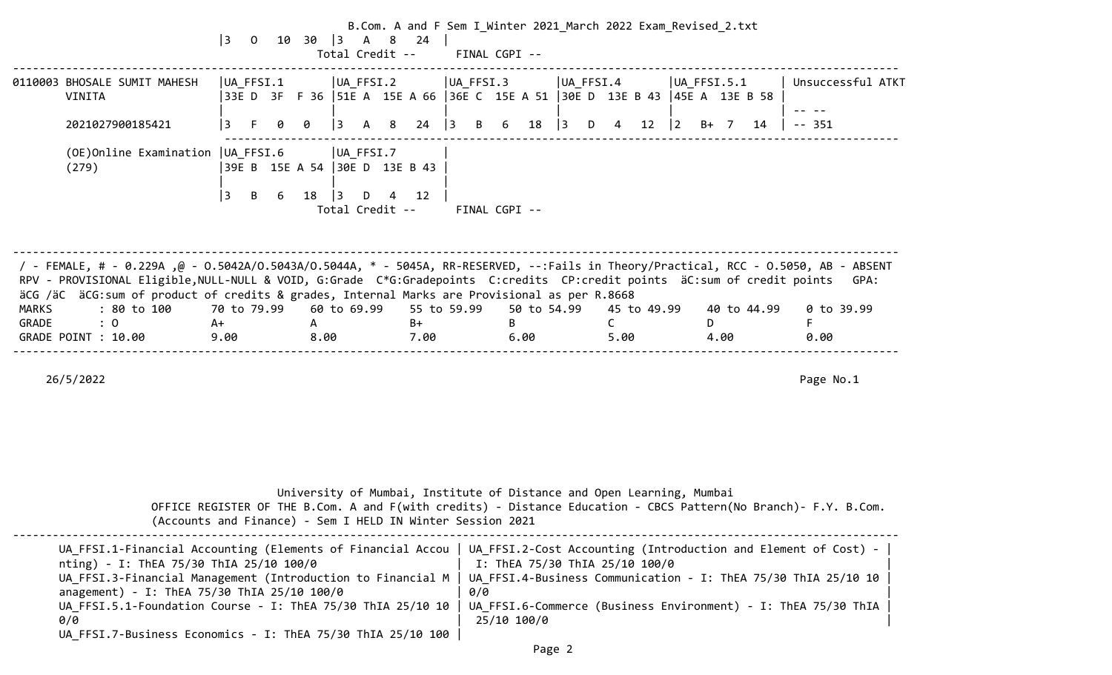|                       |                                                                                                                                                                                                                                                                                                                                                                  | $ 3\rangle$                              |   |           |           |                                                          | B.Com. A and F Sem I Winter 2021 March 2022 Exam Revised 2.txt<br>0 10 30 3 A 8 24<br>Total Credit -- FINAL CGPI -- |                                 |               |    |                     |           |            |             |                   |   |      |             |                            |                   |
|-----------------------|------------------------------------------------------------------------------------------------------------------------------------------------------------------------------------------------------------------------------------------------------------------------------------------------------------------------------------------------------------------|------------------------------------------|---|-----------|-----------|----------------------------------------------------------|---------------------------------------------------------------------------------------------------------------------|---------------------------------|---------------|----|---------------------|-----------|------------|-------------|-------------------|---|------|-------------|----------------------------|-------------------|
|                       | 0110003 BHOSALE SUMIT MAHESH<br>VINITA<br>2021027900185421                                                                                                                                                                                                                                                                                                       | UA_FFSI.1<br> 3<br>F.                    | ø | 0         |           | UA FFSI.2<br>$\begin{array}{cccc} 3 & A & 8 \end{array}$ | 33E D 3F F 36  51E A 15E A 66  36E C 15E A 51  30E D 13E B 43  45E A 13E B 58                                       | UA FFSI.3<br>$24 \mid 3 \mid B$ |               |    | 6 18 3 D 4 12       | UA FFSI.4 |            |             | UA FFSI.5.1<br> 2 |   | B+ 7 | 14          | $-- 351$                   | Unsuccessful ATKT |
|                       | (OE) Online Examination   UA FFSI.6<br>(279)                                                                                                                                                                                                                                                                                                                     | 39E B 15E A 54 30E D 13E B 43<br> 3<br>B | 6 | 18        | $\vert$ 3 | UA FFSI.7<br>D<br>Total Credit --                        | 12<br>4                                                                                                             |                                 | FINAL CGPI -- |    |                     |           |            |             |                   |   |      |             |                            |                   |
|                       | / - FEMALE, # - 0.229A ,@ - 0.5042A/0.5043A/0.5044A, * - 5045A, RR-RESERVED, --:Fails in Theory/Practical, RCC - 0.5050, AB - ABSENT<br>RPV - PROVISIONAL Eligible, NULL-NULL & VOID, G:Grade C*G:Gradepoints C:credits CP:credit points äC:sum of credit points<br>äCG /äC äCG:sum of product of credits & grades, Internal Marks are Provisional as per R.8668 |                                          |   |           |           |                                                          |                                                                                                                     |                                 |               |    |                     |           |            |             |                   |   |      |             |                            | GPA:              |
| <b>MARKS</b><br>GRADE | : 80 to 100 70 to 79.99<br>: 0<br>GRADE POINT : 10.00                                                                                                                                                                                                                                                                                                            | A+<br>9.00                               |   | A<br>8.00 |           |                                                          | 60 to 69.99 55 to 59.99<br>$B+$<br>7.00                                                                             |                                 |               | B. | 50 to 54.99<br>6.00 |           | C.<br>5.00 | 45 to 49.99 |                   | D | 4.00 | 40 to 44.99 | $0$ to 39.99<br>F.<br>0.00 |                   |
|                       | 26/5/2022                                                                                                                                                                                                                                                                                                                                                        |                                          |   |           |           |                                                          |                                                                                                                     |                                 |               |    |                     |           |            |             |                   |   |      |             | Page No.1                  |                   |
|                       |                                                                                                                                                                                                                                                                                                                                                                  |                                          |   |           |           |                                                          |                                                                                                                     |                                 |               |    |                     |           |            |             |                   |   |      |             |                            |                   |

| (Accounts and Finance) - Sem I HELD IN Winter Session 2021                                                                                                                                                                                                                                                                                                | University of Mumbai, Institute of Distance and Open Learning, Mumbai<br>OFFICE REGISTER OF THE B.Com. A and F(with credits) - Distance Education - CBCS Pattern(No Branch)- F.Y. B.Com.                                                                   |
|-----------------------------------------------------------------------------------------------------------------------------------------------------------------------------------------------------------------------------------------------------------------------------------------------------------------------------------------------------------|------------------------------------------------------------------------------------------------------------------------------------------------------------------------------------------------------------------------------------------------------------|
| UA_FFSI.1-Financial Accounting (Elements of Financial Accou<br>nting) - I: ThEA 75/30 ThIA 25/10 100/0<br>UA FFSI.3-Financial Management (Introduction to Financial M<br>anagement) - I: ThEA 75/30 ThIA 25/10 100/0<br>UA FFSI.5.1-Foundation Course - I: ThEA 75/30 ThIA 25/10 10<br>0/0<br>UA FFSI.7-Business Economics - I: ThEA 75/30 ThIA 25/10 100 | UA_FFSI.2-Cost Accounting (Introduction and Element of Cost) -<br>I: ThEA 75/30 ThIA 25/10 100/0<br>UA FFSI.4-Business Communication - I: ThEA 75/30 ThIA 25/10 10<br>0/0<br>UA FFSI.6-Commerce (Business Environment) - I: ThEA 75/30 ThIA<br>25/10 100/0 |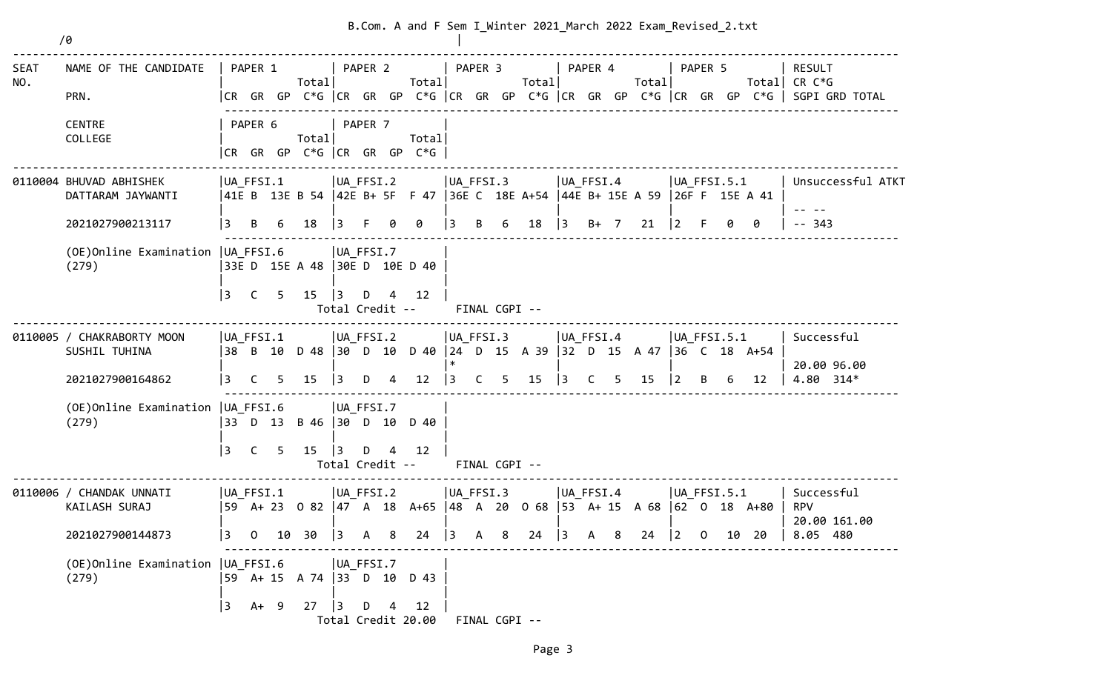|                    | /0                                                               |                      |                   |        |                                                  |                                                                |         |                | B.Com. A and F Sem I Winter 2021 March 2022 Exam Revised 2.txt                  |                                      |                    |             |       |                            |          |   |       |                                  |             |                                |                                                                                                                           |
|--------------------|------------------------------------------------------------------|----------------------|-------------------|--------|--------------------------------------------------|----------------------------------------------------------------|---------|----------------|---------------------------------------------------------------------------------|--------------------------------------|--------------------|-------------|-------|----------------------------|----------|---|-------|----------------------------------|-------------|--------------------------------|---------------------------------------------------------------------------------------------------------------------------|
| <b>SEAT</b><br>NO. | NAME OF THE CANDIDATE<br>PRN.                                    |                      | PAPER 1           |        | Total                                            |                                                                | PAPER 2 |                | Total                                                                           | PAPER 3                              |                    |             | Total | PAPER 4                    |          |   | Total |                                  | PAPER 5     |                                | <b>RESULT</b><br>Total CR $C*G$<br> CR GR GP C*G  CR GR GP C*G  CR GR GP C*G  CR GR GP C*G  CR GR GP C*G   SGPI GRD TOTAL |
|                    | <b>CENTRE</b><br>COLLEGE                                         |                      | PAPER 6           |        | Total<br> CR GR GP C*G  CR GR GP C*G             |                                                                | PAPER 7 |                | Total                                                                           |                                      |                    |             |       |                            |          |   |       |                                  |             |                                |                                                                                                                           |
|                    | 0110004 BHUVAD ABHISHEK<br>DATTARAM JAYWANTI                     | $ UA_FFSI.1 $        |                   |        |                                                  | $ UA_FFSI.2$                                                   |         |                | 41E B 13E B 54  42E B+ 5F F 47  36E C 18E A+54  44E B+ 15E A 59  26F F 15E A 41 | $ UA_FFSI.3 $                        |                    |             |       | UA_FFSI.4                  |          |   |       | $ UA_FFSI.5.1 $                  |             |                                | Unsuccessful ATKT                                                                                                         |
|                    | 2021027900213117<br>(OE) Online Examination   UA_FFSI.6<br>(279) | l 3<br>$ 3\rangle$   | B<br>$\mathsf{C}$ | 6<br>5 | 18<br>33E D 15E A 48 30E D 10E D 40<br>15        | $\overline{3}$<br>$ UA_FFSI.7$<br>$\vert$ 3<br>Total Credit -- | F.<br>D | $\overline{4}$ | 0<br>12                                                                         | 3                                    | B<br>FINAL CGPI -- | 6           | 18    | $\vert$ 3                  | $B+ 7$   |   | 21    | $\overline{2}$                   | -F          | 0                              | 343                                                                                                                       |
|                    | 0110005 / CHAKRABORTY MOON<br>SUSHIL TUHINA<br>2021027900164862  | UA FFSI.1<br>l 3     | C                 | 5      | 15                                               | $ UA_FFSI.2 $<br>$\vert$ 3                                     | D       | 4              | 38 B 10 D 48  30 D 10 D 40  24 D 15 A 39  32 D 15 A 47  36 C 18 A+54<br>12      | $ UA_FFSI.3 $<br>$\ast$<br>$\vert$ 3 | $\mathsf{C}$       | $5^{\circ}$ | 15    | $ UA_FFSI.4 $<br>$\vert$ 3 | <b>C</b> | 5 | 15    | $ UA$ FFSI.5.1<br>$\overline{2}$ | B           | 12                             | Successful<br>20.00 96.00<br>4.80 314*                                                                                    |
|                    | (OE) Online Examination   UA FFSI.6<br>(279)                     | 3                    | $\mathsf{C}$      | 5      | 33 D 13 B 46 30 D 10 D 40<br>15                  | UA FFSI.7<br> 3<br>Total Credit --                             | D       | 4              | 12                                                                              |                                      | FINAL CGPI --      |             |       |                            |          |   |       |                                  |             |                                |                                                                                                                           |
|                    | 0110006 / CHANDAK UNNATI<br>KAILASH SURAJ<br>2021027900144873    | $ UA_FFSI.1 $<br>13. | 0                 | 10     | UA FFSI.2<br>30                                  | $\vert$ 3                                                      | A       | 8              | 59 A+ 23 0 82 47 A 18 A+65 48 A 20 0 68 53 A+ 15 A 68<br>24                     | UA_FFSI.3<br>$\vert$ 3               | A                  | 8           | 24    | $ UA_FFSI.4 $<br>$\vert$ 3 | A        | 8 | 24    | UA FFSI.5.1<br>$ 2\rangle$       | $\mathbf 0$ | $ 62 \t0 \t18 \tA+80$<br>10 20 | Successful<br><b>RPV</b><br>20.00 161.00<br>8.05 480                                                                      |
|                    | (OE)Online Examination   UA_FFSI.6<br>(279)                      | $ 3\rangle$          |                   | $A+ 9$ | UA FFSI.7<br> 59 A+ 15 A 74   33 D 10 D 43<br>27 | $\vert$ 3                                                      | D 4     |                | 12<br>Total Credit 20.00                                                        |                                      | FINAL CGPI --      |             |       |                            |          |   |       |                                  |             |                                |                                                                                                                           |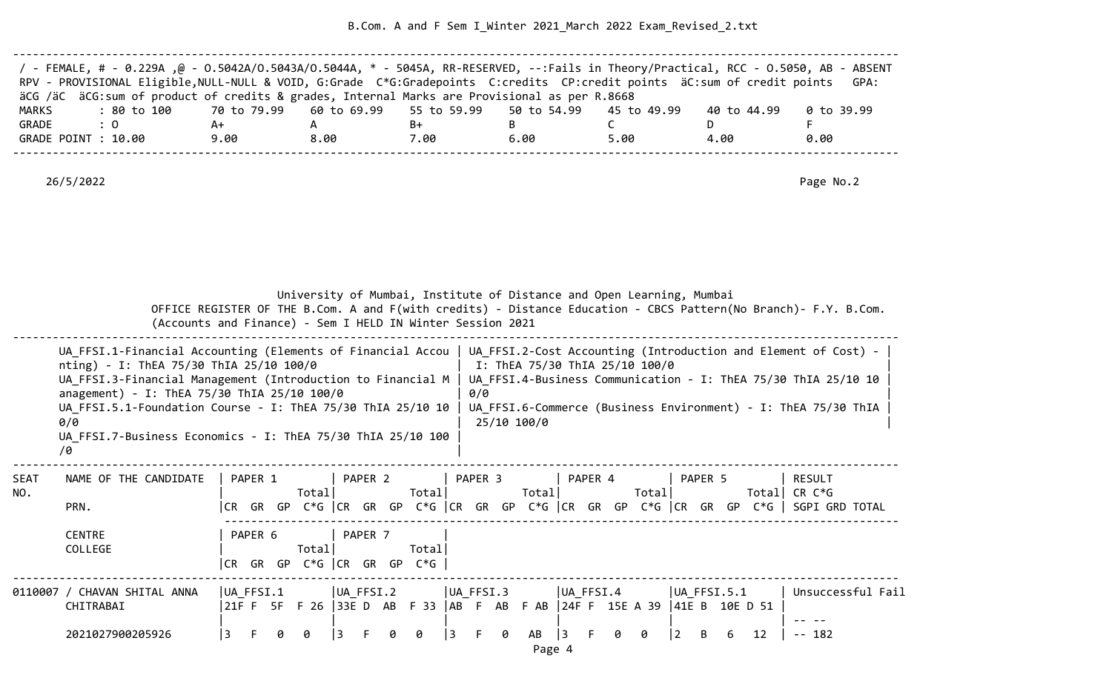B.Com. A and F Sem I\_Winter 2021\_March 2022 Exam\_Revised\_2.txt

| / - FEMALE, # - 0.229A ,@ - 0.5042A/0.5043A/0.5044A, * - 5045A, RR-RESERVED, --:Fails in Theory/Practical, RCC - 0.5050, AB - ABSENT |      |      |      |      |      |             |            |
|--------------------------------------------------------------------------------------------------------------------------------------|------|------|------|------|------|-------------|------------|
| RPV - PROVISIONAL Eligible, NULL-NULL & VOID, G:Grade C*G:Gradepoints C:credits CP:credit points äC:sum of credit points             |      |      |      |      |      |             | GPA:       |
| äCG /äC äCG:sum of product of credits & grades, Internal Marks are Provisional as per R.8668                                         |      |      |      |      |      |             |            |
| : 80 to 100    70 to 79.99   60 to 69.99   55 to 59.99   50 to 54.99   45 to 49.99<br>MARKS                                          |      |      |      |      |      | 40 to 44.99 | 0 to 39.99 |
| GRADE<br>$\therefore$ 0                                                                                                              | A+   |      | B+   |      |      |             |            |
| GRADE POINT : 10.00                                                                                                                  | 9.00 | 8.00 | 7.00 | 6.00 | 5.00 | 4.00        | 0.00       |
|                                                                                                                                      |      |      |      |      |      |             |            |

|                    |                                                                                                                                                                                                                                                                                                  |                                                                    | (Accounts and Finance) - Sem I HELD IN Winter Session 2021 | University of Mumbai, Institute of Distance and Open Learning, Mumbai                                                                                          | OFFICE REGISTER OF THE B.Com. A and F(with credits) - Distance Education - CBCS Pattern(No Branch)- F.Y. B.Com.                                                                                                                                                  |
|--------------------|--------------------------------------------------------------------------------------------------------------------------------------------------------------------------------------------------------------------------------------------------------------------------------------------------|--------------------------------------------------------------------|------------------------------------------------------------|----------------------------------------------------------------------------------------------------------------------------------------------------------------|------------------------------------------------------------------------------------------------------------------------------------------------------------------------------------------------------------------------------------------------------------------|
|                    | nting) - I: ThEA 75/30 ThIA 25/10 100/0<br>UA FFSI.3-Financial Management (Introduction to Financial M<br>anagement) - I: ThEA 75/30 ThIA 25/10 100/0<br>UA FFSI.5.1-Foundation Course - I: ThEA 75/30 ThIA 25/10 10<br>0/0<br>UA FFSI.7-Business Economics - I: ThEA 75/30 ThIA 25/10 100<br>10 |                                                                    |                                                            | I: ThEA 75/30 ThIA 25/10 100/0<br>0/0<br>25/10 100/0                                                                                                           | UA FFSI.1-Financial Accounting (Elements of Financial Accou   UA FFSI.2-Cost Accounting (Introduction and Element of Cost) -<br>UA FFSI.4-Business Communication - I: ThEA 75/30 ThIA 25/10 10<br>UA FFSI.6-Commerce (Business Environment) - I: ThEA 75/30 ThIA |
| <b>SEAT</b><br>NO. | NAME OF THE CANDIDATE<br>PRN.<br><b>CENTRE</b><br>COLLEGE                                                                                                                                                                                                                                        | PAPER 1<br>Totall<br>PAPER 6<br>Total<br>GR GP C*G CR GR GP<br>CR. | PAPER 2<br>Totall<br>PAPER <sub>7</sub><br>Totall<br>$C*G$ | PAPER 3<br>PAPER 4<br>Total                                                                                                                                    | PAPER 5<br>RESULT<br>Total<br>Total  CR C*G<br> CR GR GP C*G   CR GR GP C*G   CR GR GP C*G   CR GR GP C*G   CR GR GP C*G    SGPI GRD TOTAL                                                                                                                       |
|                    | 0110007 / CHAVAN SHITAL ANNA<br>CHITRABAI<br>2021027900205926                                                                                                                                                                                                                                    | UA FFSI.1<br>3<br>ø<br>Ø.                                          | UA FFSI.2<br>l 3<br>ø<br>l 3.<br>Ø.                        | $ UA$ FFSI.3<br>UA FFSI.4<br>21F F 5F F 26 33E D AB F 33 AB F AB F AB 24F F 15E A 39 41E B 10E D 51<br>F.<br>0<br>AB<br><sup>3</sup><br>F.<br>ø<br>ø<br>Page 4 | $ UA$ FFSI.5.1<br>Unsuccessful Fail<br>2<br>12<br>$-- 182$<br>6.                                                                                                                                                                                                 |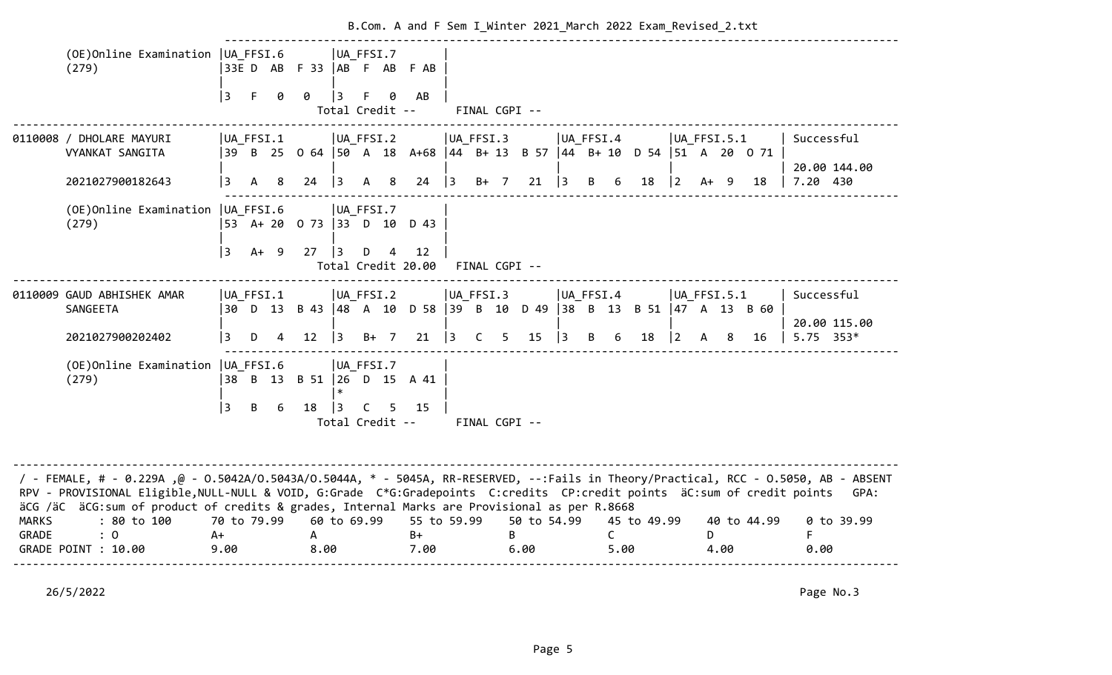|                       | (OE) Online Examination   UA FFSI.6<br>(279)                                                                                                                                                                                                                                                                                                                    |                             |              |   |                      |             | UA FFSI.7                                 | 33ED AB F33   AB F AB F AB                                             |             |              |               |                     |               |   |                      |             |                                            |   |      |             |                             |
|-----------------------|-----------------------------------------------------------------------------------------------------------------------------------------------------------------------------------------------------------------------------------------------------------------------------------------------------------------------------------------------------------------|-----------------------------|--------------|---|----------------------|-------------|-------------------------------------------|------------------------------------------------------------------------|-------------|--------------|---------------|---------------------|---------------|---|----------------------|-------------|--------------------------------------------|---|------|-------------|-----------------------------|
|                       |                                                                                                                                                                                                                                                                                                                                                                 | 3                           | $-F$         | 0 | 0                    | 3           | 0<br>F.<br>Total Credit --                | AB                                                                     |             |              | FINAL CGPI -- |                     |               |   |                      |             |                                            |   |      |             |                             |
|                       | 0110008 / DHOLARE MAYURI<br>VYANKAT SANGITA                                                                                                                                                                                                                                                                                                                     | $ UA_FFSI.1 $               |              |   |                      |             | $ UA_FFSI.2 $                             | 39 B 25 0 64  50 A 18 A+68  44 B+ 13 B 57  44 B+ 10 D 54  51 A 20 0 71 |             | UA FFSI.3    |               |                     | $ UA_FFSI.4 $ |   |                      |             | $ UA_FFSI.5.1 $                            |   |      |             | Successful                  |
|                       | 2021027900182643                                                                                                                                                                                                                                                                                                                                                | 3                           | $\mathsf{A}$ | 8 | 24                   |             | $\begin{vmatrix} 3 & A & B \end{vmatrix}$ |                                                                        |             |              |               | 24 3 B+ 7 21 3 B 6  |               |   |                      | 18          | $\begin{vmatrix} 2 & A+ & 9 \end{vmatrix}$ |   |      | 18          | 20.00 144.00<br> 7.20 430   |
|                       | (OE) Online Examination   UA FFSI.6<br>(279)                                                                                                                                                                                                                                                                                                                    |                             |              |   |                      |             | UA FFSI.7                                 | 53 A+ 20 0 73  33 D 10 D 43                                            |             |              |               |                     |               |   |                      |             |                                            |   |      |             |                             |
|                       |                                                                                                                                                                                                                                                                                                                                                                 | 3                           | $A+ 9$       |   | 27                   | $ 3\rangle$ | $D \quad 4$                               | 12<br>Total Credit 20.00 FINAL CGPI --                                 |             |              |               |                     |               |   |                      |             |                                            |   |      |             |                             |
|                       | 0110009 GAUD ABHISHEK AMAR<br>SANGEETA                                                                                                                                                                                                                                                                                                                          | $ UA$ FFSI.1                |              |   |                      |             | $ UA_FFSI.2 $                             | 30 D 13 B 43  48 A 10 D 58  39 B 10 D 49  38 B 13 B 51  47 A 13 B 60   |             | UA_FFSI.3    |               |                     | UA FFSI.4     |   |                      |             | $ UA$ FFSI.5.1                             |   |      |             | Successful                  |
|                       | 2021027900202402                                                                                                                                                                                                                                                                                                                                                | l 3                         | D            | 4 | 12                   | $ 3\rangle$ | $B+ 7$                                    | 21                                                                     | $ 3\rangle$ | $\mathsf{C}$ | $5 -$         | 15                  | $ 3\rangle$   | B | 6                    | 18          | $ 2\rangle$                                | A | 8    | 16          | 20.00 115.00<br>$5.75$ 353* |
|                       | (OE)Online Examination   UA_FFSI.6<br>(279)                                                                                                                                                                                                                                                                                                                     |                             |              |   |                      |             | $ UA_FFSI.7 $                             | 38 B 13 B 51   26 D 15 A 41                                            |             |              |               |                     |               |   |                      |             |                                            |   |      |             |                             |
|                       |                                                                                                                                                                                                                                                                                                                                                                 | l 3                         | B            | 6 | 18                   | 3           | C<br>5                                    | 15<br>Total Credit --                                                  |             |              | FINAL CGPI -- |                     |               |   |                      |             |                                            |   |      |             |                             |
|                       | / FEMALE, # - 0.229A ,@ - 0.5042A/0.5043A/0.5044A, * - 5045A, RR-RESERVED, --:Fails in Theory/Practical, RCC - 0.5050, AB - ABSENT<br>RPV - PROVISIONAL Eligible, NULL-NULL & VOID, G:Grade C*G:Gradepoints C:credits CP:credit points äC:sum of credit points<br>äCG /äC äCG: sum of product of credits & grades, Internal Marks are Provisional as per R.8668 |                             |              |   |                      |             |                                           |                                                                        |             |              |               |                     |               |   |                      |             |                                            |   |      |             | GPA:                        |
| <b>MARKS</b><br>GRADE | : 80 to 100<br>$\colon 0$<br>GRADE POINT : 10.00                                                                                                                                                                                                                                                                                                                | 70 to 79.99<br>$A+$<br>9.00 |              |   | $\mathsf{A}$<br>8.00 |             | 60 to 69.99                               | 55 to 59.99<br>$B+$<br>7.00                                            |             |              | B             | 50 to 54.99<br>6.00 |               |   | $\mathsf{C}$<br>5.00 | 45 to 49.99 |                                            | D | 4.00 | 40 to 44.99 | 0 to 39.99<br>F<br>0.00     |
|                       |                                                                                                                                                                                                                                                                                                                                                                 |                             |              |   |                      |             |                                           |                                                                        |             |              |               |                     |               |   |                      |             |                                            |   |      |             |                             |

B.Com. A and F Sem I Winter 2021 March 2022 Exam Revised 2.txt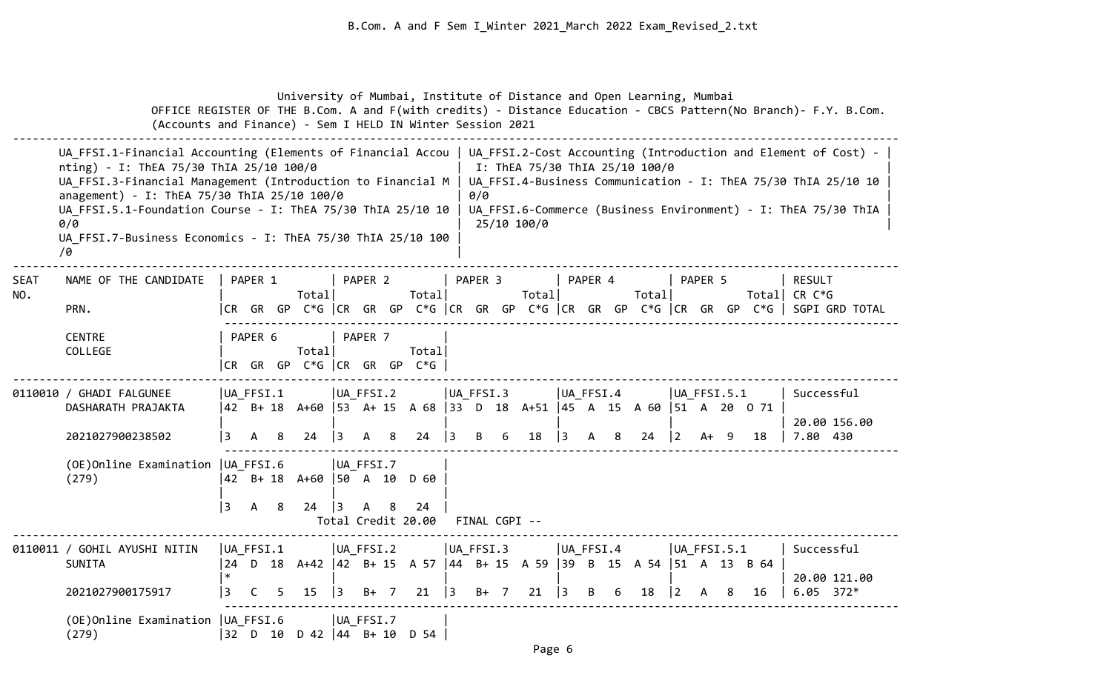University of Mumbai, Institute of Distance and Open Learning, Mumbai OFFICE REGISTER OF THE B.Com. A and F(with credits) - Distance Education - CBCS Pattern(No Branch)- F.Y. B.Com. (Accounts and Finance) - Sem I HELD IN Winter Session 2021 -------------------------------------------------------------------------------------------------------------------------------------- UA FFSI.1-Financial Accounting (Elements of Financial Accou | UA FFSI.2-Cost Accounting (Introduction and Element of Cost) nting) - I: ThEA 75/30 ThIA 25/10 100/0 | I: ThEA 75/30 ThIA 25/10 100/0 UA FFSI.3-Financial Management (Introduction to Financial M | UA FFSI.4-Business Communication - I: ThEA 75/30 ThIA 25/10 10 anagement) - I: ThEA 75/30 ThIA 25/10 100/0  $(0/0$ UA FFSI.5.1-Foundation Course - I: ThEA 75/30 ThIA 25/10 10 | UA FFSI.6-Commerce (Business Environment) - I: ThEA 75/30 ThIA |  $0/0$  | 25/10 100/0 | 25/10 100 | 25/10 100 | 25/10 100 | 25/10 | 25/10 | 25/10 | 25/10 | 25/10 | 25/10 | 25/10 | 25/10 | 25/10 | 25/10 | 25/10 | 25/10 | 25/10 | 25/10 | 25/10 | 25/10 | 25/10 | 25/10 | 25/10 | 25/10 | 25/ UA FFSI.7-Business Economics - I: ThEA 75/30 ThIA 25/10 100  $/9$ -------------------------------------------------------------------------------------------------------------------------------------- SEAT NAME OF THE CANDIDATE | PAPER 1 | PAPER 2 | PAPER 3 | PAPER 4 | PAPER 5 | RESULT NO. | Total| Total| Total| Total| Total| CR C\*G PRN. |CR GR GP C\*G |CR GR GP C\*G |CR GR GP C\*G |CR GR GP C\*G |CR GR GP C\*G | SGPI GRD TOTAL ------------------------------------------------------------------------------------------------------ CENTRE | PAPER 6 | PAPER 7 | | COLLEGE | Total| Total| |CR GR GP C\*G |CR GR GP C\*G | -------------------------------------------------------------------------------------------------------------------------------------- 0110010 / GHADI FALGUNEE | |UA FFSI.1 | |UA FFSI.2 | |UA FFSI.3 | |UA FFSI.4 | UA FFSI.5.1 | Successful DASHARATH PRAJAKTA |42 B+ 18 A+60 |53 A+ 15 A 68 |33 D 18 A+51 |45 A 15 A 60 |51 A 20 O 71 | | | | | | | 20.00 156.00 2021027900238502 |3 A 8 24 |3 A 8 24 |3 B 6 18 |3 A 8 24 |2 A+ 9 18 | 7.80 430 ------------------------------------------------------------------------------------------------------ (OE)Online Examination |UA\_FFSI.6 |UA\_FFSI.7 | (279) |42 B+ 18 A+60 |50 A 10 D 60 | | | | |3 A 8 24 |3 A 8 24 | Total Credit 20.00 FINAL CGPI -- -------------------------------------------------------------------------------------------------------------------------------------- 0110011 / GOHIL AYUSHI NITIN |UA\_FFSI.1 |UA\_FFSI.2 |UA\_FFSI.3 |UA\_FFSI.4 |UA\_FFSI.5.1 | Successful SUNITA |24 D 18 A+42 |42 B+ 15 A 57 |44 B+ 15 A 59 |39 B 15 A 54 |51 A 13 B 64 | |\* | | | | | 20.00 121.00 2021027900175917 |3 C 5 15 |3 B+ 7 21 |3 B+ 7 21 |3 B 6 18 |2 A 8 16 | 6.05 372\* ------------------------------------------------------------------------------------------------------ (OE)Online Examination |UA\_FFSI.6 |UA\_FFSI.7 | (279) |32 D 10 D 42 |44 B+ 10 D 54 |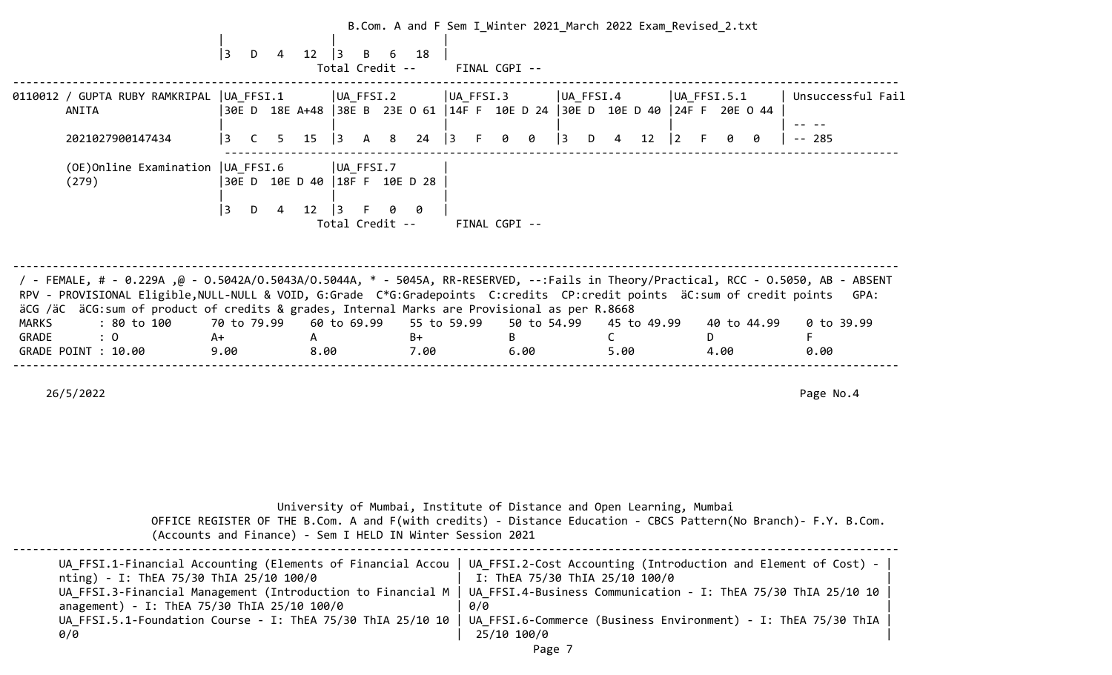|              |                                                                                                                                                                                                                                                                                                                                                                     | $ 3\rangle$<br>12<br>D<br>4                                                        | $\vert$ 3<br>B<br>6<br>Total Credit --               | 18           | FINAL CGPI -- |               | B.Com. A and F Sem I_Winter 2021_March 2022 Exam_Revised_2.txt        |             |                |                   |
|--------------|---------------------------------------------------------------------------------------------------------------------------------------------------------------------------------------------------------------------------------------------------------------------------------------------------------------------------------------------------------------------|------------------------------------------------------------------------------------|------------------------------------------------------|--------------|---------------|---------------|-----------------------------------------------------------------------|-------------|----------------|-------------------|
|              | 0110012 / GUPTA RUBY RAMKRIPAL  UA FFSI.1<br>ANITA                                                                                                                                                                                                                                                                                                                  | 30E D 18E A+48   38E B 23E 0 61   14F F 10E D 24   30E D 10E D 40   24F F 20E O 44 | $ UA_FFSI.2 $                                        |              | UA FFSI.3     |               | UA FFSI.4                                                             |             | $ UA$ FFSI.5.1 | Unsuccessful Fail |
|              | 2021027900147434                                                                                                                                                                                                                                                                                                                                                    | 3<br>15<br>5 <sub>1</sub><br>$\mathsf{C}$                                          | $ 3\rangle$<br>A 8                                   | 24           | $ 3\rangle$   | $\Theta$<br>0 | 3<br>$4 \quad$<br>D                                                   | $12 \mid 2$ | 0<br>0         | $-- 285$          |
|              | (OE) Online Examination   UA_FFSI.6<br>(279)                                                                                                                                                                                                                                                                                                                        | 30E D 10E D 40   18F F 10E D 28<br>  3<br>D<br>4                                   | $ UA_FFSI.7$<br>$12 \mid 3$<br>F.<br>Total Credit -- | 0            | FINAL CGPI -- |               |                                                                       |             |                |                   |
|              | / FEMALE, # - 0.229A ,@ - 0.5042A/0.5043A/0.5044A, * - 5045A, RR-RESERVED, --:Fails in Theory/Practical, RCC - 0.5050, AB - ABSENT<br>RPV - PROVISIONAL Eligible, NULL-NULL & VOID, G:Grade C*G:Gradepoints C:credits CP:credit points äC:sum of credit points GPA:<br>äCG /äC äCG:sum of product of credits & grades, Internal Marks are Provisional as per R.8668 |                                                                                    |                                                      |              |               |               |                                                                       |             |                |                   |
| <b>MARKS</b> | : 80 to 100                                                                                                                                                                                                                                                                                                                                                         | 70 to 79.99                                                                        | 60 to 69.99                                          | 55 to 59.99  |               | 50 to 54.99   | 45 to 49.99                                                           |             | 40 to 44.99    | 0 to 39.99        |
| GRADE        | $\colon 0$<br>GRADE POINT : 10.00                                                                                                                                                                                                                                                                                                                                   | A+<br>9.00                                                                         | $\mathsf{A}$<br>8.00                                 | $B+$<br>7.00 |               | B<br>6.00     | $\mathsf{C}$<br>5.00                                                  |             | D<br>4.00      | F<br>0.00         |
|              | 26/5/2022                                                                                                                                                                                                                                                                                                                                                           |                                                                                    |                                                      |              |               |               |                                                                       |             |                | Page No.4         |
|              |                                                                                                                                                                                                                                                                                                                                                                     |                                                                                    |                                                      |              |               |               | University of Mumbai, Institute of Distance and Open Learning, Mumbai |             |                |                   |

 OFFICE REGISTER OF THE B.Com. A and F(with credits) - Distance Education - CBCS Pattern(No Branch)- F.Y. B.Com. (Accounts and Finance) - Sem I HELD IN Winter Session 2021

-------------------------------------------------------------------------------------------------------------------------------------- UA FFSI.1-Financial Accounting (Elements of Financial Accou | UA FFSI.2-Cost Accounting (Introduction and Element of Cost) nting) - I: ThEA 75/30 ThIA 25/10 100/0 | I: ThEA 75/30 ThIA 25/10 100/0 UA\_FFSI.3-Financial Management (Introduction to Financial M | UA\_FFSI.4-Business Communication - I: ThEA 75/30 ThIA 25/10 10 anagement) - I: ThEA 75/30 ThIA 25/10 100/0 | 0/0 UA\_FFSI.5.1-Foundation Course - I: ThEA 75/30 ThIA 25/10 10 | UA\_FFSI.6-Commerce (Business Environment) - I: ThEA 75/30 ThIA |  $0/0$  | 25/10 100/0 | 25/10 100 | 25/10 100 | 25/10 100 | 25/10 | 25/10 | 25/10 | 25/10 | 25/10 | 25/10 | 25/10 | 25/10 | 25/10 | 25/10 | 25/10 | 25/10 | 25/10 | 25/10 | 25/10 | 25/10 | 25/10 | 25/10 | 25/10 | 25/10 | 25/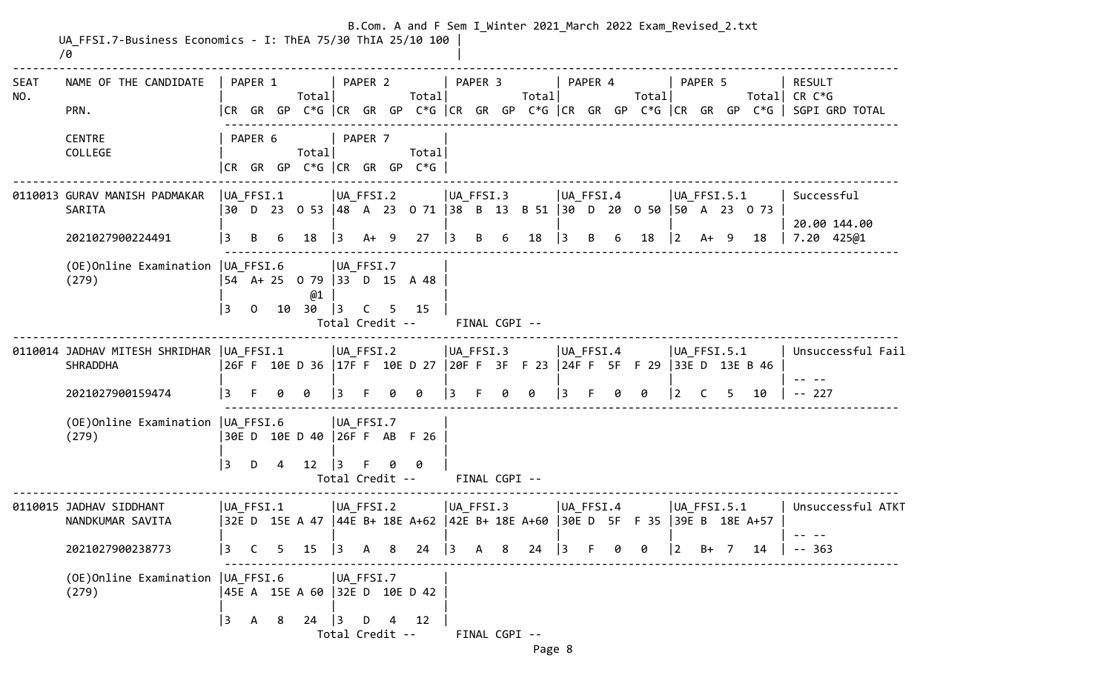|                    | UA FFSI.7-Business Economics - I: ThEA 75/30 ThIA 25/10 100<br>10 |                    |              |    |                                         |                |                                                        |   |        |                                                        |         |                    |       |           |                |   | B.Com. A and F Sem I Winter 2021 March 2022 Exam Revised 2.txt                       |                      |              |    |    |                                                                                                                          |
|--------------------|-------------------------------------------------------------------|--------------------|--------------|----|-----------------------------------------|----------------|--------------------------------------------------------|---|--------|--------------------------------------------------------|---------|--------------------|-------|-----------|----------------|---|--------------------------------------------------------------------------------------|----------------------|--------------|----|----|--------------------------------------------------------------------------------------------------------------------------|
| <b>SEAT</b><br>NO. | NAME OF THE CANDIDATE<br>PRN.                                     |                    | PAPER 1      |    | Total                                   |                | PAPER 2                                                |   | Total  |                                                        | PAPER 3 |                    | Total |           | PAPER 4        |   | Total                                                                                |                      | PAPER 5      |    |    | <b>RESULT</b><br>Total  CR C*G<br> CR GR GP C*G  CR GR GP C*G  CR GR GP C*G  CR GR GP C*G  CR GR GP C*G   SGPI GRD TOTAL |
|                    | <b>CENTRE</b><br>COLLEGE                                          |                    | PAPER 6      |    | Total<br> CR GR GP C*G  CR GR GP C*G    |                | PAPER 7                                                |   | Total  |                                                        |         |                    |       |           |                |   |                                                                                      |                      |              |    |    |                                                                                                                          |
|                    | 0110013 GURAV MANISH PADMAKAR<br>SARITA<br>2021027900224491       | $ UA_FFSI.1 $<br>3 | B            |    | 18                                      | $ 3\rangle$    | $ UA_FFSI.2 $<br>$A+ 9$                                |   | 27     | $ UA_FFSI.3 $<br>$\vert$ 3                             | B       | 6                  | 18    | $\vert$ 3 | UA FFSI.4<br>B | 6 | 30 D 23 O 53  48 A 23 O 71  38 B 13 B 51  30 D 20 O 50  50 A 23 O 73<br>18           | $ UA$ FFSI.5.1<br> 2 | $A+ 9$       |    | 18 | Successful<br>20.00 144.00<br>7.20 425@1                                                                                 |
|                    | (OE) Online Examination   UA FFSI.6<br>(279)                      | 3                  | $\Omega$     | 10 | 54 A + 25 0 79 33 D 15 A 48<br>@1<br>30 | $\vert$ 3      | $ UA_FFSI.7$<br>C<br>Total Credit --                   | 5 | 15     |                                                        |         | FINAL CGPI --      |       |           |                |   |                                                                                      |                      |              |    |    |                                                                                                                          |
|                    | 0110014 JADHAV MITESH SHRIDHAR UA FFSI.1<br><b>SHRADDHA</b>       |                    |              |    | $ UA_FFSI.2 $                           |                |                                                        |   |        | $ UA_FFSI.3 $                                          |         |                    |       |           | $ UA_FFSI.4 $  |   | 26FF 10ED 36  17FF 10ED 27  20FF 3FF23  24FF 5FF29  33ED 13EB46                      | $ UA$ FFSI.5.1       |              |    |    | Unsuccessful Fail                                                                                                        |
|                    | 2021027900159474<br>(OE) Online Examination   UA FFSI.6<br>(279)  | l 3<br>3           | F.<br>D      | 4  | ø<br>30E D 10E D 40 26F F AB F 26<br>12 | 3<br>$\vert$ 3 | UA FFSI.7<br>Total Credit --                           | 0 | 0<br>0 | 13.                                                    |         | 0<br>FINAL CGPI -- | 0     | 13        |                | 0 | ø                                                                                    | 2                    | <sup>C</sup> | 5. | 10 | $-- 227$                                                                                                                 |
|                    | 0110015 JADHAV SIDDHANT<br>NANDKUMAR SAVITA<br>2021027900238773   | UA FFSI.1<br>3     |              |    | $C$ 5 15                                |                | UA FFSI.2<br>$\begin{vmatrix} 3 & A & B \end{vmatrix}$ |   | 24     | UA FFSI.3<br>$\begin{vmatrix} 3 & A & B \end{vmatrix}$ |         |                    | 24    | $\vert$ 3 | UA FFSI.4      | 0 | 32E D 15E A 47  44E B+ 18E A+62  42E B+ 18E A+60  30E D 5F F 35  39E B 18E A+57<br>0 | UA FFSI.5.1<br> 2    | B+           | 7  | 14 | Unsuccessful ATKT<br>$- - 363$                                                                                           |
|                    | (OE) Online Examination   UA FFSI.6<br>(279)                      | $\vert$ 3          | $\mathsf{A}$ | -8 | 45E A 15E A 60 32E D 10E D 42<br>24     | $\vert$ 3      | $ UA_FFSI.7 $<br>D<br>Total Credit --                  | 4 | 12     |                                                        |         | FINAL CGPI --      |       |           |                |   |                                                                                      |                      |              |    |    |                                                                                                                          |

Page 8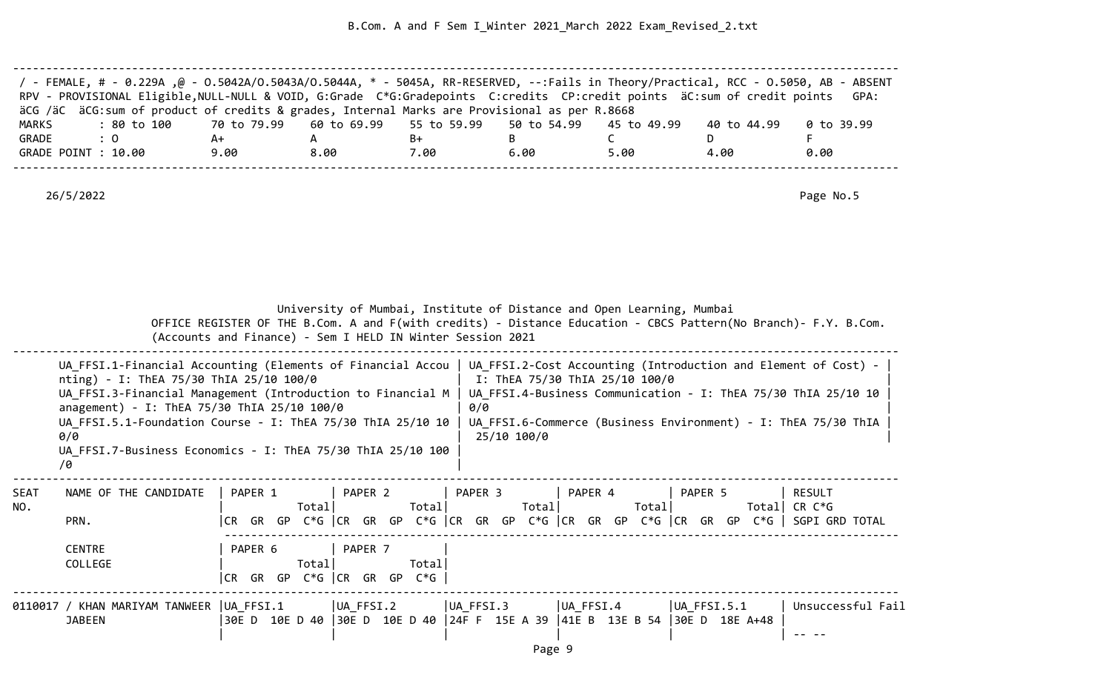| / - FEMALE, # - 0.229A ,@ - 0.5042A/0.5043A/0.5044A, * - 5045A, RR-RESERVED, --:Fails in Theory/Practical, RCC - 0.5050, AB - ABSENT<br>RPV - PROVISIONAL Eligible, NULL-NULL & VOID, G:Grade C*G:Gradepoints C:credits CP:credit points äC:sum of credit points GPA: |      |      |      |      |      |             |            |
|-----------------------------------------------------------------------------------------------------------------------------------------------------------------------------------------------------------------------------------------------------------------------|------|------|------|------|------|-------------|------------|
| äCG /äC äCG:sum of product of credits & grades, Internal Marks are Provisional as per R.8668                                                                                                                                                                          |      |      |      |      |      |             |            |
| : 80 to 100    70 to 79.99   60 to 69.99   55 to 59.99   50 to 54.99   45 to 49.99<br>MARKS                                                                                                                                                                           |      |      |      |      |      | 40 to 44.99 | 0 to 39.99 |
| GRADE<br>$\therefore$ 0                                                                                                                                                                                                                                               | A+   |      | B+   |      |      |             |            |
| GRADE POINT : 10.00                                                                                                                                                                                                                                                   | 9.00 | 8.00 | 7.00 | 6.00 | 5.00 | 4.00        | 0.00       |
|                                                                                                                                                                                                                                                                       |      |      |      |      |      |             |            |

|             |                                                                                                                                                                                                                                                                                                                                                                                                                                    |                              | University of Mumbai, Institute of Distance and Open Learning, Mumbai<br>OFFICE REGISTER OF THE B.Com. A and F(with credits) - Distance Education - CBCS Pattern(No Branch)- F.Y. B.Com.<br>(Accounts and Finance) - Sem I HELD IN Winter Session 2021 |                    |                                |                                                                                                                                  |                          |
|-------------|------------------------------------------------------------------------------------------------------------------------------------------------------------------------------------------------------------------------------------------------------------------------------------------------------------------------------------------------------------------------------------------------------------------------------------|------------------------------|--------------------------------------------------------------------------------------------------------------------------------------------------------------------------------------------------------------------------------------------------------|--------------------|--------------------------------|----------------------------------------------------------------------------------------------------------------------------------|--------------------------|
|             | UA FFSI.1-Financial Accounting (Elements of Financial Accou   UA FFSI.2-Cost Accounting (Introduction and Element of Cost) -<br>nting) - I: ThEA 75/30 ThIA 25/10 100/0<br>UA FFSI.3-Financial Management (Introduction to Financial M  <br>anagement) - I: ThEA 75/30 ThIA 25/10 100/0<br>UA FFSI.5.1-Foundation Course - I: ThEA 75/30 ThIA 25/10 10<br>0/0<br>UA FFSI.7-Business Economics - I: ThEA 75/30 ThIA 25/10 100<br>70 |                              |                                                                                                                                                                                                                                                        | 0/0<br>25/10 100/0 | I: ThEA 75/30 ThIA 25/10 100/0 | UA FFSI.4-Business Communication - I: ThEA 75/30 ThIA 25/10 10<br>UA FFSI.6-Commerce (Business Environment) - I: ThEA 75/30 ThIA |                          |
| SEAT<br>NO. | NAME OF THE CANDIDATE<br>PRN.<br><b>CENTRE</b>                                                                                                                                                                                                                                                                                                                                                                                     | PAPER 1<br>Total <br>PAPER 6 | PAPER 2<br>Totall<br> CR GR GP C*G  CR GR GP C*G  CR GR GP C*G  CR GR GP C*G  CR GR GP C*G   SGPI GRD TOTAL<br>PAPER 7                                                                                                                                 | PAPER 3<br>Totall  | PAPER 4<br>Total               | PAPER 5                                                                                                                          | RESULT<br>Total CR $C*G$ |
|             | COLLEGE<br>0110017 / KHAN MARIYAM TANWEER  UA FFSI.1                                                                                                                                                                                                                                                                                                                                                                               | Total                        | Total<br>$CR$ GR GP C $*$ G $CR$ GR GP C $*$ G<br>UA_FFSI.2                                                                                                                                                                                            | UA FFSI.3          | UA FFSI.4                      | $ UA$ FFSI.5.1                                                                                                                   | Unsuccessful Fail        |
|             | <b>JABEEN</b>                                                                                                                                                                                                                                                                                                                                                                                                                      |                              | 30E D 10E D 40 30E D 10E D 40 24F F 15E A 39 41E B 13E B 54 30E D 18E A+48                                                                                                                                                                             |                    |                                |                                                                                                                                  |                          |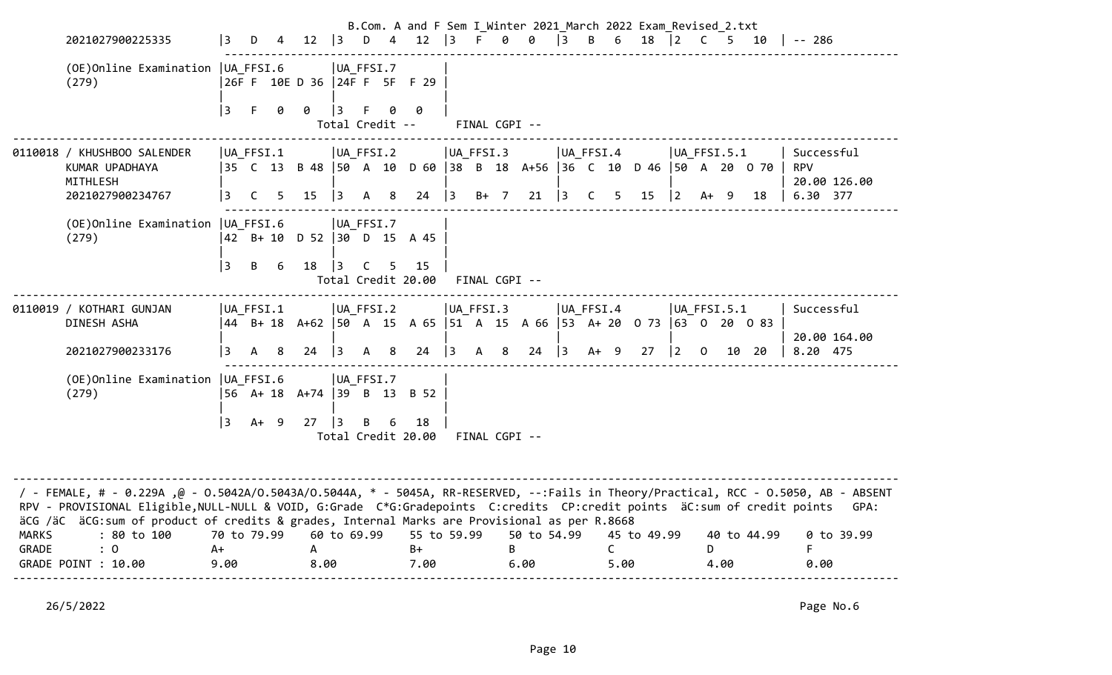|                       |                                                                                                                                                                                                                                                                                                                                                                                                                       |              |                 |   |                              |   |                 |                | B.Com. A and F Sem I Winter 2021 March 2022 Exam Revised 2.txt                        |           |        |                        |           |              |                      |             |                |                         |      |             |                                                      |      |
|-----------------------|-----------------------------------------------------------------------------------------------------------------------------------------------------------------------------------------------------------------------------------------------------------------------------------------------------------------------------------------------------------------------------------------------------------------------|--------------|-----------------|---|------------------------------|---|-----------------|----------------|---------------------------------------------------------------------------------------|-----------|--------|------------------------|-----------|--------------|----------------------|-------------|----------------|-------------------------|------|-------------|------------------------------------------------------|------|
|                       | 2021027900225335                                                                                                                                                                                                                                                                                                                                                                                                      | l 3          | D.              | 4 | $12 \mid 3 \mid D$           |   |                 |                | 4 12 3 F 0 0 3 B 6                                                                    |           |        |                        |           |              |                      | 18 2 C      |                |                         |      | 5 10        | $\vert$ -- 286                                       |      |
|                       | (OE) Online Examination   UA FFSI.6<br>(279)                                                                                                                                                                                                                                                                                                                                                                          |              |                 |   | 26F F 10E D 36 24F F 5F F 29 |   | UA FFSI.7       |                |                                                                                       |           |        |                        |           |              |                      |             |                |                         |      |             |                                                      |      |
|                       |                                                                                                                                                                                                                                                                                                                                                                                                                       | 3            | F.              | 0 | 0                            | 3 | Total Credit -- | 0              | Ø                                                                                     |           |        | FINAL CGPI --          |           |              |                      |             |                |                         |      |             |                                                      |      |
|                       | 0110018 / KHUSHBOO SALENDER<br>KUMAR UPADHAYA<br>MITHLESH<br>2021027900234767                                                                                                                                                                                                                                                                                                                                         | 3            | UA FFSI.1<br>C. | 5 | $15 \quad  3$                |   | UA FFSI.2<br>A  | 8 <sup>8</sup> | 35 C 13 B 48  50 A 10 D 60  38 B 18 A+56  36 C 10 D 46  50 A 20 0 70  <br>$24 \mid 3$ | UA FFSI.3 | $B+ 7$ | $21 \mid 3$            | UA FFSI.4 | $\mathsf{C}$ | $5 -$                | 15          | $ 2\rangle$    | UA FFSI.5.1<br>A+       | 9    | 18          | Successful<br><b>RPV</b><br>20.00 126.00<br>6.30 377 |      |
|                       | (OE) Online Examination   UA_FFSI.6<br>(279)                                                                                                                                                                                                                                                                                                                                                                          |              |                 |   | 42 B+ 10 D 52  30 D 15 A 45  |   | $ UA_FFSI.7$    |                |                                                                                       |           |        |                        |           |              |                      |             |                |                         |      |             |                                                      |      |
|                       |                                                                                                                                                                                                                                                                                                                                                                                                                       | 3            | B               | 6 | 18 3 C 5                     |   |                 |                | 15<br>Total Credit 20.00 FINAL CGPI --                                                |           |        |                        |           |              |                      |             |                |                         |      |             |                                                      |      |
|                       | 0110019 / KOTHARI GUNJAN<br>DINESH ASHA                                                                                                                                                                                                                                                                                                                                                                               |              | UA FFSI.1       |   |                              |   | UA_FFSI.2       |                | 44 B+ 18 A+62   50 A 15 A 65   51 A 15 A 66   53 A+ 20 0 73   63 0 20 0 83            | UA FFSI.3 |        |                        | UA FFSI.4 |              |                      |             | $ UA$ FFSI.5.1 |                         |      |             | Successful                                           |      |
|                       | 2021027900233176                                                                                                                                                                                                                                                                                                                                                                                                      | 3            | $\overline{A}$  | 8 | 24 $ 3$                      |   | A 8             |                | $24 \mid 3 \mid A \mid 8$                                                             |           |        | $24 \mid 3 \mid 4 + 9$ |           |              |                      | 27          | $ 2\rangle$    | $\overline{\mathbf{0}}$ |      | 10 20       | 20.00 164.00<br>8.20 475                             |      |
|                       | (OE)Online Examination   UA FFSI.6<br>(279)                                                                                                                                                                                                                                                                                                                                                                           |              |                 |   | 56 A+ 18 A+74 39 B 13 B 52   |   | UA FFSI.7       |                |                                                                                       |           |        |                        |           |              |                      |             |                |                         |      |             |                                                      |      |
|                       |                                                                                                                                                                                                                                                                                                                                                                                                                       | l 3          | $A+9$           |   | $27 \quad  3$                |   | B               | 6              | 18<br>Total Credit 20.00 FINAL CGPI --                                                |           |        |                        |           |              |                      |             |                |                         |      |             |                                                      |      |
| <b>MARKS</b><br>GRADE | / - FEMALE, # - 0.229A ,@ - 0.5042A/0.5043A/0.5044A, * - 5045A, RR-RESERVED, --:Fails in Theory/Practical, RCC - 0.5050, AB - ABSENT<br>RPV - PROVISIONAL Eligible, NULL-NULL & VOID, G:Grade C*G:Gradepoints C:credits CP:credit points äC:sum of credit points<br>äCG /äC äCG: sum of product of credits & grades, Internal Marks are Provisional as per R.8668<br>: 80 to 100<br>$\colon 0$<br>GRADE POINT : 10.00 | $A+$<br>9.00 | 70 to 79.99     |   | A<br>8.00                    |   | 60 to 69.99     |                | 55 to 59.99<br>$B+$<br>7.00                                                           |           | B      | 50 to 54.99<br>6.00    |           |              | $\mathsf{C}$<br>5.00 | 45 to 49.99 |                | D                       | 4.00 | 40 to 44.99 | 0 to 39.99<br>F.<br>0.00                             | GPA: |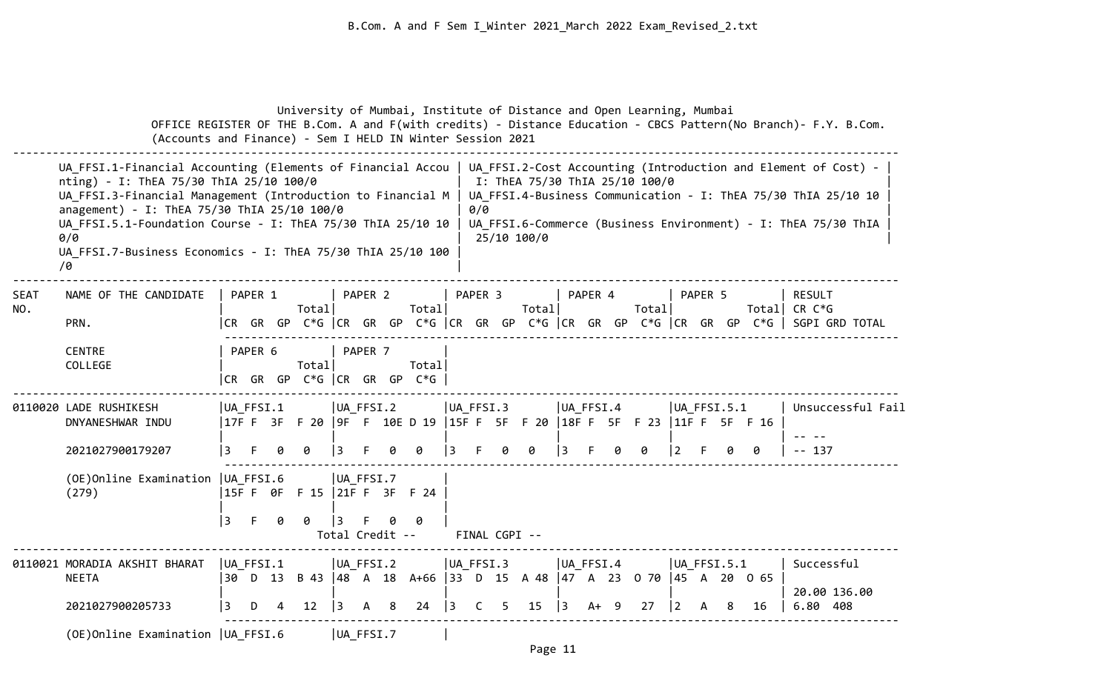|                    | (Accounts and Finance) - Sem I HELD IN Winter Session 2021                                                                                                                                                                                                                                                                                                                                                                       |                  |         |   | University of Mumbai, Institute of Distance and Open Learning, Mumbai     |                              |         |   |        |                |     |                |                                               |    |                 |    |       |              |         |                       |                                                                            | OFFICE REGISTER OF THE B.Com. A and F(with credits) - Distance Education - CBCS Pattern(No Branch)- F.Y. B.Com.                  |
|--------------------|----------------------------------------------------------------------------------------------------------------------------------------------------------------------------------------------------------------------------------------------------------------------------------------------------------------------------------------------------------------------------------------------------------------------------------|------------------|---------|---|---------------------------------------------------------------------------|------------------------------|---------|---|--------|----------------|-----|----------------|-----------------------------------------------|----|-----------------|----|-------|--------------|---------|-----------------------|----------------------------------------------------------------------------|----------------------------------------------------------------------------------------------------------------------------------|
|                    | UA_FFSI.1-Financial Accounting (Elements of Financial Accou   UA_FFSI.2-Cost Accounting (Introduction and Element of Cost) -<br>nting) - I: ThEA 75/30 ThIA 25/10 100/0<br>UA_FFSI.3-Financial Management (Introduction to Financial M<br>anagement) - I: ThEA 75/30 ThIA 25/10 100/0<br>UA_FFSI.5.1-Foundation Course - I: ThEA 75/30 ThIA 25/10 10<br>0/0<br>UA FFSI.7-Business Economics - I: ThEA 75/30 ThIA 25/10 100<br>70 |                  |         |   |                                                                           |                              |         |   |        |                | 0/0 |                | I: ThEA 75/30 ThIA 25/10 100/0<br>25/10 100/0 |    |                 |    |       |              |         |                       |                                                                            | UA FFSI.4-Business Communication - I: ThEA 75/30 ThIA 25/10 10<br>UA FFSI.6-Commerce (Business Environment) - I: ThEA 75/30 ThIA |
| <b>SEAT</b><br>NO. | NAME OF THE CANDIDATE<br>PRN.                                                                                                                                                                                                                                                                                                                                                                                                    |                  | PAPER 1 |   | Total                                                                     |                              | PAPER 2 |   | Total  | PAPER 3        |     |                | Total                                         |    | PAPER 4         |    | Total |              | PAPER 5 |                       |                                                                            | RESULT<br>Total CR $C*G$<br> CR GR GP C*G  CR GR GP C*G  CR GR GP C*G  CR GR GP C*G  CR GR GP C*G   SGPI GRD TOTAL               |
|                    | <b>CENTRE</b><br>COLLEGE                                                                                                                                                                                                                                                                                                                                                                                                         |                  | PAPER 6 |   | Total<br> CR GR GP C*G  CR GR GP C*G                                      |                              | PAPER 7 |   | Total  |                |     |                |                                               |    |                 |    |       |              |         |                       |                                                                            |                                                                                                                                  |
|                    | 0110020 LADE RUSHIKESH<br>DNYANESHWAR INDU                                                                                                                                                                                                                                                                                                                                                                                       | UA FFSI.1        |         |   | 17FF 3F F 20   9F F 10E D 19   15FF 5F F 20   18FF 5F F 23   11FF 5F F 16 | $ UA_FFSI.2 $                |         |   |        | UA FFSI.3      |     |                |                                               |    | UA FFSI.4       |    |       |              |         | $ UA$ FFSI.5.1        |                                                                            | Unsuccessful Fail                                                                                                                |
|                    | 2021027900179207<br>(OE) Online Examination   UA FFSI.6<br>(279)                                                                                                                                                                                                                                                                                                                                                                 | l 3<br>l 3       | F.      | 0 | UA FFSI.7<br> 15F F 0F F 15   21F F 3F F 24<br>0                          | Total Credit --              |         |   | 0<br>0 | 3              |     | FINAL CGPI --  | Ø                                             | 3  |                 |    | 0     | $ 2 \rangle$ |         |                       | Ø                                                                          | $-- 137$                                                                                                                         |
|                    | 0110021 MORADIA AKSHIT BHARAT<br><b>NEETA</b><br>2021027900205733                                                                                                                                                                                                                                                                                                                                                                | UA FFSI.1<br>l 3 | D       | 4 | 12                                                                        | UA_FFSI.2<br>$\overline{13}$ | A       | 8 | 24     | $\overline{3}$ | C   | UA FFSI.3<br>5 | 15                                            | 13 | UA FFSI.4<br>A+ | -9 | 27    | $ 2\rangle$  | A       | $ UA$ FFSI.5.1<br>- 8 | 30 D 13 B 43  48 A 18 A+66  33 D 15 A 48  47 A 23 O 70  45 A 20 O 65<br>16 | Successful<br>20.00 136.00<br>6.80 408                                                                                           |
|                    | (OE)Online Examination   UA FFSI.6                                                                                                                                                                                                                                                                                                                                                                                               |                  |         |   |                                                                           | UA FFSI.7                    |         |   |        |                |     |                |                                               |    |                 |    |       |              |         |                       |                                                                            |                                                                                                                                  |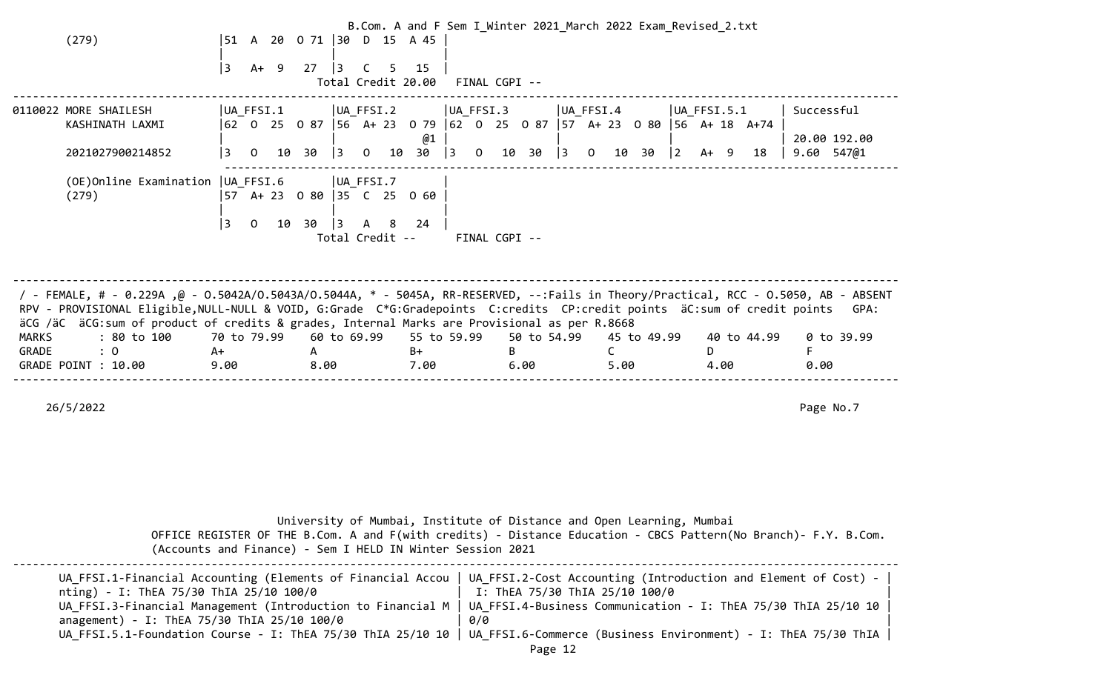|              |                                                                                                                                                                                                                                                                |                        |                                                   | B.Com. A and F Sem I Winter 2021 March 2022 Exam Revised 2.txt |                      |                                           |                                                                         |                |
|--------------|----------------------------------------------------------------------------------------------------------------------------------------------------------------------------------------------------------------------------------------------------------------|------------------------|---------------------------------------------------|----------------------------------------------------------------|----------------------|-------------------------------------------|-------------------------------------------------------------------------|----------------|
|              | (279)                                                                                                                                                                                                                                                          | 151                    | A 20 0 71 30 D 15 A 45                            |                                                                |                      |                                           |                                                                         |                |
|              |                                                                                                                                                                                                                                                                |                        |                                                   |                                                                |                      |                                           |                                                                         |                |
|              |                                                                                                                                                                                                                                                                | 3<br>$A+ 9$            | 27<br>$\vert$ 3<br>5.<br>C.<br>Total Credit 20.00 | 15<br>FINAL CGPI --                                            |                      |                                           |                                                                         |                |
|              |                                                                                                                                                                                                                                                                |                        |                                                   |                                                                |                      |                                           |                                                                         |                |
|              | 0110022 MORE SHAILESH                                                                                                                                                                                                                                          | UA FFSI.1              | UA FFSI.2                                         | UA FFSI.3                                                      |                      | $ UA_FFSI.4 $                             | $ UA_F$ FFSI.5.1                                                        | Successful     |
|              | KASHINATH LAXMI                                                                                                                                                                                                                                                |                        |                                                   |                                                                |                      |                                           | 62 0 25 0 87  56 A+ 23 0 79  62 0 25 0 87  57 A+ 23 0 80  56 A+ 18 A+74 |                |
|              |                                                                                                                                                                                                                                                                |                        |                                                   | @1                                                             |                      |                                           |                                                                         | 20.00 192.00   |
|              | 2021027900214852                                                                                                                                                                                                                                               | 3<br>10 30<br>$\Omega$ | $\vert$ 3<br>10<br>$\Omega$                       | 3<br>30<br>$\overline{0}$                                      | 10 30<br>$ 3\rangle$ | $ 2\rangle$<br>$\overline{0}$<br>30<br>10 | 18<br>A+ 9                                                              | $9.60$ $547@1$ |
|              |                                                                                                                                                                                                                                                                |                        |                                                   |                                                                |                      |                                           |                                                                         |                |
|              | (OE) Online Examination   UA_FFSI.6<br>(279)                                                                                                                                                                                                                   |                        | $ UA_FFSI.7$<br> 57 A+ 23 0 80   35 C 25 0 60     |                                                                |                      |                                           |                                                                         |                |
|              |                                                                                                                                                                                                                                                                |                        |                                                   |                                                                |                      |                                           |                                                                         |                |
|              |                                                                                                                                                                                                                                                                | l 3<br>$\Omega$<br>10  | 30<br>$\vert$ 3<br>A 8                            | 24                                                             |                      |                                           |                                                                         |                |
|              |                                                                                                                                                                                                                                                                |                        | Total Credit --                                   |                                                                | FINAL CGPI --        |                                           |                                                                         |                |
|              |                                                                                                                                                                                                                                                                |                        |                                                   |                                                                |                      |                                           |                                                                         |                |
|              |                                                                                                                                                                                                                                                                |                        |                                                   |                                                                |                      |                                           |                                                                         |                |
|              |                                                                                                                                                                                                                                                                |                        |                                                   |                                                                |                      |                                           |                                                                         |                |
|              | / FEMALE, # - 0.229A ,@ - 0.5042A/0.5043A/0.5044A, * - 5045A, RR-RESERVED, --:Fails in Theory/Practical, RCC - 0.5050, AB - ABSENT<br>RPV - PROVISIONAL Eligible, NULL-NULL & VOID, G:Grade C*G:Gradepoints C:credits CP:credit points äC:sum of credit points |                        |                                                   |                                                                |                      |                                           |                                                                         | GPA:           |
|              | äCG /äC äCG:sum of product of credits & grades, Internal Marks are Provisional as per R.8668                                                                                                                                                                   |                        |                                                   |                                                                |                      |                                           |                                                                         |                |
| <b>MARKS</b> | : 80 to 100                                                                                                                                                                                                                                                    | 70 to 79.99            | 60 to 69.99                                       | 55 to 59.99                                                    | 50 to 54.99          | 45 to 49.99                               | 40 to 44.99                                                             | 0 to 39.99     |
| GRADE        | : 0                                                                                                                                                                                                                                                            | A+                     | $\mathsf{A}$                                      | B+                                                             | B.                   |                                           | D.                                                                      |                |
|              | GRADE POINT : 10.00                                                                                                                                                                                                                                            | 9.00                   | 8.00                                              | 7.00                                                           | 6.00                 | 5.00                                      | 4.00                                                                    | 0.00           |
|              |                                                                                                                                                                                                                                                                |                        |                                                   |                                                                |                      |                                           |                                                                         |                |
|              |                                                                                                                                                                                                                                                                |                        |                                                   |                                                                |                      |                                           |                                                                         |                |
|              | 26/5/2022                                                                                                                                                                                                                                                      |                        |                                                   |                                                                |                      |                                           |                                                                         | Page No.7      |

| University of Mumbai, Institute of Distance and Open Learning, Mumbai                                           |  |
|-----------------------------------------------------------------------------------------------------------------|--|
| OFFICE REGISTER OF THE B.Com. A and F(with credits) - Distance Education - CBCS Pattern(No Branch)- F.Y. B.Com. |  |
| (Accounts and Finance) - Sem I HELD IN Winter Session 2021                                                      |  |

--------------------------------------------------------------------------------------------------------------------------------------

|                                             | UA FFSI.1-Financial Accounting (Elements of Financial Accou   UA FFSI.2-Cost Accounting (Introduction and Element of Cost) - |
|---------------------------------------------|------------------------------------------------------------------------------------------------------------------------------|
| nting) - I: ThEA 75/30 ThIA 25/10 100/0     | I: ThEA 75/30 ThIA 25/10 100/0                                                                                               |
|                                             | UA FFSI.3-Financial Management (Introduction to Financial M   UA FFSI.4-Business Communication - I: ThEA 75/30 ThIA 25/10 10 |
| anagement) - I: ThEA 75/30 ThIA 25/10 100/0 | 0/0                                                                                                                          |
|                                             | UA FFSI.5.1-Foundation Course - I: ThEA 75/30 ThIA 25/10 10   UA FFSI.6-Commerce (Business Environment) - I: ThEA 75/30 ThIA |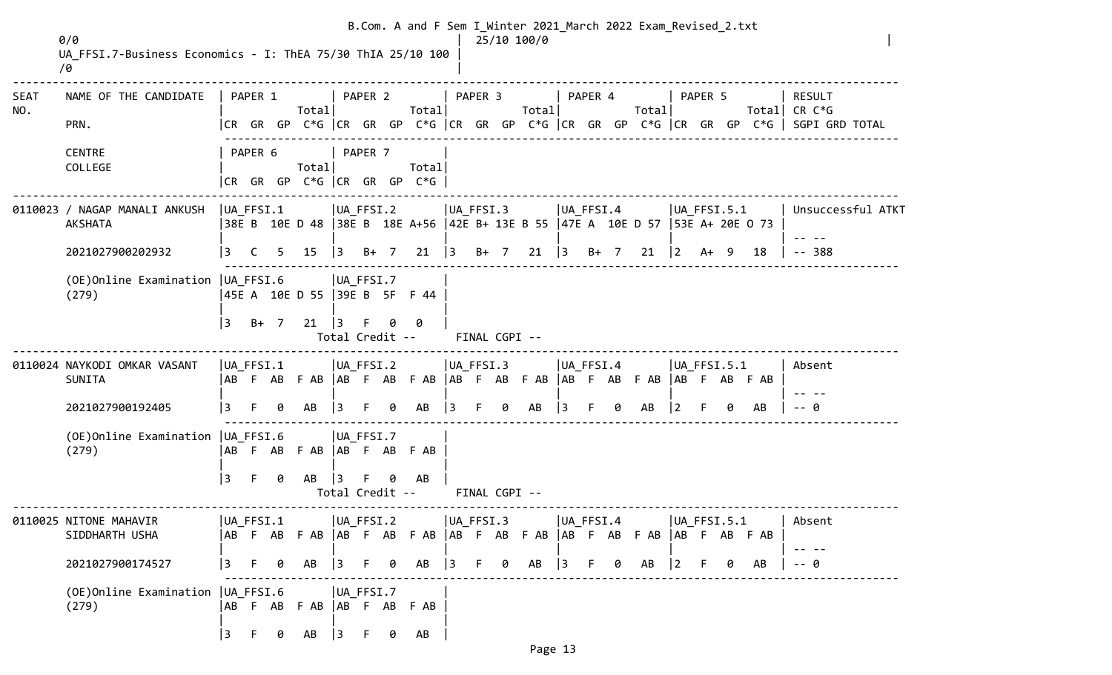|                    | 0/0<br>UA FFSI.7-Business Economics - I: ThEA 75/30 ThIA 25/10 100<br>10 |                 |              |                |                                           |                              |         |   |                                        |           |               |   | B.Com. A and F Sem I_Winter 2021_March 2022 Exam_Revised_2.txt<br>25/10 100/0        |                |           |   |                          |                |         |   |    |                                                                                       |
|--------------------|--------------------------------------------------------------------------|-----------------|--------------|----------------|-------------------------------------------|------------------------------|---------|---|----------------------------------------|-----------|---------------|---|--------------------------------------------------------------------------------------|----------------|-----------|---|--------------------------|----------------|---------|---|----|---------------------------------------------------------------------------------------|
| <b>SEAT</b><br>NO. | NAME OF THE CANDIDATE                                                    |                 | PAPER 1      |                | Total                                     |                              | PAPER 2 |   | Totall                                 |           | PAPER 3       |   | Total                                                                                |                | PAPER 4   |   | Total                    |                | PAPER 5 |   |    | <b>RESULT</b><br>Total CR $C*G$                                                       |
|                    | PRN.                                                                     |                 |              |                |                                           |                              |         |   |                                        |           |               |   |                                                                                      |                |           |   |                          |                |         |   |    | CR GR GP C*G  CR GR GP C*G  CR GR GP C*G  CR GR GP C*G  CR GR GP C*G   SGPI GRD TOTAL |
|                    | <b>CENTRE</b><br>COLLEGE                                                 |                 | PAPER 6      |                | Total                                     |                              | PAPER 7 |   | Total<br>$CR$ GR GP C*G $CR$ GR GP C*G |           |               |   |                                                                                      |                |           |   |                          |                |         |   |    |                                                                                       |
|                    | 0110023 / NAGAP MANALI ANKUSH<br><b>AKSHATA</b>                          | $ UA_FFSI.1 $   |              |                |                                           | UA_FFSI.2                    |         |   |                                        |           | UA_FFSI.3     |   | 38E B 10E D 48   38E B 18E A+56   42E B+ 13E B 55   47E A 10E D 57   53E A+ 20E O 73 | $ UA_F$ FFSI.4 |           |   |                          | $ UA$ FFSI.5.1 |         |   |    | Unsuccessful ATKT                                                                     |
|                    | 2021027900202932                                                         | 3               | $\mathsf{C}$ | 5 <sub>1</sub> | 15                                        | $ 3 \t B+7 $                 |         |   | $21 \quad  3$                          |           |               |   | $B+ 7$ 21 3 $B+ 7$                                                                   |                |           |   | 21                       | $ 2\rangle$    | $A+ 9$  |   | 18 | $-- 388$                                                                              |
|                    | (OE) Online Examination   UA_FFSI.6<br>(279)                             |                 |              |                | UA_FFSI.7<br>45E A 10E D 55 39E B 5F F 44 |                              |         |   |                                        |           |               |   |                                                                                      |                |           |   |                          |                |         |   |    |                                                                                       |
|                    |                                                                          | $\overline{13}$ | $B+ 7$       |                | 21                                        | $\vert$ 3                    |         | 0 | 0<br>Total Credit --                   |           | FINAL CGPI -- |   |                                                                                      |                |           |   |                          |                |         |   |    |                                                                                       |
|                    | 0110024 NAYKODI OMKAR VASANT<br>SUNITA                                   | UA FFSI.1       |              |                | UA FFSI.2                                 |                              |         |   |                                        |           | $ UA_FFSI.3 $ |   | ABFABFAB  ABFABFAB  ABFABFAB  ABFABFAB  ABFABFABFAB                                  | UA FFSI.4      |           |   |                          | $ UA$ FFSI.5.1 |         |   |    | Absent                                                                                |
|                    | 2021027900192405                                                         | 3               | F.           | 0              | AB                                        | $\overline{3}$               | -F      | 0 | AB                                     | $\vert$ 3 | F.            | 0 | AB                                                                                   | $\vert$ 3      |           | 0 | AB                       | $\vert$ 2      |         | Ø | AB | -- 0                                                                                  |
|                    | (OE) Online Examination   UA FFSI.6<br>(279)                             |                 |              |                | AB F AB F AB AB F AB F AB                 | UA FFSI.7                    |         |   |                                        |           |               |   |                                                                                      |                |           |   |                          |                |         |   |    |                                                                                       |
|                    |                                                                          | 3               | F.           | 0              | AB                                        | $\vert$ 3<br>Total Credit -- |         |   | AB                                     |           | FINAL CGPI -- |   |                                                                                      |                |           |   |                          |                |         |   |    |                                                                                       |
|                    | 0110025 NITONE MAHAVIR<br>SIDDHARTH USHA                                 | AB              | UA_FFSI.1    |                |                                           | $ UA_FFSI.2 $                |         |   |                                        |           | UA_FFSI.3     |   |                                                                                      |                | UA_FFSI.4 |   | F AB F AB   AB F AB F AB | $ UA_FFSI.5.1$ |         |   |    | Absent                                                                                |
|                    | 2021027900174527                                                         | 3               | F.           | 0              | AB                                        | $\vert$ 3                    | $-$ F   | 0 | AB                                     | $ 3 \tF$  |               | 0 | AB                                                                                   | $\vert$ 3      | F.        | 0 | AB                       | $\vert$ 2      | -F      | 0 | AB | -0                                                                                    |
|                    | (OE) Online Examination   UA_FFSI.6<br>(279)                             |                 |              |                | AB F AB F AB AB F AB F AB                 | UA_FFSI.7                    |         |   |                                        |           |               |   |                                                                                      |                |           |   |                          |                |         |   |    |                                                                                       |
|                    |                                                                          | 3               | F.           | 0              | AB                                        | $ 3\rangle$                  | F.      | 0 | AB                                     |           |               |   |                                                                                      |                |           |   |                          |                |         |   |    |                                                                                       |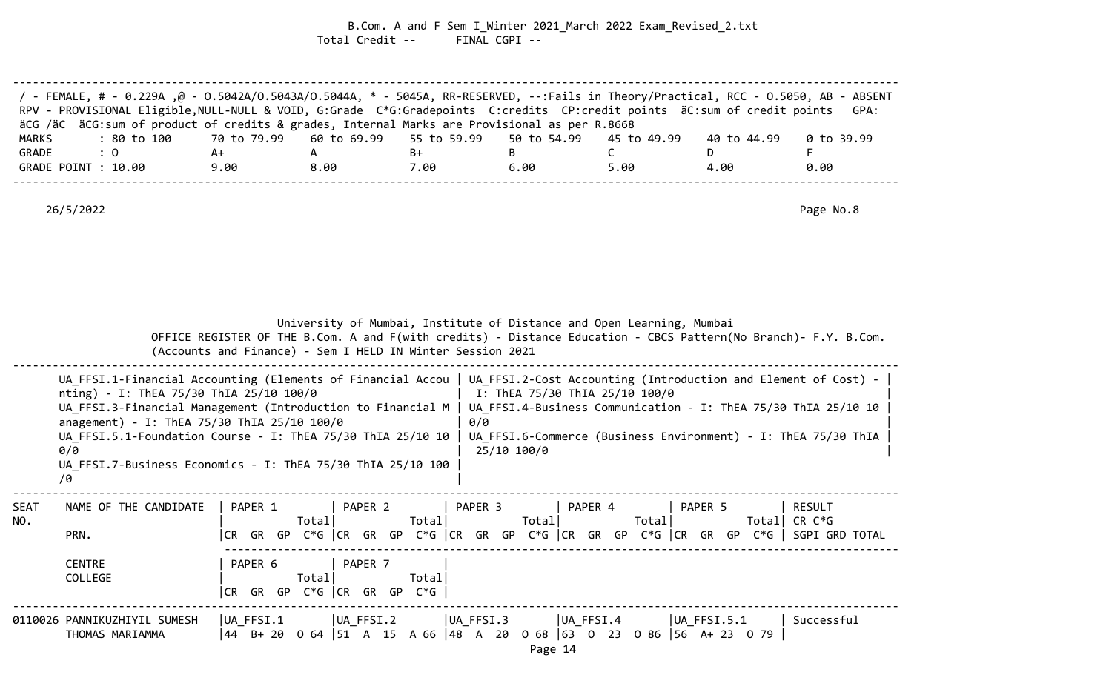B.Com. A and F Sem I\_Winter 2021\_March 2022 Exam\_Revised\_2.txt Total Credit -- FINAL CGPI --

| / FEMALE, # - 0.229A ,@ - 0.5042A/0.5043A/0.5044A, * - 5045A, RR-RESERVED, --:Fails in Theory/Practical, RCC - 0.5050, AB - ABSENT<br>RPV - PROVISIONAL Eligible, NULL-NULL & VOID, G:Grade C*G:Gradepoints C:credits CP:credit points äC:sum of credit points |      |      |      |      |      |             | GPA:       |
|----------------------------------------------------------------------------------------------------------------------------------------------------------------------------------------------------------------------------------------------------------------|------|------|------|------|------|-------------|------------|
| äCG /äC äCG:sum of product of credits & grades, Internal Marks are Provisional as per R.8668                                                                                                                                                                   |      |      |      |      |      |             |            |
| : 80 to 100    70 to 79.99   60 to 69.99   55 to 59.99   50 to 54.99   45 to 49.99<br>MARKS                                                                                                                                                                    |      |      |      |      |      | 40 to 44.99 | 0 to 39.99 |
| GRADE<br>$\therefore$ 0                                                                                                                                                                                                                                        | A+   |      | B+   |      |      |             |            |
| GRADE POINT : 10.00                                                                                                                                                                                                                                            | 9.00 | 8.00 | 7.00 | 6.00 | 5.00 | 4.00        | 0.00       |
|                                                                                                                                                                                                                                                                |      |      |      |      |      |             |            |

|             |                                                                                                                                                                                                                                                                                                                                                                 |           |                                                 |               | (Accounts and Finance) - Sem I HELD IN Winter Session 2021                                                                                                                                                                                                 |                      | University of Mumbai, Institute of Distance and Open Learning, Mumbai<br>OFFICE REGISTER OF THE B.Com. A and F(with credits) - Distance Education - CBCS Pattern(No Branch)- F.Y. B.Com. |                                 |  |  |  |  |  |  |
|-------------|-----------------------------------------------------------------------------------------------------------------------------------------------------------------------------------------------------------------------------------------------------------------------------------------------------------------------------------------------------------------|-----------|-------------------------------------------------|---------------|------------------------------------------------------------------------------------------------------------------------------------------------------------------------------------------------------------------------------------------------------------|----------------------|------------------------------------------------------------------------------------------------------------------------------------------------------------------------------------------|---------------------------------|--|--|--|--|--|--|
|             | UA FFSI.1-Financial Accounting (Elements of Financial Accou<br>nting) - I: ThEA 75/30 ThIA 25/10 100/0<br>UA FFSI.3-Financial Management (Introduction to Financial M<br>anagement) - I: ThEA 75/30 ThIA 25/10 100/0<br>UA FFSI.5.1-Foundation Course - I: ThEA 75/30 ThIA 25/10 10<br>0/0<br>UA FFSI.7-Business Economics - I: ThEA 75/30 ThIA 25/10 100<br>/0 |           |                                                 |               | UA FFSI.2-Cost Accounting (Introduction and Element of Cost) -<br>I: ThEA 75/30 ThIA 25/10 100/0<br>UA FFSI.4-Business Communication - I: ThEA 75/30 ThIA 25/10 10<br>0/0<br>UA FFSI.6-Commerce (Business Environment) - I: ThEA 75/30 ThIA<br>25/10 100/0 |                      |                                                                                                                                                                                          |                                 |  |  |  |  |  |  |
| SEAT<br>NO. | NAME OF THE CANDIDATE<br>PRN.                                                                                                                                                                                                                                                                                                                                   | PAPER 1   | PAPER 2<br>Total                                | Total         | PAPER 3                                                                                                                                                                                                                                                    | PAPER 4<br>Total     | PAPER 5<br>Total<br> CR GR GP C*G   CR GR GP C*G   CR GR GP C*G   CR GR GP C*G   CR GR GP C*G    SGPI GRD TOTAL                                                                          | <b>RESULT</b><br>Total CR $C*G$ |  |  |  |  |  |  |
|             | <b>CENTRE</b><br>COLLEGE                                                                                                                                                                                                                                                                                                                                        | PAPER 6   | PAPER 7<br>Total<br>$CR$ GR GP $C*G$ $CR$ GR GP | Totall<br>C*G |                                                                                                                                                                                                                                                            |                      |                                                                                                                                                                                          |                                 |  |  |  |  |  |  |
|             | 0110026 PANNIKUZHIYIL SUMESH<br>THOMAS MARIAMMA                                                                                                                                                                                                                                                                                                                 | UA FFSI.1 | UA FFSI.2                                       |               | UA FFSI.3                                                                                                                                                                                                                                                  | UA FFSI.4<br>Page 14 | $ UA_FFSI.5.1$<br>44 B+ 20 0 64 51 A 15 A 66 48 A 20 0 68 63 0 23 0 86 56 A+ 23 0 79                                                                                                     | Successful                      |  |  |  |  |  |  |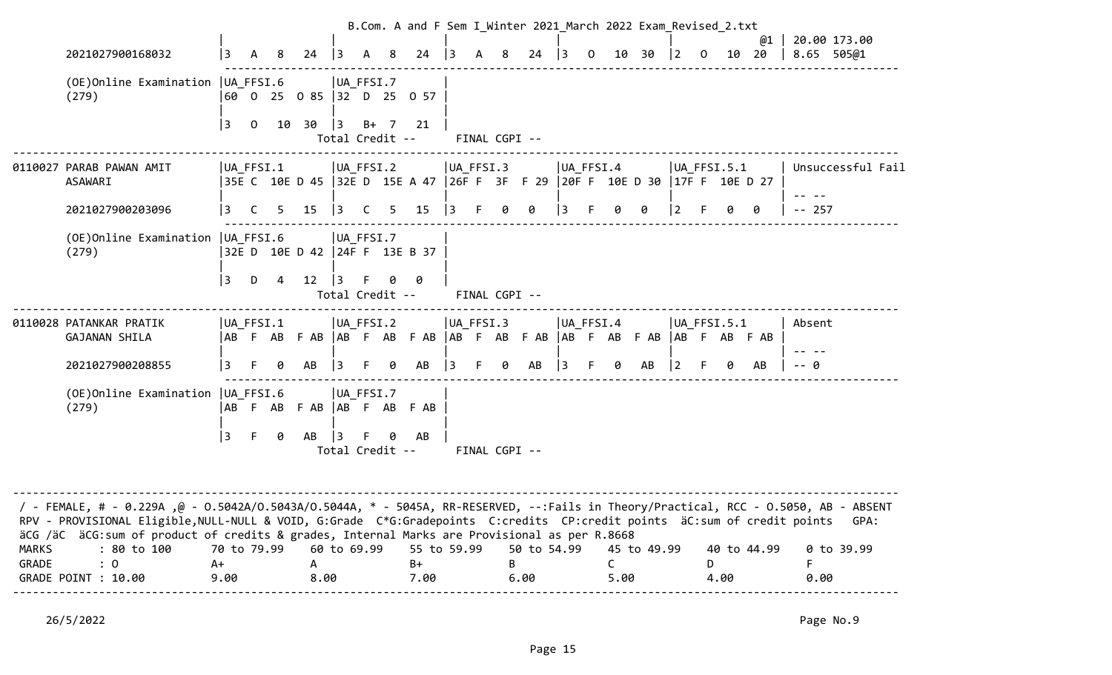|                |                                                                                                                                                                                                                                                                                                                                                                |                           |                |       |                                                                           |                |                              |   |                           |           |               |   |                     |                 |    |      | B.Com. A and F Sem I Winter 2021 March 2022 Exam Revised 2.txt |                |    |                 |             |            |                   |
|----------------|----------------------------------------------------------------------------------------------------------------------------------------------------------------------------------------------------------------------------------------------------------------------------------------------------------------------------------------------------------------|---------------------------|----------------|-------|---------------------------------------------------------------------------|----------------|------------------------------|---|---------------------------|-----------|---------------|---|---------------------|-----------------|----|------|----------------------------------------------------------------|----------------|----|-----------------|-------------|------------|-------------------|
|                | 2021027900168032                                                                                                                                                                                                                                                                                                                                               | 3                         | A              | -8    | 24                                                                        | $\vert$ 3      | A                            | 8 | 24                        | 3         |               | 8 | 24                  | $\overline{13}$ | 0  | 10   | 30                                                             | $\vert$ 2      | 0  |                 | @1<br>10 20 | 8.65 505@1 | 20.00 173.00      |
|                | (OE) Online Examination   UA_FFSI.6<br>(279)                                                                                                                                                                                                                                                                                                                   |                           |                |       | 60 0 25 0 85 32 D 25 0 57                                                 |                | UA_FFSI.7                    |   |                           |           |               |   |                     |                 |    |      |                                                                |                |    |                 |             |            |                   |
|                |                                                                                                                                                                                                                                                                                                                                                                | 3                         | $\overline{0}$ | 10    | 30                                                                        | $\vert$ 3      | $B+$<br>Total Credit --      | 7 | 21                        |           | FINAL CGPI -- |   |                     |                 |    |      |                                                                |                |    |                 |             |            |                   |
|                | 0110027 PARAB PAWAN AMIT<br><b>ASAWARI</b>                                                                                                                                                                                                                                                                                                                     |                           | UA_FFSI.1      |       | 35E C 10E D 45 32E D 15E A 47 26F F 3F F 29 20F F 10E D 30 17F F 10E D 27 |                | $ UA_FFSI.2 $                |   |                           | UA_FFSI.3 |               |   |                     | $ UA_FFSI.4 $   |    |      |                                                                |                |    | $ UA_FFSI.5.1 $ |             |            | Unsuccessful Fail |
|                | 2021027900203096                                                                                                                                                                                                                                                                                                                                               | l 3                       | C              | $5 -$ | 15                                                                        | $ 3\rangle$    | $\overline{C}$               | 5 | 15                        | 3         | F.            | 0 | 0                   | 3               |    |      | 0                                                              | 12.            |    |                 | 0           | $-- 257$   |                   |
|                | (OE) Online Examination   UA_FFSI.6<br>(279)                                                                                                                                                                                                                                                                                                                   |                           |                |       | 32E D 10E D 42 24F F 13E B 37                                             |                | UA FFSI.7                    |   |                           |           |               |   |                     |                 |    |      |                                                                |                |    |                 |             |            |                   |
|                |                                                                                                                                                                                                                                                                                                                                                                | 3                         | D              | 4     | 12                                                                        | 3              | Total Credit --              |   | 0                         |           | FINAL CGPI -- |   |                     |                 |    |      |                                                                |                |    |                 |             |            |                   |
|                | 0110028 PATANKAR PRATIK<br>GAJANAN SHILA                                                                                                                                                                                                                                                                                                                       |                           | UA FFSI.1      |       | ABFABFAB  ABFABFAB  ABFABFAB  ABFAB  ABFAB  ABFABFABFAB                   |                | UA FFSI.2                    |   |                           | UA FFSI.3 |               |   |                     | UA FFSI.4       |    |      |                                                                |                |    | $ UA$ FFSI.5.1  |             | Absent     |                   |
|                | 2021027900208855                                                                                                                                                                                                                                                                                                                                               | 3                         |                | 0     | AB                                                                        | $\overline{3}$ | F.                           | 0 | AB                        | $\vert$ 3 | F.            | 0 | AB                  | $ 3\rangle$     |    | 0    | AB                                                             | $\overline{2}$ |    | 0               | AB          | . 0        |                   |
|                | (OE) Online Examination   UA_FFSI.6<br>(279)                                                                                                                                                                                                                                                                                                                   | 3                         | -F             | 0     | AB F AB F AB AB F AB F AB<br>AB                                           | 13             | UA FFSI.7<br>Total Credit -- | ø | AB                        |           | FINAL CGPI -- |   |                     |                 |    |      |                                                                |                |    |                 |             |            |                   |
|                |                                                                                                                                                                                                                                                                                                                                                                |                           |                |       |                                                                           |                |                              |   |                           |           |               |   |                     |                 |    |      |                                                                |                |    |                 |             |            |                   |
|                | FeMALE, # - 0.229A ,@ - 0.5042A/O.5043A/O.5044A, * - 5045A, RR-RESERVED, --:Fails in Theory/Practical, RCC - 0.5050, AB - ABSENT /<br>RPV - PROVISIONAL Eligible, NULL-NULL & VOID, G:Grade C*G:Gradepoints C:credits CP:credit points äC:sum of credit points<br>äCG /äC äCG:sum of product of credits & grades, Internal Marks are Provisional as per R.8668 |                           |                |       |                                                                           |                |                              |   |                           |           |               |   |                     |                 |    |      |                                                                |                |    |                 |             |            | GPA:              |
| MARKS<br>GRADE | : 80 to 100<br>$\colon 0$<br>GRADE POINT : 10.00                                                                                                                                                                                                                                                                                                               | 70 to 79.99<br>A+<br>9.00 |                |       | A<br>8.00                                                                 |                | 60 to 69.99                  |   | 55 to 59.99<br>B+<br>7.00 |           |               | B | 50 to 54.99<br>6.00 |                 | C. | 5.00 | 45 to 49.99                                                    |                | D. | 4.00            | 40 to 44.99 | 0.00       | 0 to 39.99        |
|                |                                                                                                                                                                                                                                                                                                                                                                |                           |                |       |                                                                           |                |                              |   |                           |           |               |   |                     |                 |    |      |                                                                |                |    |                 |             |            |                   |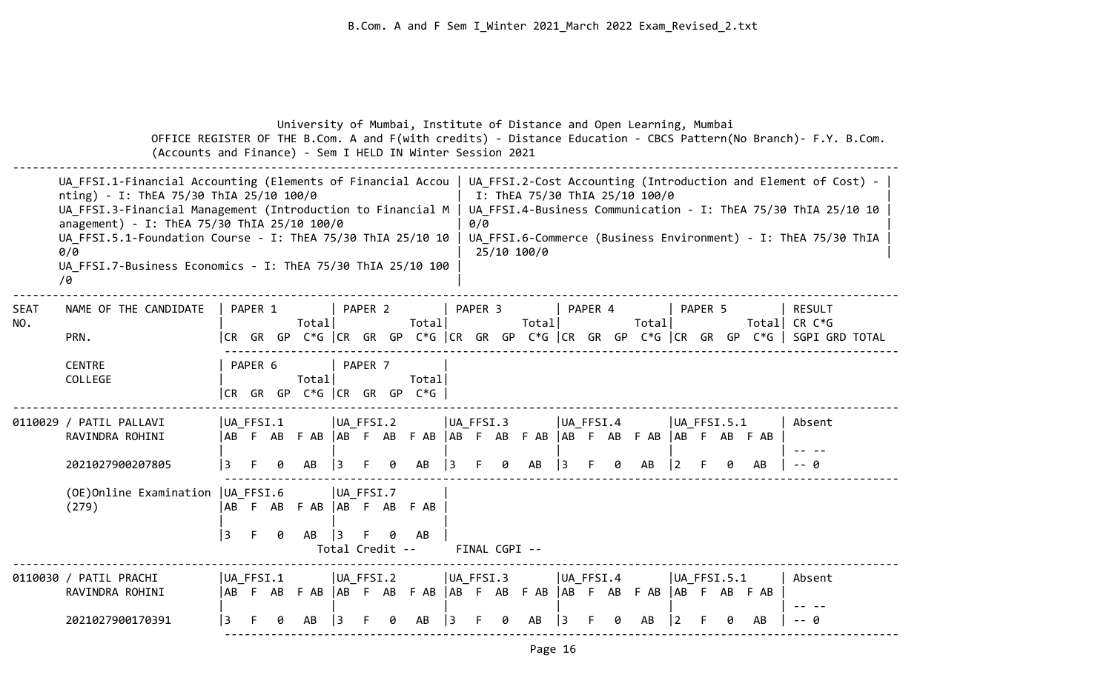|                    | (Accounts and Finance) - Sem I HELD IN Winter Session 2021                                                                                                                                                                                                                                                                                                        |                  |         |        |                                  |    |                              |   |                |                |         |                    | University of Mumbai, Institute of Distance and Open Learning, Mumbai                                                                                                                                                                                      |    |           |  |       |   |         |                     |    | OFFICE REGISTER OF THE B.Com. A and F(with credits) - Distance Education - CBCS Pattern(No Branch)- F.Y. B.Com.          |
|--------------------|-------------------------------------------------------------------------------------------------------------------------------------------------------------------------------------------------------------------------------------------------------------------------------------------------------------------------------------------------------------------|------------------|---------|--------|----------------------------------|----|------------------------------|---|----------------|----------------|---------|--------------------|------------------------------------------------------------------------------------------------------------------------------------------------------------------------------------------------------------------------------------------------------------|----|-----------|--|-------|---|---------|---------------------|----|--------------------------------------------------------------------------------------------------------------------------|
|                    | UA FFSI.1-Financial Accounting (Elements of Financial Accou  <br>nting) - I: ThEA 75/30 ThIA 25/10 100/0<br>UA_FFSI.3-Financial Management (Introduction to Financial M<br>anagement) - I: ThEA 75/30 ThIA 25/10 100/0<br>UA FFSI.5.1-Foundation Course - I: ThEA 75/30 ThIA 25/10 10<br>0/0<br>UA FFSI.7-Business Economics - I: ThEA 75/30 ThIA 25/10 100<br>70 |                  |         |        |                                  |    |                              |   |                |                |         |                    | UA FFSI.2-Cost Accounting (Introduction and Element of Cost) -<br>I: ThEA 75/30 ThIA 25/10 100/0<br>UA FFSI.4-Business Communication - I: ThEA 75/30 ThIA 25/10 10<br>0/0<br>UA FFSI.6-Commerce (Business Environment) - I: ThEA 75/30 ThIA<br>25/10 100/0 |    |           |  |       |   |         |                     |    |                                                                                                                          |
| <b>SEAT</b><br>NO. | NAME OF THE CANDIDATE<br>PRN.                                                                                                                                                                                                                                                                                                                                     |                  | PAPER 1 |        | Total                            |    | PAPER 2                      |   | Total          |                | PAPER 3 |                    | Totall                                                                                                                                                                                                                                                     |    | PAPER 4   |  | Total |   | PAPER 5 |                     |    | <b>RESULT</b><br>Total  CR C*G<br> CR GR GP C*G  CR GR GP C*G  CR GR GP C*G  CR GR GP C*G  CR GR GP C*G   SGPI GRD TOTAL |
|                    | <b>CENTRE</b><br>COLLEGE                                                                                                                                                                                                                                                                                                                                          |                  | PAPER 6 |        | Total<br> CR GR GP C*G  CR GR GP |    | PAPER 7                      |   | Total<br>$C*G$ |                |         |                    |                                                                                                                                                                                                                                                            |    |           |  |       |   |         |                     |    |                                                                                                                          |
|                    | 0110029 / PATIL PALLAVI<br>RAVINDRA ROHINI                                                                                                                                                                                                                                                                                                                        | UA_FFSI.1        |         |        |                                  |    | $ UA_FFSI.2 $                |   |                | UA_FFSI.3      |         |                    | ABFABFAB  ABFABFAB  ABFABFAB  ABFABFAB  ABFABFABFAB                                                                                                                                                                                                        |    | UA FFSI.4 |  |       |   |         | UA FFSI.5.1         |    | Absent                                                                                                                   |
|                    | 2021027900207805<br>(OE) Online Examination   UA FFSI.6<br>(279)                                                                                                                                                                                                                                                                                                  | 3<br>3           | F.      | a<br>0 | AB<br>ABFABFABABFABFAB<br>AB     |    | UA FFSI.7<br>Total Credit -- | ø | AB<br>AB       | 3              |         | ø<br>FINAL CGPI -- | AB                                                                                                                                                                                                                                                         | 3  |           |  | AB    | 2 |         |                     | AB | -- 0                                                                                                                     |
|                    | 0110030 / PATIL PRACHI<br>RAVINDRA ROHINI<br>2021027900170391                                                                                                                                                                                                                                                                                                     | UA FFSI.1<br>l 3 |         |        | AB                               | 13 | UA FFSI.2                    |   | AB             | UA_FFSI.3<br>3 |         | 0                  | ABFABFAB  ABFABFAB  ABFABFAB  ABFABFAB  ABFABFABFAB<br>AB                                                                                                                                                                                                  | 13 | UA FFSI.4 |  | AB    | 2 |         | $ UA$ FFSI.5.1<br>0 | AB | Absent<br>-- 0                                                                                                           |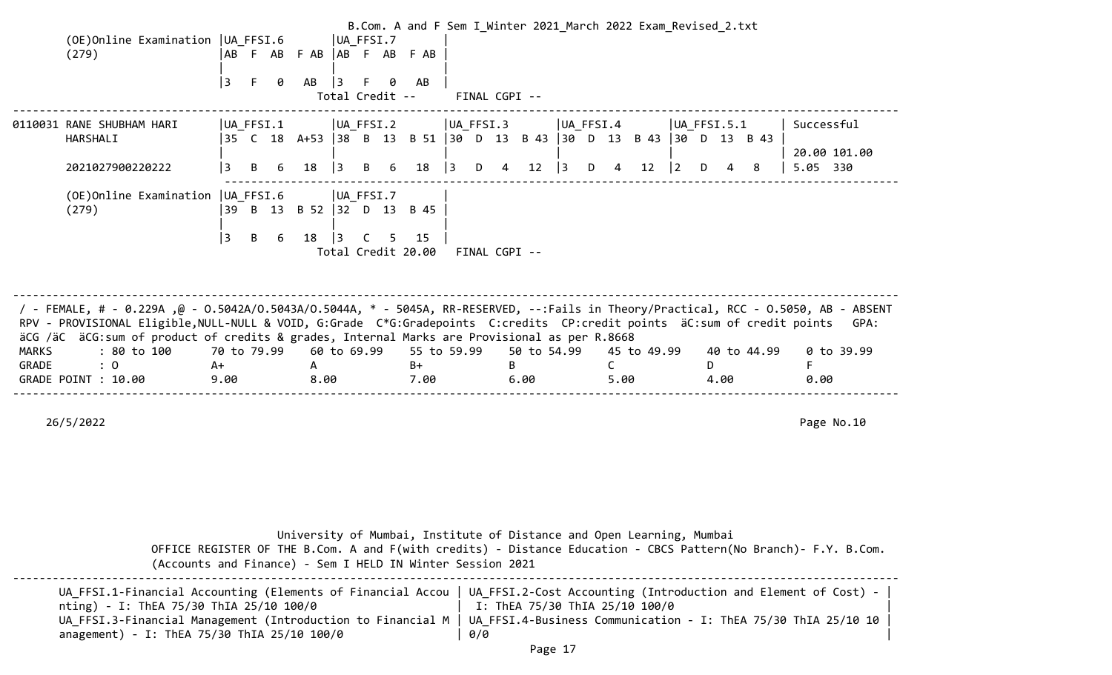|                       | (OE)Online Examination   UA FFSI.6<br>(279)                                                                                                                                                                                                                                                                                                                                                                           |                           | UA FFSI.7<br>AB FAB FAB AB FAB FAB                                                 |                           |                           | B.Com. A and F Sem I Winter 2021 March 2022 Exam Revised 2.txt                                                                                                                           |                           |                                        |
|-----------------------|-----------------------------------------------------------------------------------------------------------------------------------------------------------------------------------------------------------------------------------------------------------------------------------------------------------------------------------------------------------------------------------------------------------------------|---------------------------|------------------------------------------------------------------------------------|---------------------------|---------------------------|------------------------------------------------------------------------------------------------------------------------------------------------------------------------------------------|---------------------------|----------------------------------------|
|                       |                                                                                                                                                                                                                                                                                                                                                                                                                       | 3<br>F<br>0               | $\vert$ 3<br>AB<br>F.<br>0<br>Total Credit --                                      | AB                        | FINAL CGPI --             |                                                                                                                                                                                          |                           |                                        |
|                       | 0110031 RANE SHUBHAM HARI<br>HARSHALI<br>2021027900220222                                                                                                                                                                                                                                                                                                                                                             | $ UA_FFSI.1 $<br>B        | $ UA_FFSI.2 $<br>18<br>13                                                          | 18<br>13                  | UA_FFSI.3<br>12<br>D<br>4 | UA_FFSI.4<br> 35 C 18 A+53  38 B 13 B 51  30 D 13 B 43  30 D 13 B 43  30 D 13 B 43<br>12<br>l 3.<br>D<br>4                                                                               | $ UA_FFSI.5.1 $<br>8<br>2 | Successful<br>20.00 101.00<br>5.05 330 |
|                       | (OE) Online Examination   UA_FFSI.6<br>(279)                                                                                                                                                                                                                                                                                                                                                                          | 39 B 13<br> 3<br>B<br>6   | UA_FFSI.7<br>B 52 32 D 13 B 45<br>18<br>$\vert$ 3<br>C.<br>5<br>Total Credit 20.00 | 15                        | FINAL CGPI --             |                                                                                                                                                                                          |                           |                                        |
| <b>MARKS</b><br>GRADE | / - FEMALE, # - 0.229A ,@ - 0.5042A/0.5043A/0.5044A, * - 5045A, RR-RESERVED, --:Fails in Theory/Practical, RCC - 0.5050, AB - ABSENT<br>RPV - PROVISIONAL Eligible, NULL-NULL & VOID, G:Grade C*G:Gradepoints C:credits CP:credit points äC:sum of credit points<br>äCG /äC äCG: sum of product of credits & grades, Internal Marks are Provisional as per R.8668<br>: 80 to 100<br>$\colon 0$<br>GRADE POINT : 10.00 | 70 to 79.99<br>A+<br>9.00 | 60 to 69.99<br>A<br>8.00                                                           | 55 to 59.99<br>B+<br>7.00 | 50 to 54.99<br>B<br>6.00  | 45 to 49.99<br>C<br>5.00                                                                                                                                                                 | 40 to 44.99<br>D.<br>4.00 | GPA:<br>0 to 39.99<br>F<br>0.00        |
|                       | 26/5/2022                                                                                                                                                                                                                                                                                                                                                                                                             |                           |                                                                                    |                           |                           |                                                                                                                                                                                          |                           | Page No.10                             |
|                       |                                                                                                                                                                                                                                                                                                                                                                                                                       |                           |                                                                                    |                           |                           | University of Mumbai, Institute of Distance and Open Learning, Mumbai<br>OFFICE REGISTER OF THE B.Com. A and F(with credits) - Distance Education - CBCS Pattern(No Branch)- F.Y. B.Com. |                           |                                        |
|                       |                                                                                                                                                                                                                                                                                                                                                                                                                       |                           | (Accounts and Finance) - Sem I HELD IN Winter Session 2021                         |                           |                           |                                                                                                                                                                                          |                           |                                        |

|                                             | UA FFSI.1-Financial Accounting (Elements of Financial Accou   UA FFSI.2-Cost Accounting (Introduction and Element of Cost) - |
|---------------------------------------------|------------------------------------------------------------------------------------------------------------------------------|
| nting) - I: ThEA 75/30 ThIA 25/10 100/0     | $ $ I: ThEA 75/30 ThIA 25/10 100/0                                                                                           |
|                                             | UA FFSI.3-Financial Management (Introduction to Financial M   UA FFSI.4-Business Communication - I: ThEA 75/30 ThIA 25/10 10 |
| anagement) - I: ThEA 75/30 ThIA 25/10 100/0 | 0/0                                                                                                                          |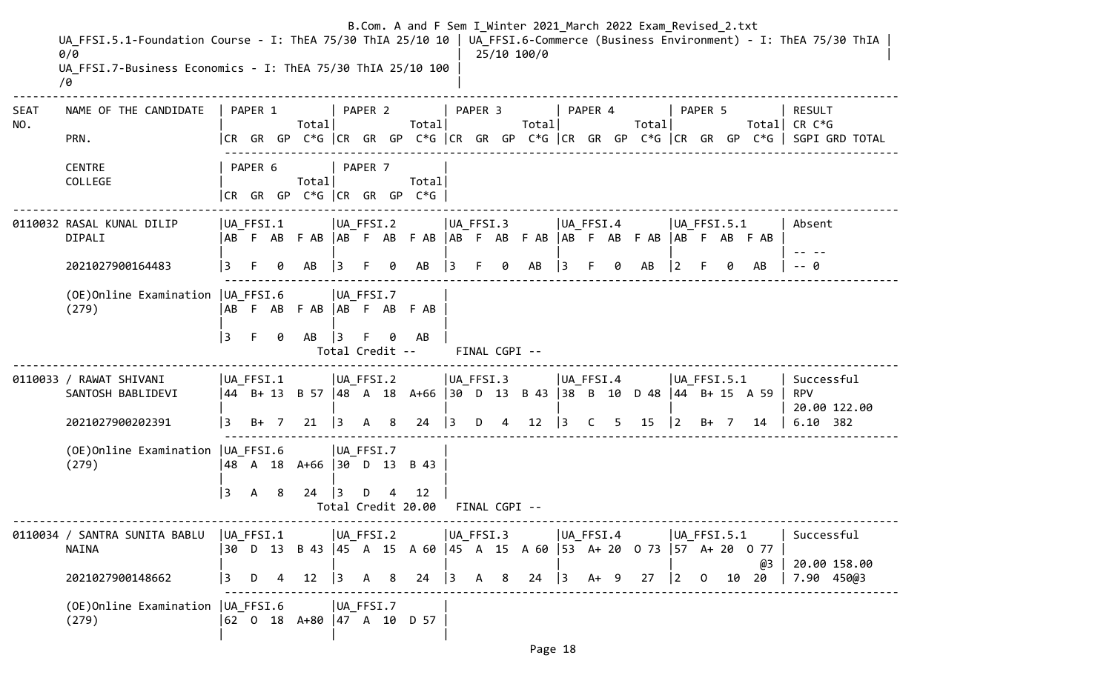|                    | UA FFSI.5.1-Foundation Course - I: ThEA 75/30 ThIA 25/10 10   UA FFSI.6-Commerce (Business Environment) - I: ThEA 75/30 ThIA<br>0/0<br>UA FFSI.7-Business Economics - I: ThEA 75/30 ThIA 25/10 100<br>70 |                  |         |   |                                                                            |                                   |         |   | B.Com. A and F Sem I Winter 2021 March 2022 Exam Revised 2.txt         |                             |         |               | 25/10 100/0       |                 |         |   |                             |   |         |                |    |                                                                                                                          |
|--------------------|----------------------------------------------------------------------------------------------------------------------------------------------------------------------------------------------------------|------------------|---------|---|----------------------------------------------------------------------------|-----------------------------------|---------|---|------------------------------------------------------------------------|-----------------------------|---------|---------------|-------------------|-----------------|---------|---|-----------------------------|---|---------|----------------|----|--------------------------------------------------------------------------------------------------------------------------|
| <b>SEAT</b><br>NO. | NAME OF THE CANDIDATE<br>PRN.                                                                                                                                                                            |                  | PAPER 1 |   | Total                                                                      |                                   | PAPER 2 |   | Total                                                                  |                             | PAPER 3 |               | Total             |                 | PAPER 4 |   | Total                       |   | PAPER 5 |                |    | <b>RESULT</b><br>Total  CR C*G<br> CR GR GP C*G  CR GR GP C*G  CR GR GP C*G  CR GR GP C*G  CR GR GP C*G   SGPI GRD TOTAL |
|                    | <b>CENTRE</b><br>COLLEGE                                                                                                                                                                                 |                  | PAPER 6 |   | Total<br> CR GR GP C*G  CR GR GP                                           |                                   | PAPER 7 |   | Total<br>$C*G$                                                         |                             |         |               |                   |                 |         |   |                             |   |         |                |    |                                                                                                                          |
|                    | 0110032 RASAL KUNAL DILIP<br>DIPALI                                                                                                                                                                      | $ UA_FFSI.1 $    |         |   |                                                                            | $ UA_FFSI.2 $                     |         |   | ABF ABFAB ABF ABFAB ABF ABFAB ABF ABFAB ABF ABFAB                      | $ UA_FFSI.3$                |         |               |                   | UA_FFSI.4       |         |   |                             |   |         | $ UA$ FFSI.5.1 |    | Absent                                                                                                                   |
|                    | 2021027900164483                                                                                                                                                                                         |                  |         |   | AB                                                                         |                                   |         |   | AB                                                                     | 3                           |         | 0             | AB                |                 |         | A | AB                          | 2 |         | ø              | AB | - 0                                                                                                                      |
|                    | (OE) Online Examination   UA_FFSI.6<br>(279)                                                                                                                                                             | 3                | F.      | 0 | AB F AB F AB   AB F AB F AB<br>AB                                          | UA FFSI.7<br>3<br>Total Credit -- |         |   | AB                                                                     |                             |         | FINAL CGPI -- |                   |                 |         |   |                             |   |         |                |    |                                                                                                                          |
|                    | 0110033 / RAWAT SHIVANI<br>SANTOSH BABLIDEVI<br>2021027900202391                                                                                                                                         | UA FFSI.1<br>13. | $B+ 7$  |   | 21                                                                         | $ UA_FFSI.2 $<br>$\vert$ 3        | A       | 8 | 44 B+ 13 B 57  48 A 18 A+66  30 D 13 B 43  38 B 10<br>24               | UA_FFSI.3<br>$\overline{3}$ | D       | 4             | $12 \overline{ }$ | UA_FFSI.4<br> 3 | C.      | 5 | D 48   44 B + 15 A 59<br>15 | 2 | $B+ 7$  | $ UA$ FFSI.5.1 | 14 | Successful<br><b>RPV</b><br>20.00 122.00<br>6.10 382                                                                     |
|                    | (OE) Online Examination   UA FFSI.6<br>(279)                                                                                                                                                             | 3                | A       | 8 | 48 A 18 A+66  30 D 13 B 43<br>24                                           | UA FFSI.7                         | D       |   | 12<br>Total Credit 20.00                                               | FINAL CGPI --               |         |               |                   |                 |         |   |                             |   |         |                |    |                                                                                                                          |
|                    | 0110034 / SANTRA SUNITA BABLU  UA_FFSI.1      UA_FFSI.2      UA_FFSI.3      UA_FFSI.4      UA_FFSI.5.1<br>NAINA<br>2021027900148662                                                                      |                  |         |   |                                                                            |                                   |         |   | 30 D 13 B 43  45 A 15 A 60  45 A 15 A 60  53 A+ 20 O 73  57 A+ 20 O 77 |                             |         |               |                   |                 |         |   |                             |   |         |                | @3 | Successful<br>20.00 158.00<br> 3 D 4 12  3 A 8 24  3 A 8 24  3 A+ 9 27  2 0 10 20   7.90 450@3                           |
|                    | (OE) Online Examination   UA_FFSI.6   UA_FFSI.7<br>(279)                                                                                                                                                 |                  |         |   | $\begin{vmatrix} 62 & 0 & 18 & A+80 & A+7 & A & 10 & D & 57 \end{vmatrix}$ |                                   |         |   |                                                                        |                             |         |               |                   |                 |         |   |                             |   |         |                |    |                                                                                                                          |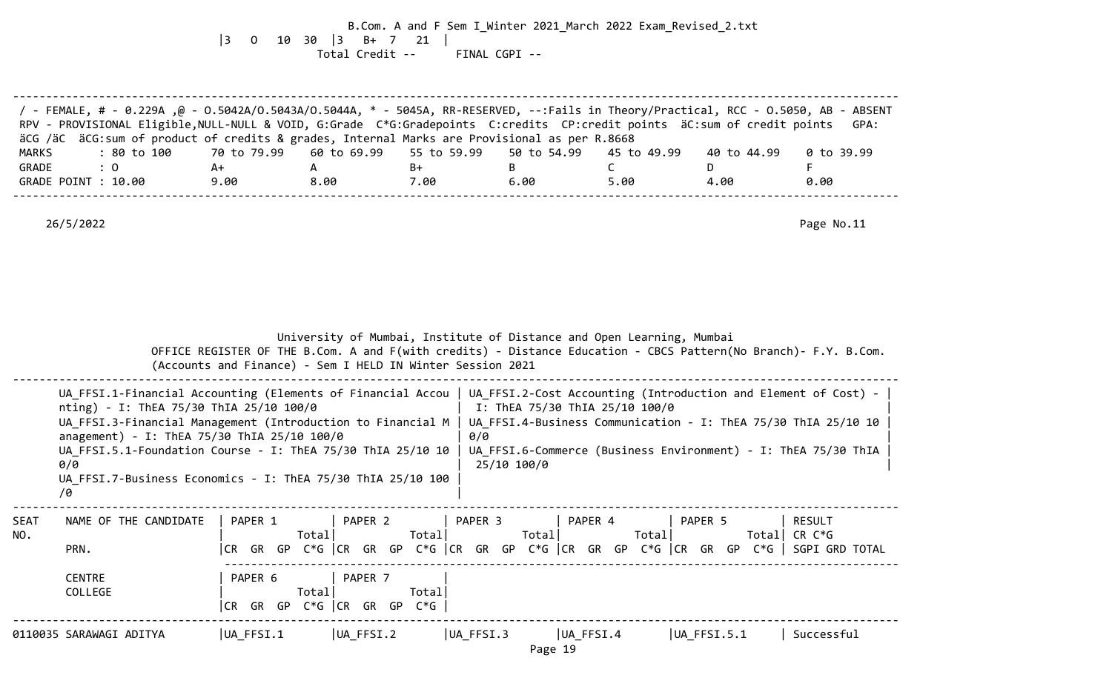B.Com. A and F Sem I\_Winter 2021\_March 2022 Exam\_Revised\_2.txt |3 O 10 30 |3 B+ 7 21 | Total Credit -- FINAL CGPI --

|              | / FEMALE, # - 0.229A ,@ - 0.5042A/0.5043A/0.5044A, * - 5045A, RR-RESERVED, --:Fails in Theory/Practical, RCC - 0.5050, AB - ABSENT<br>RPV - PROVISIONAL Eligible, NULL-NULL & VOID, G:Grade C*G:Gradepoints C:credits CP:credit points äC:sum of credit points<br>äCG /äC äCG:sum of product of credits & grades, Internal Marks are Provisional as per R.8668  |             |                                                            |                    |                                |                                                                                                                                                                                                    |                                                                                                                 | GPA:           |
|--------------|-----------------------------------------------------------------------------------------------------------------------------------------------------------------------------------------------------------------------------------------------------------------------------------------------------------------------------------------------------------------|-------------|------------------------------------------------------------|--------------------|--------------------------------|----------------------------------------------------------------------------------------------------------------------------------------------------------------------------------------------------|-----------------------------------------------------------------------------------------------------------------|----------------|
| <b>MARKS</b> | : 80 to 100                                                                                                                                                                                                                                                                                                                                                     | 70 to 79.99 | 60 to 69.99                                                | 55 to 59.99        | 50 to 54.99                    | 45 to 49.99                                                                                                                                                                                        | 40 to 44.99                                                                                                     | $0$ to 39.99   |
| GRADE        | $\colon 0$                                                                                                                                                                                                                                                                                                                                                      | A+          | $\mathsf{A}$                                               | B+                 | B                              | C                                                                                                                                                                                                  | D                                                                                                               | F              |
|              | GRADE POINT : 10.00                                                                                                                                                                                                                                                                                                                                             | 9.00        | 8.00                                                       | 7.00               | 6.00                           | 5.00                                                                                                                                                                                               | 4.00                                                                                                            | 0.00           |
|              | 26/5/2022                                                                                                                                                                                                                                                                                                                                                       |             |                                                            |                    |                                |                                                                                                                                                                                                    |                                                                                                                 | Page No.11     |
|              |                                                                                                                                                                                                                                                                                                                                                                 |             | (Accounts and Finance) - Sem I HELD IN Winter Session 2021 |                    |                                | University of Mumbai, Institute of Distance and Open Learning, Mumbai                                                                                                                              | OFFICE REGISTER OF THE B.Com. A and F(with credits) - Distance Education - CBCS Pattern(No Branch)- F.Y. B.Com. |                |
|              | UA FFSI.1-Financial Accounting (Elements of Financial Accou<br>nting) - I: ThEA 75/30 ThIA 25/10 100/0<br>UA FFSI.3-Financial Management (Introduction to Financial M<br>anagement) - I: ThEA 75/30 ThIA 25/10 100/0<br>UA_FFSI.5.1-Foundation Course - I: ThEA 75/30 ThIA 25/10 10<br>0/0<br>UA FFSI.7-Business Economics - I: ThEA 75/30 ThIA 25/10 100<br>70 |             |                                                            | 0/0<br>25/10 100/0 | I: ThEA 75/30 ThIA 25/10 100/0 | UA_FFSI.2-Cost Accounting (Introduction and Element of Cost) -<br>UA FFSI.4-Business Communication - I: ThEA 75/30 ThIA 25/10 10<br>UA FFSI.6-Commerce (Business Environment) - I: ThEA 75/30 ThIA |                                                                                                                 |                |
| SEAT         | NAME OF THE CANDIDATE                                                                                                                                                                                                                                                                                                                                           | PAPER 1     | PAPER 2                                                    |                    | PAPER 3                        | PAPER 4                                                                                                                                                                                            | PAPER 5                                                                                                         | <b>RESULT</b>  |
| NO.          |                                                                                                                                                                                                                                                                                                                                                                 |             | Totall                                                     | Total              | Total                          | Total                                                                                                                                                                                              |                                                                                                                 | Total CR $C*G$ |
|              | PRN.                                                                                                                                                                                                                                                                                                                                                            |             |                                                            |                    |                                |                                                                                                                                                                                                    | CR GR GP C*G   CR GR GP C*G   CR GR GP C*G   CR GR GP C*G   CR GR GP C*G    SGPI GRD TOTAL                      |                |
|              | <b>CENTRE</b>                                                                                                                                                                                                                                                                                                                                                   | PAPER 6     | PAPER 7                                                    |                    |                                |                                                                                                                                                                                                    |                                                                                                                 |                |
|              | COLLEGE                                                                                                                                                                                                                                                                                                                                                         |             | Total                                                      | Total              |                                |                                                                                                                                                                                                    |                                                                                                                 |                |
|              |                                                                                                                                                                                                                                                                                                                                                                 |             | CR GR GP C*G  CR GR GP C*G                                 |                    |                                |                                                                                                                                                                                                    |                                                                                                                 |                |
|              | 0110035 SARAWAGI ADITYA                                                                                                                                                                                                                                                                                                                                         | UA FFSI.1   | UA FFSI.2                                                  |                    | UA FFSI.3<br>Page 19           | $ UA_FFSI.4 $                                                                                                                                                                                      | UA FFSI.5.1                                                                                                     | Successful     |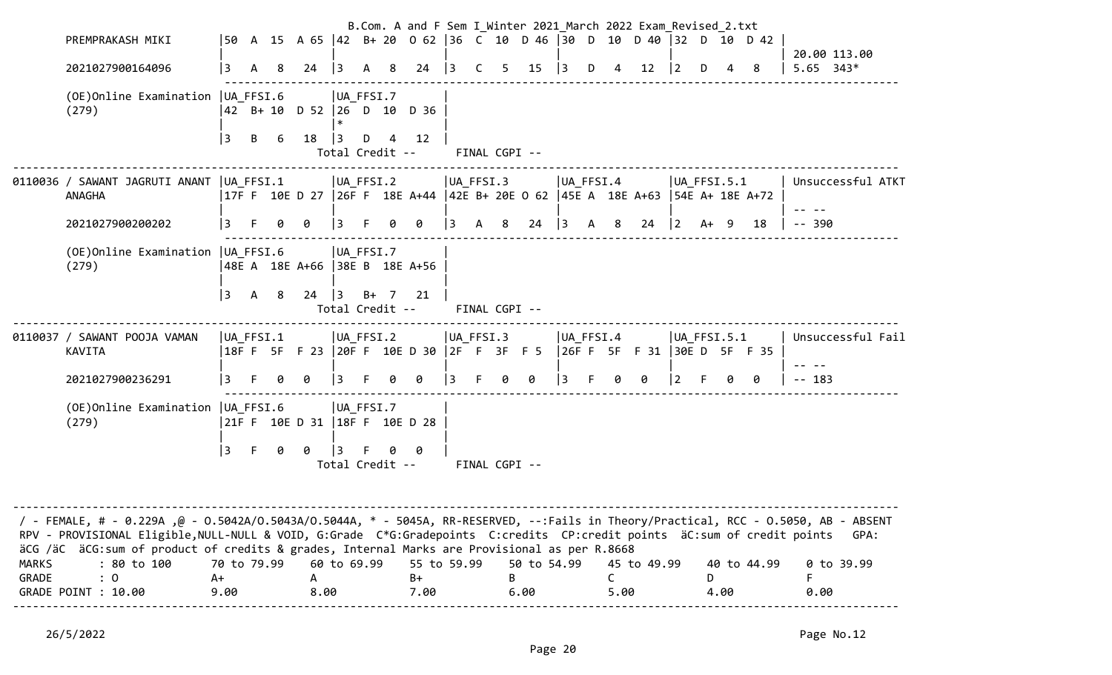|                       | PREMPRAKASH MIKI                                                                                                                                                                                                                                                                                                                                               |                           |      |    | 50 A 15 A 65  42 B + 20 0 62  36 C 10 D 46  30 D 10 D 40  32 D 10 D 42                         |             |                      |          |      |                               |               | B.Com. A and F Sem I Winter 2021 March 2022 Exam Revised 2.txt |             |     |                     |    |                 |           |   |                             |           |                             |
|-----------------------|----------------------------------------------------------------------------------------------------------------------------------------------------------------------------------------------------------------------------------------------------------------------------------------------------------------------------------------------------------------|---------------------------|------|----|------------------------------------------------------------------------------------------------|-------------|----------------------|----------|------|-------------------------------|---------------|----------------------------------------------------------------|-------------|-----|---------------------|----|-----------------|-----------|---|-----------------------------|-----------|-----------------------------|
|                       | 2021027900164096                                                                                                                                                                                                                                                                                                                                               | 3                         | A    | -8 | 24                                                                                             | $\vert$ 3   | A 8                  |          |      | 24 3 C 5                      |               | 15                                                             | $\vert$ 3   | D 4 |                     | 12 | $ 2\rangle$     | D         | 4 | - 8                         |           | 20.00 113.00<br>$5.65$ 343* |
|                       | (OE) Online Examination   UA_FFSI.6<br>(279)                                                                                                                                                                                                                                                                                                                   |                           |      |    | 42 B+ 10 D 52  26 D 10 D 36                                                                    | $\ast$      | $ UA_FFSI.7$         |          |      |                               |               |                                                                |             |     |                     |    |                 |           |   |                             |           |                             |
|                       |                                                                                                                                                                                                                                                                                                                                                                | 3                         | B    | 6  | 18                                                                                             | 3           | D<br>Total Credit -- | 12<br>4  |      |                               | FINAL CGPI -- |                                                                |             |     |                     |    |                 |           |   |                             |           |                             |
|                       | 0110036 / SAWANT JAGRUTI ANANT  UA FFSI.1<br>ANAGHA                                                                                                                                                                                                                                                                                                            |                           |      |    | UA_FFSI.2<br> 17F F 10E D 27  26F F 18E A+44  42E B+ 20E O 62  45E A 18E A+63  54E A+ 18E A+72 |             |                      |          |      | $ UA_FFSI.3 $                 |               |                                                                | UA_FFSI.4   |     |                     |    | $ UA_FFSI.5.1 $ |           |   |                             |           | Unsuccessful ATKT           |
|                       | 2021027900200202                                                                                                                                                                                                                                                                                                                                               | 3                         | F.   | 0  | 0                                                                                              | 3           | E.                   | ø<br>ø   |      | 3                             | A 8           | 24                                                             | $ 3\rangle$ | A   | 8                   | 24 | $ 2 \rangle$    | A+ 9      |   | 18                          | $- - 390$ |                             |
|                       | (OE) Online Examination   UA_FFSI.6<br>(279)                                                                                                                                                                                                                                                                                                                   |                           |      |    | 48E A 18E A+66 38E B 18E A+56                                                                  |             | UA FFSI.7            |          |      |                               |               |                                                                |             |     |                     |    |                 |           |   |                             |           |                             |
|                       |                                                                                                                                                                                                                                                                                                                                                                | 3                         | A 8  |    | 24                                                                                             | 3           | $B+ 7 21$            |          |      | Total Credit -- FINAL CGPI -- |               |                                                                |             |     |                     |    |                 |           |   |                             |           |                             |
|                       | 0110037 / SAWANT POOJA VAMAN<br>KAVITA                                                                                                                                                                                                                                                                                                                         | $ UA_FFSI.1 $             |      |    | 18FF 5F F23  20FF 10ED 30  2F F 3F F5                                                          |             | UA_FFSI.2            |          |      | UA_FFSI.3                     |               |                                                                | UA_FFSI.4   |     |                     |    | $ UA_FFSI.5.1 $ |           |   | 26F F 5F F 31 30E D 5F F 35 |           | Unsuccessful Fail           |
|                       | 2021027900236291                                                                                                                                                                                                                                                                                                                                               | 3 F                       |      |    | 0 0                                                                                            | $ 3\rangle$ | F.                   | 0<br>0   |      | $\vert$ 3                     | $\theta$      | 0                                                              | $ 3\rangle$ | F.  | 0                   | 0  | $ 2\rangle$     | - F       | 0 | 0                           | $-- 183$  |                             |
|                       | (OE) Online Examination   UA_FFSI.6<br>(279)                                                                                                                                                                                                                                                                                                                   |                           |      |    | 21F F 10E D 31  18F F 10E D 28                                                                 |             | UA_FFSI.7            |          |      |                               |               |                                                                |             |     |                     |    |                 |           |   |                             |           |                             |
|                       |                                                                                                                                                                                                                                                                                                                                                                | 3                         | $-F$ | 0  | 0                                                                                              | $ 3\rangle$ | F.                   | 0<br>- 0 |      | Total Credit -- FINAL CGPI -- |               |                                                                |             |     |                     |    |                 |           |   |                             |           |                             |
|                       |                                                                                                                                                                                                                                                                                                                                                                |                           |      |    |                                                                                                |             |                      |          |      |                               |               |                                                                |             |     |                     |    |                 |           |   |                             |           |                             |
|                       | / FEMALE, # - 0.229A ,@ - 0.5042A/0.5043A/0.5044A, * - 5045A, RR-RESERVED, --:Fails in Theory/Practical, RCC - 0.5050, AB - ABSENT<br>RPV - PROVISIONAL Eligible, NULL-NULL & VOID, G:Grade C*G:Gradepoints C:credits CP:credit points äC:sum of credit points<br>äCG /äC äCG:sum of product of credits & grades, Internal Marks are Provisional as per R.8668 |                           |      |    |                                                                                                |             |                      |          |      |                               |               |                                                                |             |     |                     |    |                 |           |   |                             |           | GPA:                        |
| <b>MARKS</b><br>GRADE | : 80 to 100<br>: 0<br>GRADE POINT : 10.00                                                                                                                                                                                                                                                                                                                      | 70 to 79.99<br>A+<br>9.00 |      |    | A<br>8.00                                                                                      |             | 60 to 69.99          | $B+$     | 7.00 | 55 to 59.99                   | B             | 50 to 54.99<br>6.00                                            |             | C.  | 45 to 49.99<br>5.00 |    |                 | D<br>4.00 |   | 40 to 44.99                 | 0.00      | 0 to 39.99                  |
|                       |                                                                                                                                                                                                                                                                                                                                                                |                           |      |    |                                                                                                |             |                      |          |      |                               |               |                                                                |             |     |                     |    |                 |           |   |                             |           |                             |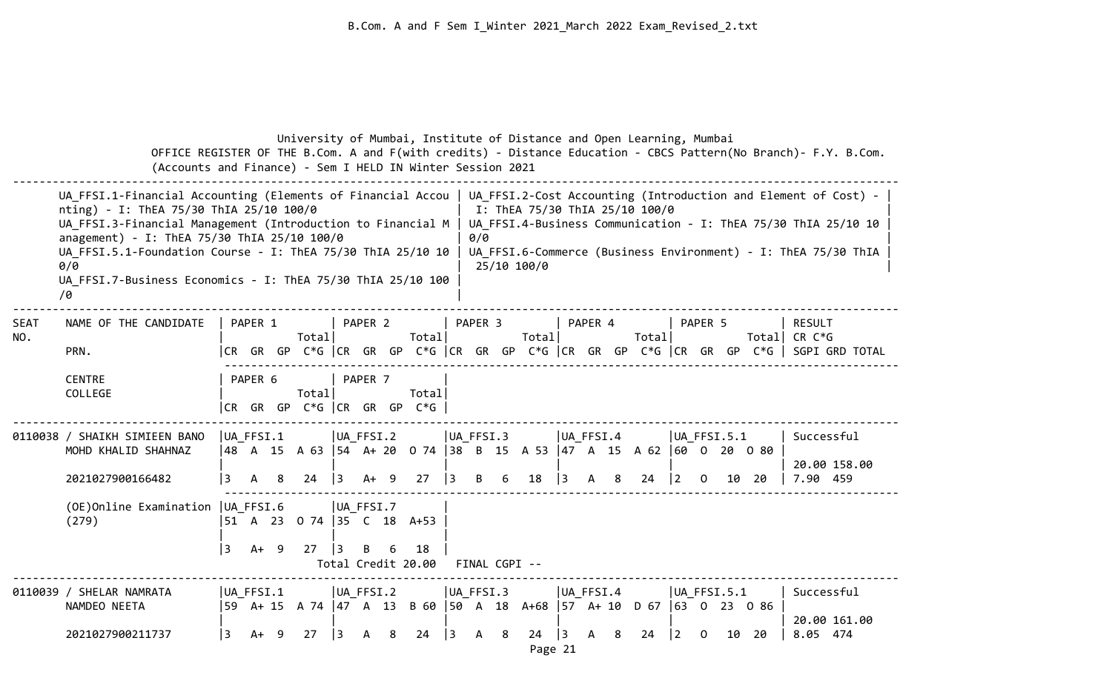|             | OFFICE REGISTER OF THE B.Com. A and F(with credits) - Distance Education - CBCS Pattern(No Branch)- F.Y. B.Com.<br>(Accounts and Finance) - Sem I HELD IN Winter Session 2021                                                                                                                                                                                   |                    |         |   |                                   |                                          |                           |     | University of Mumbai, Institute of Distance and Open Learning, Mumbai            |                          |              |               |                                               |           |                  |   |       |             |                       |                |               |                                                                                                                                                                                                    |  |
|-------------|-----------------------------------------------------------------------------------------------------------------------------------------------------------------------------------------------------------------------------------------------------------------------------------------------------------------------------------------------------------------|--------------------|---------|---|-----------------------------------|------------------------------------------|---------------------------|-----|----------------------------------------------------------------------------------|--------------------------|--------------|---------------|-----------------------------------------------|-----------|------------------|---|-------|-------------|-----------------------|----------------|---------------|----------------------------------------------------------------------------------------------------------------------------------------------------------------------------------------------------|--|
|             | UA FFSI.1-Financial Accounting (Elements of Financial Accou<br>nting) - I: ThEA 75/30 ThIA 25/10 100/0<br>UA_FFSI.3-Financial Management (Introduction to Financial M<br>anagement) - I: ThEA 75/30 ThIA 25/10 100/0<br>UA FFSI.5.1-Foundation Course - I: ThEA 75/30 ThIA 25/10 10<br>0/0<br>UA_FFSI.7-Business Economics - I: ThEA 75/30 ThIA 25/10 100<br>/0 |                    |         |   |                                   |                                          |                           |     |                                                                                  |                          | 0/0          |               | I: ThEA 75/30 ThIA 25/10 100/0<br>25/10 100/0 |           |                  |   |       |             |                       |                |               | UA_FFSI.2-Cost Accounting (Introduction and Element of Cost) -<br>UA FFSI.4-Business Communication - I: ThEA 75/30 ThIA 25/10 10<br>UA FFSI.6-Commerce (Business Environment) - I: ThEA 75/30 ThIA |  |
| SEAT<br>NO. | NAME OF THE CANDIDATE<br>PRN.                                                                                                                                                                                                                                                                                                                                   |                    | PAPER 1 |   | Totall                            |                                          | PAPER 2                   |     | Totall<br> CR GR GP C*G  CR GR GP C*G  CR GR GP C*G  CR GR GP C*G  CR GR GP      |                          | PAPER 3      |               | Total                                         |           | PAPER 4          |   | Total |             | PAPER 5               | Total CR $C*G$ | <b>RESULT</b> | C*G   SGPI GRD TOTAL                                                                                                                                                                               |  |
|             | <b>CENTRE</b><br>COLLEGE                                                                                                                                                                                                                                                                                                                                        |                    | PAPER 6 |   | Total<br>CR GR GP C*G CR GR GP    |                                          | PAPER 7                   |     | Total<br>$C*G$                                                                   |                          |              |               |                                               |           |                  |   |       |             |                       |                |               |                                                                                                                                                                                                    |  |
|             | 0110038 / SHAIKH SIMIEEN BANO<br>MOHD KHALID SHAHNAZ<br>2021027900166482                                                                                                                                                                                                                                                                                        | $ UA_FFSI.1 $<br>3 | А       | 8 | 24                                | $\vert$ 3                                | UA FFSI.2<br>A+           | - 9 | 48 A 15 A 63   54 A + 20 0 74   38 B 15 A 53   47 A 15 A 62   60 0 20 0 80<br>27 | UA FFSI.3<br>13          | B            | 6             | 18                                            | $\vert$ 3 | UA FFSI.4<br>A   | 8 | 24    | $\vert$ 2   | $ UA$ FFSI.5.1<br>. O | 10 20          |               | Successful<br>20.00 158.00<br>7.90 459                                                                                                                                                             |  |
|             | (OE) Online Examination   UA FFSI.6<br>(279)                                                                                                                                                                                                                                                                                                                    | 3                  | $A+ 9$  |   | 51 A 23 0 74   35 C 18 A+53<br>27 | $\begin{array}{c} \boxed{3} \end{array}$ | $ UA_FFST.7$<br>B         | -6  | 18<br>Total Credit 20.00                                                         |                          |              | FINAL CGPI -- |                                               |           |                  |   |       |             |                       |                |               |                                                                                                                                                                                                    |  |
|             | 0110039 / SHELAR NAMRATA<br>NAMDEO NEETA<br>2021027900211737                                                                                                                                                                                                                                                                                                    | UA FFSI.1<br>l 3   | A+ 9    |   | 27                                | $ 3\rangle$                              | UA FFSI.2<br>$\mathsf{A}$ | 8   | 59 A+ 15 A 74  47 A 13 B 60  50 A 18 A+68  57 A+ 10 D 67  63 O 23 O 86<br>24     | UA FFSI.3<br>$ 3\rangle$ | $\mathsf{A}$ | 8             | 24                                            | $\vert$ 3 | UA FFSI.4<br>A 8 |   | 24    | $ 2\rangle$ | $ UA$ FFSI.5.1<br>. O | 10 20          |               | Successful<br>20.00 161.00<br>8.05 474                                                                                                                                                             |  |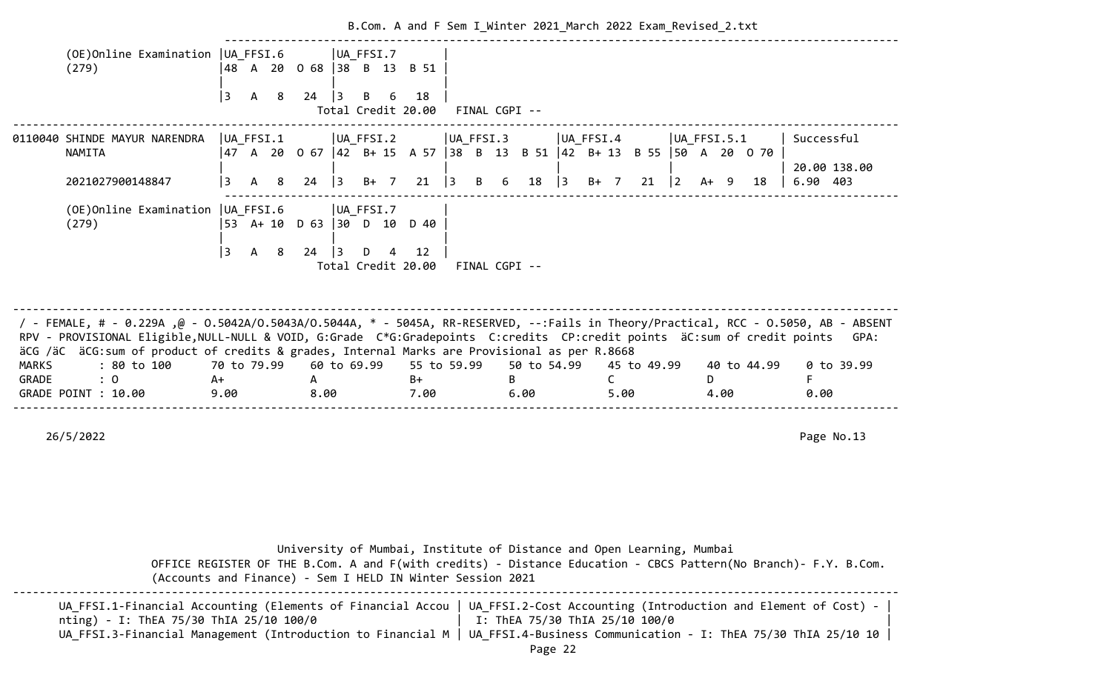|       |                                                                                                                                                                                                                                                                                                                                                                  |             |     |     |                             |             |        |                                                    |             |           | B.Com. A and F Sem I_Winter 2021_March 2022 Exam_Revised_2.txt         |           |           |              |             |             |                |      |             |            |              |
|-------|------------------------------------------------------------------------------------------------------------------------------------------------------------------------------------------------------------------------------------------------------------------------------------------------------------------------------------------------------------------|-------------|-----|-----|-----------------------------|-------------|--------|----------------------------------------------------|-------------|-----------|------------------------------------------------------------------------|-----------|-----------|--------------|-------------|-------------|----------------|------|-------------|------------|--------------|
|       | (OE) Online Examination   UA FFSI.6<br>(279)                                                                                                                                                                                                                                                                                                                     |             |     |     | 48 A 20 O 68   38 B 13 B 51 | UA FFSI.7   |        |                                                    |             |           |                                                                        |           |           |              |             |             |                |      |             |            |              |
|       |                                                                                                                                                                                                                                                                                                                                                                  | 3           | A 8 |     | 24                          | 3           | B 6    | 18<br>Total Credit 20.00 FINAL CGPI --             |             |           |                                                                        |           |           |              |             |             |                |      |             |            |              |
|       | 0110040 SHINDE MAYUR NARENDRA<br><b>NAMITA</b>                                                                                                                                                                                                                                                                                                                   | UA FFSI.1   |     |     |                             | UA FFSI.2   |        |                                                    |             | UA_FFSI.3 | 47 A 20 0 67  42 B+ 15 A 57  38 B 13 B 51  42 B+ 13 B 55  50 A 20 0 70 |           | UA FFSI.4 |              |             |             | $ UA$ FFSI.5.1 |      |             | Successful |              |
|       | 2021027900148847                                                                                                                                                                                                                                                                                                                                                 |             |     | A 8 | $24$ 3                      |             | $B+ 7$ | 21                                                 | 3           | B 6       | 18                                                                     | $\vert$ 3 | B+ 7      |              | 21          | $ 2\rangle$ | $A+ 9$         |      | 18          | 6.90 403   | 20.00 138.00 |
|       | (OE) Online Examination   UA_FFSI.6<br>(279)                                                                                                                                                                                                                                                                                                                     |             |     |     | 53 A+ 10 D 63 30 D 10 D 40  | UA FFSI.7   |        |                                                    |             |           |                                                                        |           |           |              |             |             |                |      |             |            |              |
|       |                                                                                                                                                                                                                                                                                                                                                                  | l 3         | A 8 |     | $24 \quad 3$                |             |        | $D \t 4 \t 12$<br>Total Credit 20.00 FINAL CGPI -- |             |           |                                                                        |           |           |              |             |             |                |      |             |            |              |
|       |                                                                                                                                                                                                                                                                                                                                                                  |             |     |     |                             |             |        |                                                    |             |           |                                                                        |           |           |              |             |             |                |      |             |            |              |
|       | / - FEMALE, # - 0.229A ,@ - 0.5042A/0.5043A/0.5044A, * - 5045A, RR-RESERVED, --:Fails in Theory/Practical, RCC - 0.5050, AB - ABSENT<br>RPV - PROVISIONAL Eligible, NULL-NULL & VOID, G:Grade C*G:Gradepoints C:credits CP:credit points äC:sum of credit points<br>äCG /äC äCG:sum of product of credits & grades, Internal Marks are Provisional as per R.8668 |             |     |     |                             |             |        |                                                    |             |           |                                                                        |           |           |              |             |             |                |      |             |            | GPA:         |
|       | : 80 to 100                                                                                                                                                                                                                                                                                                                                                      | 70 to 79.99 |     |     |                             | 60 to 69.99 |        |                                                    | 55 to 59.99 |           | 50 to 54.99                                                            |           |           |              | 45 to 49.99 |             |                |      | 40 to 44.99 |            | $0$ to 39.99 |
| MARKS |                                                                                                                                                                                                                                                                                                                                                                  |             |     |     | A                           |             |        | B+                                                 |             | B.        |                                                                        |           |           | $\mathsf{C}$ |             |             | D.             |      |             |            |              |
| GRADE | : 0<br>A+<br>GRADE POINT : 10.00                                                                                                                                                                                                                                                                                                                                 | 9.00        |     |     | 8.00                        |             |        | 7.00                                               |             |           | 6.00                                                                   |           |           | 5.00         |             |             |                | 4.00 |             | F<br>0.00  |              |

| (Accounts and Finance) - Sem I HELD IN Winter Session 2021                                             | University of Mumbai, Institute of Distance and Open Learning, Mumbai<br>OFFICE REGISTER OF THE B.Com. A and F(with credits) - Distance Education - CBCS Pattern(No Branch)- F.Y. B.Com.                                                    |
|--------------------------------------------------------------------------------------------------------|---------------------------------------------------------------------------------------------------------------------------------------------------------------------------------------------------------------------------------------------|
| nting) - I: ThEA 75/30 ThIA 25/10 100/0<br>UA FFSI.3-Financial Management (Introduction to Financial M | UA FFSI.1-Financial Accounting (Elements of Financial Accou   UA FFSI.2-Cost Accounting (Introduction and Element of Cost) -<br>I: ThEA 75/30 ThIA 25/10 100/0<br>UA FFSI.4-Business Communication - I: ThEA 75/30 ThIA 25/10 10<br>Page 22 |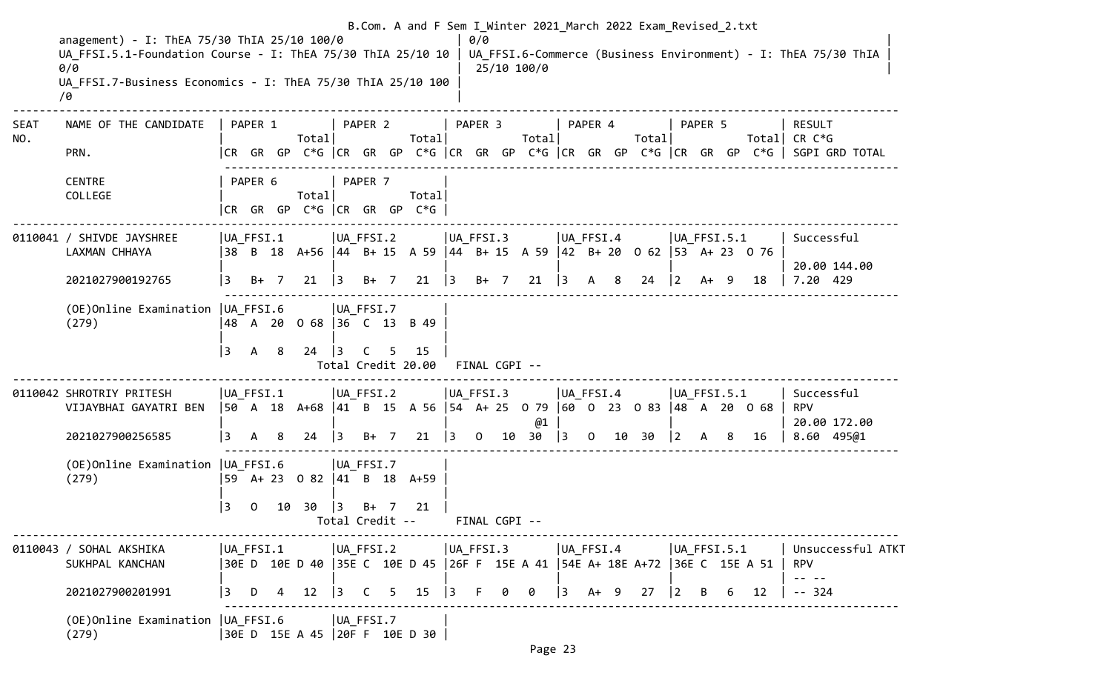|                    | anagement) - I: ThEA 75/30 ThIA 25/10 100/0                        |                   |              |        |                                 |             |         |      |                                                               |               | 0/0            |          |               |           |         |           | B.Com. A and F Sem I Winter 2021 March 2022 Exam Revised 2.txt                  |                                       |              |                  |    |                                 |                                                                                       |
|--------------------|--------------------------------------------------------------------|-------------------|--------------|--------|---------------------------------|-------------|---------|------|---------------------------------------------------------------|---------------|----------------|----------|---------------|-----------|---------|-----------|---------------------------------------------------------------------------------|---------------------------------------|--------------|------------------|----|---------------------------------|---------------------------------------------------------------------------------------|
|                    | UA FFSI.5.1-Foundation Course - I: ThEA 75/30 ThIA 25/10 10<br>0/0 |                   |              |        |                                 |             |         |      |                                                               |               |                |          | 25/10 100/0   |           |         |           |                                                                                 |                                       |              |                  |    |                                 | UA FFSI.6-Commerce (Business Environment) - I: ThEA 75/30 ThIA                        |
|                    | UA FFSI.7-Business Economics - I: ThEA 75/30 ThIA 25/10 100<br>70  |                   |              |        |                                 |             |         |      |                                                               |               |                |          |               |           |         |           |                                                                                 |                                       |              |                  |    |                                 |                                                                                       |
| <b>SEAT</b><br>NO. | NAME OF THE CANDIDATE                                              |                   | PAPER 1      |        | Total                           |             | PAPER 2 |      | Total                                                         |               | PAPER 3        |          | Total         |           | PAPER 4 |           | Totall                                                                          |                                       | PAPER 5      |                  |    | <b>RESULT</b><br>Total CR $C*G$ |                                                                                       |
|                    | PRN.                                                               |                   |              |        |                                 |             |         |      |                                                               |               |                |          |               |           |         |           |                                                                                 |                                       |              |                  |    |                                 | CR GR GP C*G  CR GR GP C*G  CR GR GP C*G  CR GR GP C*G  CR GR GP C*G   SGPI GRD TOTAL |
|                    | <b>CENTRE</b><br>COLLEGE                                           |                   | PAPER 6      |        | Total                           |             | PAPER 7 |      | Total                                                         |               |                |          |               |           |         |           |                                                                                 |                                       |              |                  |    |                                 |                                                                                       |
|                    |                                                                    |                   |              |        | $ CR$ GR GP C*G $ CR$ GR GP C*G |             |         |      |                                                               |               |                |          |               |           |         |           |                                                                                 |                                       |              |                  |    |                                 |                                                                                       |
|                    | 0110041 / SHIVDE JAYSHREE<br>LAXMAN CHHAYA                         | UA FFSI.1<br>  38 |              |        |                                 | UA FFSI.2   |         |      |                                                               | UA_FFSI.3     |                |          |               | UA FFSI.4 |         |           | B 18 A+56 44 B+ 15 A 59 44 B+ 15 A 59 42 B+ 20 0 62 53 A+ 23 0 76               |                                       |              | $ UA$ FFSI.5.1   |    |                                 | Successful                                                                            |
|                    | 2021027900192765                                                   | 3                 |              | $B+ 7$ | 21                              | $ 3\rangle$ |         | B+ 7 | 21                                                            | $\vert$ 3     |                | $B+$ 7   | 21            | $\vert$ 3 |         | A 8       | 24                                                                              | $ 2\rangle$                           |              | $A+ 9$           | 18 | 7.20 429                        | 20.00 144.00                                                                          |
|                    | (OE) Online Examination   UA FFSI.6<br>(279)                       |                   |              |        | 48 A 20 0 68   36 C 13 B 49     | UA FFSI.7   |         |      |                                                               |               |                |          |               |           |         |           |                                                                                 |                                       |              |                  |    |                                 |                                                                                       |
|                    |                                                                    | 13                | $\mathsf{A}$ | - 8    | 24                              | $\vert$ 3   | C       | 5.   | 15<br>Total Credit 20.00 FINAL CGPI --                        |               |                |          |               |           |         |           |                                                                                 |                                       |              |                  |    |                                 |                                                                                       |
|                    | 0110042 SHROTRIY PRITESH<br>VIJAYBHAI GAYATRI BEN                  | UA FFSI.1         |              |        |                                 | UA_FFSI.2   |         |      |                                                               | $ UA_FFSI.3 $ |                |          |               | UA_FFSI.4 |         |           | 50 A 18 A+68  41 B 15 A 56  54 A+ 25 0 79  60 0 23 0 83  48 A 20 0 68           |                                       |              | $ UA$ FFSI.5.1   |    | <b>RPV</b>                      | Successful                                                                            |
|                    | 2021027900256585                                                   | l 3               | A            | -8     | 24                              | $\vert$ 3   | B+ 7    |      | 21                                                            | $\vert$ 3     | $\overline{0}$ |          | @1<br>10 30   | $\vert$ 3 |         |           | 0 10 30                                                                         | $\vert$ 2                             | $\mathsf{A}$ | 8                | 16 |                                 | 20.00 172.00<br>8.60 495@1                                                            |
|                    | (OE) Online Examination   UA_FFSI.6<br>(279)                       |                   |              |        | 59 A+ 23 0 82  41 B 18 A+59     | UA FFSI.7   |         |      |                                                               |               |                |          |               |           |         |           |                                                                                 |                                       |              |                  |    |                                 |                                                                                       |
|                    |                                                                    | 3                 | $\mathbf{O}$ |        | 10 30                           | $ 3\rangle$ |         | B+ 7 | 21<br>Total Credit --                                         |               |                |          | FINAL CGPI -- |           |         |           |                                                                                 |                                       |              |                  |    |                                 |                                                                                       |
|                    | 0110043 / SOHAL AKSHIKA<br>SUKHPAL KANCHAN                         |                   |              |        | UA_FFSI.1  UA_FFSI.2            |             |         |      |                                                               |               |                |          | UA_FFSI.3     |           |         | UA FFSI.4 | 30E D 10E D 40  35E C 10E D 45  26F F 15E A 41  54E A+ 18E A+72  36E C 15E A 51 |                                       |              | $ UA_F$ FFSI.5.1 |    | <b>RPV</b><br>$- - - - -$       | Unsuccessful ATKT                                                                     |
|                    | 2021027900201991                                                   | l 3               |              |        | D 4 12                          |             |         |      | $\begin{array}{ccccccccc} 3 & C & 5 & 15 & 3 & F \end{array}$ |               |                | $\Theta$ | $\theta$      |           |         |           | $\begin{vmatrix} 3 & 4 & 9 & 27 \end{vmatrix}$                                  | $\begin{vmatrix} 2 & B \end{vmatrix}$ |              | 6                | 12 | $-- 324$                        |                                                                                       |
|                    | (OE) Online Examination   UA FFSI.6   UA FFSI.7<br>(279)           |                   |              |        | 30E D 15E A 45 20F F 10E D 30   |             |         |      |                                                               |               |                |          |               |           |         |           |                                                                                 |                                       |              |                  |    |                                 |                                                                                       |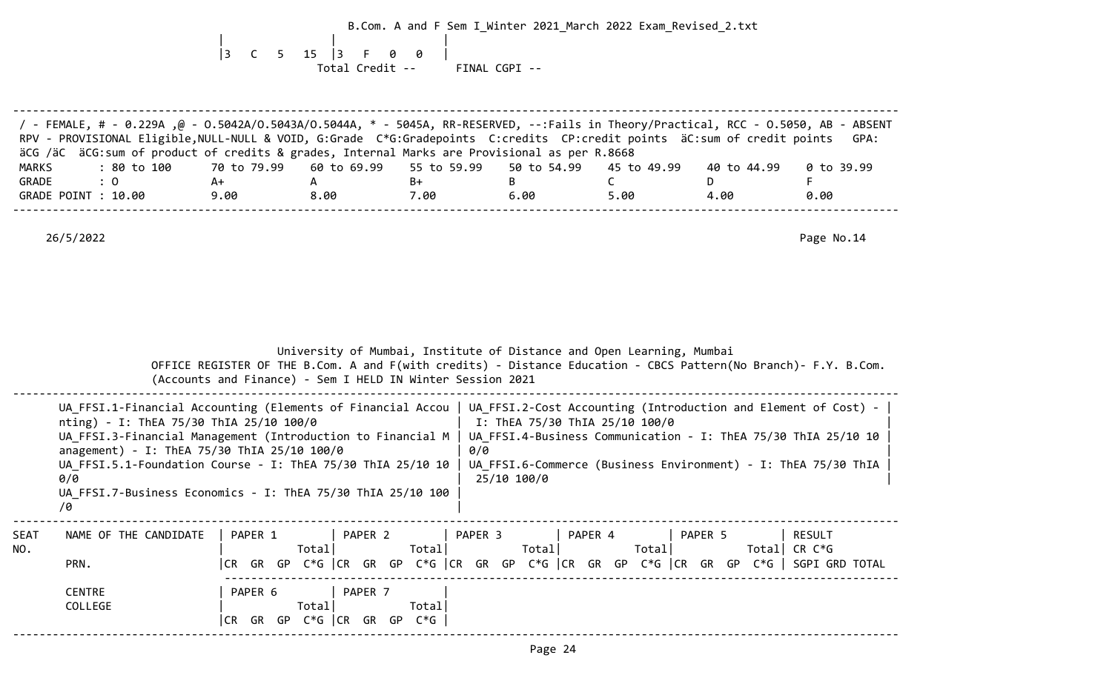B.Com. A and F Sem I\_Winter 2021\_March 2022 Exam\_Revised\_2.txt | | | |3 C 5 15 |3 F 0 0 | Total Credit -- FINAL CGPI --

--------------------------------------------------------------------------------------------------------------------------------------

 / - FEMALE, # - 0.229A ,@ - O.5042A/O.5043A/O.5044A, \* - 5045A, RR-RESERVED, --:Fails in Theory/Practical, RCC - O.5050, AB - ABSENT RPV - PROVISIONAL Eligible, NULL-NULL & VOID, G:Grade C\*G:Gradepoints C:credits CP:credit points äC:sum of credit points GPA: äCG /äC äCG:sum of product of credits & grades, Internal Marks are Provisional as per R.8668 MARKS : 80 to 100 70 to 79.99 60 to 69.99 55 to 59.99 50 to 54.99 45 to 49.99 40 to 44.99 0 to 39.99 GRADE : 0 A+ A B+ B C D F GRADE POINT : 10.00 0.00 0.00 0.00 0.00 5.00 5.00 4.00 0.00 --------------------------------------------------------------------------------------------------------------------------------------

|             |                                                                                                                                                                                                                                                                                                                                                                                                                                                                                                   |                    | (Accounts and Finance) - Sem I HELD IN Winter Session 2021                                        |                 |                    | University of Mumbai, Institute of Distance and Open Learning, Mumbai<br>OFFICE REGISTER OF THE B.Com. A and F(with credits) - Distance Education - CBCS Pattern(No Branch)- F.Y. B.Com. |         |                          |
|-------------|---------------------------------------------------------------------------------------------------------------------------------------------------------------------------------------------------------------------------------------------------------------------------------------------------------------------------------------------------------------------------------------------------------------------------------------------------------------------------------------------------|--------------------|---------------------------------------------------------------------------------------------------|-----------------|--------------------|------------------------------------------------------------------------------------------------------------------------------------------------------------------------------------------|---------|--------------------------|
|             | UA FFSI.1-Financial Accounting (Elements of Financial Accou   UA FFSI.2-Cost Accounting (Introduction and Element of Cost) -<br>nting) - I: ThEA 75/30 ThIA 25/10 100/0<br>UA FFSI.3-Financial Management (Introduction to Financial M   UA FFSI.4-Business Communication - I: ThEA 75/30 ThIA 25/10 10<br>anagement) - I: ThEA 75/30 ThIA 25/10 100/0<br>UA FFSI.5.1-Foundation Course - I: ThEA 75/30 ThIA 25/10 10<br>0/0<br>UA FFSI.7-Business Economics - I: ThEA 75/30 ThIA 25/10 100<br>/0 |                    |                                                                                                   |                 | 0/0<br>25/10 100/0 | I: ThEA 75/30 ThIA 25/10 100/0<br>UA_FFSI.6-Commerce (Business Environment) - I: ThEA 75/30 ThIA                                                                                         |         |                          |
| SEAT<br>NO. | NAME OF THE CANDIDATE<br>PRN.<br><b>CENTRE</b><br>COLLEGE                                                                                                                                                                                                                                                                                                                                                                                                                                         | PAPER 1<br>PAPER 6 | PAPER 2<br>Totall<br>PAPER 7<br>Totall<br>$CR$ GR GP C <sup>*</sup> G $CR$ GR GP C <sup>*</sup> G | Totall<br>Total | PAPER 3<br>Total   | PAPER 4<br>Total <br> CR GR GP C*G  CR GR GP C*G  CR GR GP C*G  CR GR GP C*G  CR GR GP C*G   SGPI GRD TOTAL                                                                              | PAPER 5 | RESULT<br>Total CR $C*G$ |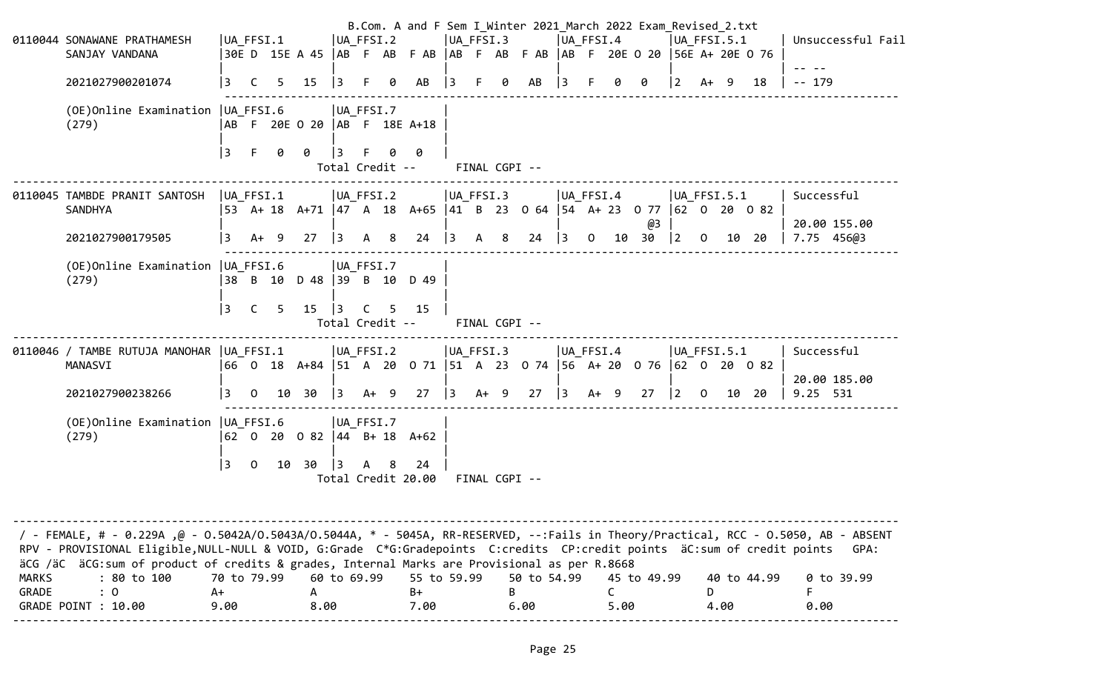|                | 0110044 SONAWANE PRATHAMESH<br>SANJAY VANDANA<br>2021027900201074<br>(OE) Online Examination   UA FFSI.6<br>(279)                                                                                                                                                                                                                                                                                                   | UA_FFSI.1<br>3<br>3       | C.<br>F      | 5.<br>0 | 30ED 15EA 45  AB F AB F AB  AB F AB F AB  AB F 20E O 20  56E A+ 20E O 76<br>15<br> AB F 20E O 20  AB F 18E A+18<br>0                    | $\vert$ 3<br>13                          | UA FFSI.2<br>F.<br>$ UA_FFSI.7$<br>Total Credit -- | 0 | AB<br>0                                | $ 3\rangle$  | UA FFSI.3<br>$-F$ | 0<br>FINAL CGPI -- | AB                                                                   | 13                       | UA FFSI.4    |            | B.Com. A and F Sem I Winter 2021 March 2022 Exam Revised 2.txt | UA FFSI.5.1<br>2            | $A+ 9$       |       | 18          | Unsuccessful Fail<br>$-- 179$            |
|----------------|---------------------------------------------------------------------------------------------------------------------------------------------------------------------------------------------------------------------------------------------------------------------------------------------------------------------------------------------------------------------------------------------------------------------|---------------------------|--------------|---------|-----------------------------------------------------------------------------------------------------------------------------------------|------------------------------------------|----------------------------------------------------|---|----------------------------------------|--------------|-------------------|--------------------|----------------------------------------------------------------------|--------------------------|--------------|------------|----------------------------------------------------------------|-----------------------------|--------------|-------|-------------|------------------------------------------|
|                | 0110045 TAMBDE PRANIT SANTOSH<br><b>SANDHYA</b><br>2021027900179505                                                                                                                                                                                                                                                                                                                                                 | $ UA_FFSI.1 $<br>3        | $A+ 9$       |         | $ UA_FFSI.2 $<br> 53 A+ 18 A+71  47 A 18 A+65  41 B 23 0 64  54 A+ 23 0 77  62 0 20 0 82<br>27                                          | $ 3\rangle$                              | A 8                                                |   | 24                                     | $ 3 \rangle$ | $ UA_FFSI.3 $     | A 8                | 24                                                                   | UA FFSI.4<br>$ 3\rangle$ | $\mathbf{O}$ |            | @3<br>10 30                                                    | $ UA$ FFSI.5.1<br>$\vert$ 2 | $\Omega$     |       | 10 20       | Successful<br>20.00 155.00<br>7.75 456@3 |
|                | (OE) Online Examination   UA_FFSI.6<br>(279)                                                                                                                                                                                                                                                                                                                                                                        | 3                         | $\mathsf{C}$ | 5       | 38 B 10 D 48 39 B 10 D 49<br>15                                                                                                         | $\begin{array}{c} \boxed{3} \end{array}$ | $ UA_FFSI.7$<br>$\mathsf{C}$                       | 5 | 15<br>Total Credit --                  |              |                   | FINAL CGPI --      |                                                                      |                          |              |            |                                                                |                             |              |       |             |                                          |
|                | 0110046 / TAMBE RUTUJA MANOHAR   UA FFSI.1<br>MANASVI<br>2021027900238266<br>(OE) Online Examination   UA_FFSI.6<br>(279)                                                                                                                                                                                                                                                                                           | 3                         |              |         | $ UA_FFSI.2$<br> 66 0 18 A+84  51 A 20 0 71  51 A 23 0 74  56 A+ 20 0 76  62 0 20 0 82<br>$0 \t10 \t30$<br> 62 0 20 0 82  44 B+ 18 A+62 | $\vert$ 3                                | A+ 9<br>$ UA_FFSI.7$                               |   |                                        |              |                   | $ UA_F$ FFSI.3     | $27 \begin{array}{ rrrrrr} 3 & A+ & 9 & 27 & 3 & A+ & 9 \end{array}$ | UA FFSI.4                |              |            | 27                                                             | $ UA$ FFSI.5.1<br>$\vert$ 2 | $\mathbf{0}$ | 10 20 |             | Successful<br>20.00 185.00<br>9.25 531   |
|                |                                                                                                                                                                                                                                                                                                                                                                                                                     | 3                         | $\Omega$     | 10      | 30                                                                                                                                      | $\vert$ 3                                | A 8                                                |   | 24<br>Total Credit 20.00 FINAL CGPI -- |              |                   |                    |                                                                      |                          |              |            |                                                                |                             |              |       |             |                                          |
| MARKS<br>GRADE | / FEMALE, # - 0.229A ,@ - 0.5042A/0.5043A/0.5044A, * - 5045A, RR-RESERVED, --:Fails in Theory/Practical, RCC - 0.5050, AB - ABSENT<br>RPV - PROVISIONAL Eligible, NULL-NULL & VOID, G:Grade C*G:Gradepoints C:credits CP:credit points äC:sum of credit points<br>äCG /äC äCG: sum of product of credits & grades, Internal Marks are Provisional as per R.8668<br>: 80 to 100<br>$\colon 0$<br>GRADE POINT : 10.00 | 70 to 79.99<br>A+<br>9.00 |              |         | A<br>8.00                                                                                                                               |                                          | 60 to 69.99                                        |   | 55 to 59.99<br>B+<br>7.00              |              |                   | B                  | 50 to 54.99<br>6.00                                                  |                          |              | C.<br>5.00 | 45 to 49.99                                                    |                             | D            | 4.00  | 40 to 44.99 | GPA:<br>0 to 39.99<br>F.<br>0.00         |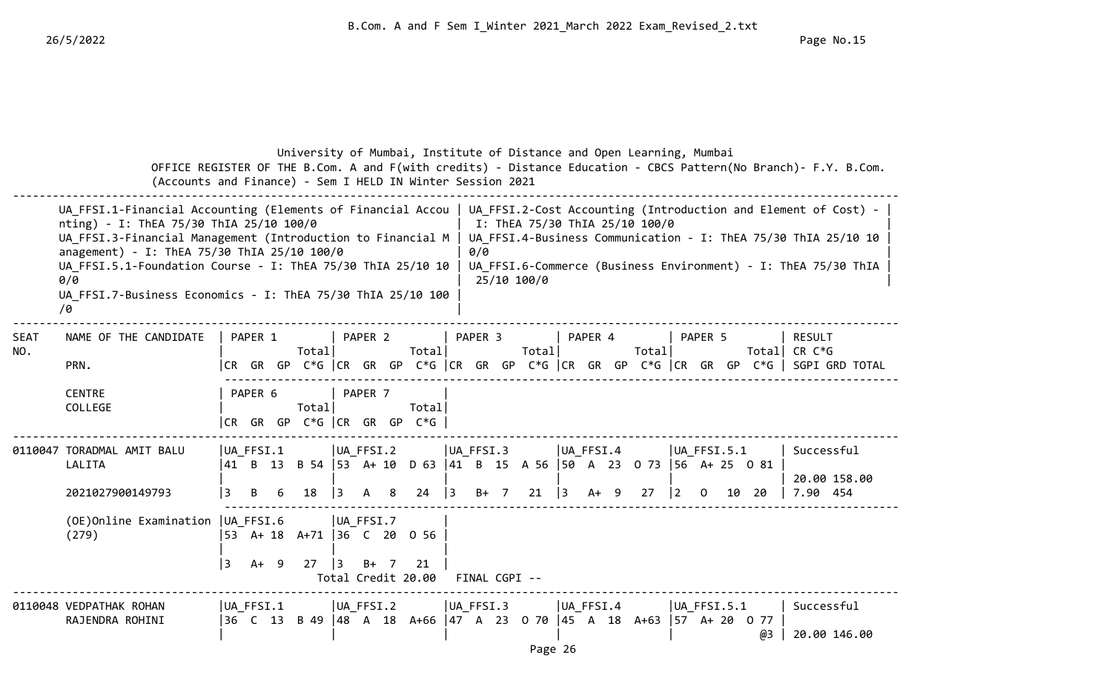|                    | (Accounts and Finance) - Sem I HELD IN Winter Session 2021                                                                                                                                                                                                                                                                                                      |                     |             |    |                                |                        |                                                         | University of Mumbai, Institute of Distance and Open Learning, Mumbai                       |         |                            |                                               |           |       |             |                            |    |    | OFFICE REGISTER OF THE B.Com. A and F(with credits) - Distance Education - CBCS Pattern(No Branch)- F.Y. B.Com.                                                                                    |  |
|--------------------|-----------------------------------------------------------------------------------------------------------------------------------------------------------------------------------------------------------------------------------------------------------------------------------------------------------------------------------------------------------------|---------------------|-------------|----|--------------------------------|------------------------|---------------------------------------------------------|---------------------------------------------------------------------------------------------|---------|----------------------------|-----------------------------------------------|-----------|-------|-------------|----------------------------|----|----|----------------------------------------------------------------------------------------------------------------------------------------------------------------------------------------------------|--|
|                    | UA FFSI.1-Financial Accounting (Elements of Financial Accou<br>nting) - I: ThEA 75/30 ThIA 25/10 100/0<br>UA FFSI.3-Financial Management (Introduction to Financial M<br>anagement) - I: ThEA 75/30 ThIA 25/10 100/0<br>UA FFSI.5.1-Foundation Course - I: ThEA 75/30 ThIA 25/10 10<br>0/0<br>UA FFSI.7-Business Economics - I: ThEA 75/30 ThIA 25/10 100<br>70 |                     |             |    |                                |                        |                                                         |                                                                                             | 0/0     |                            | I: ThEA 75/30 ThIA 25/10 100/0<br>25/10 100/0 |           |       |             |                            |    |    | UA FFSI.2-Cost Accounting (Introduction and Element of Cost) -<br>UA FFSI.4-Business Communication - I: ThEA 75/30 ThIA 25/10 10<br>UA FFSI.6-Commerce (Business Environment) - I: ThEA 75/30 ThIA |  |
| <b>SEAT</b><br>NO. | NAME OF THE CANDIDATE<br>PRN.                                                                                                                                                                                                                                                                                                                                   |                     | PAPER 1     |    | Totall                         |                        | PAPER 2                                                 | Total                                                                                       | PAPER 3 |                            | Total                                         | PAPER 4   | Total |             | PAPER 5                    |    |    | <b>RESULT</b><br>Total  CR C*G<br> CR GR GP C*G  CR GR GP C*G  CR GR GP C*G  CR GR GP C*G  CR GR GP C*G   SGPI GRD TOTAL                                                                           |  |
|                    | <b>CENTRE</b><br>COLLEGE                                                                                                                                                                                                                                                                                                                                        |                     | PAPER 6     |    | Total<br>CR GR GP C*G CR GR GP |                        | PAPER <sub>7</sub>                                      | Total<br>$C*G$                                                                              |         |                            |                                               |           |       |             |                            |    |    |                                                                                                                                                                                                    |  |
|                    | 0110047 TORADMAL AMIT BALU<br>LALITA<br>2021027900149793<br>(OE) Online Examination   UA FFSI.6<br>(279)                                                                                                                                                                                                                                                        | UA FFSI.1<br>3<br>3 | B<br>$A+ 9$ | -6 | 18<br>27                       | $\vert$ 3<br>$\vert$ 3 | UA FFSI.2<br>8 <sup>8</sup><br>A<br>UA FFSI.7<br>$B+ 7$ | $24 \mid 3$<br> 53 A+ 18 A+71  36 C 20 0 56<br>21                                           |         | $ UA$ FFSI.3<br>$B+$ 7     | $21 \quad  3 \quad A+ \quad 9$                | UA FFSI.4 | 27    | $ 2\rangle$ | $ UA$ FFSI.5.1<br>$\Omega$ | 10 | 20 | Successful<br>20.00 158.00<br>7.90 454                                                                                                                                                             |  |
|                    | 0110048 VEDPATHAK ROHAN<br>RAJENDRA ROHINI                                                                                                                                                                                                                                                                                                                      | UA FFSI.1           |             |    |                                |                        | UA FFSI.2                                               | Total Credit 20.00<br>36 C 13 B 49  48 A 18 A+66  47 A 23 0 70  45 A 18 A+63  57 A+ 20 0 77 |         | FINAL CGPI --<br>UA FFSI.3 | Page 26                                       | UA FFSI.4 |       |             | UA FFSI.5.1                |    | ωЗ | Successful<br>20.00 146.00                                                                                                                                                                         |  |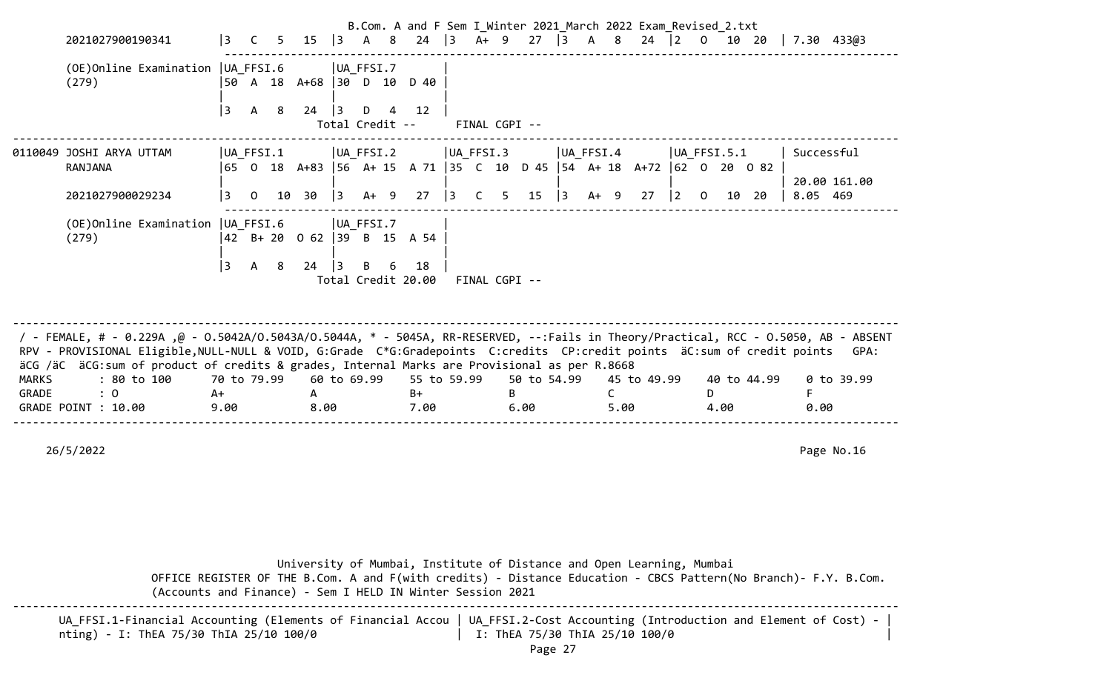|              | 2021027900190341                                                                                                                                                                                                                                                                                                                                                 | <u>  3</u>  | $\mathsf{C}$ |    |                             |           |                      |   | B.Com. A and F Sem I Winter 2021 March 2022 Exam Revised 2.txt<br>5 15 3 A 8 24 3 |             |    |               | A+ 9 27 3 A 8 24 2 0 10 20 |   |           |             |    |                |          |      |             |      | $7.30$ 433@3             |      |
|--------------|------------------------------------------------------------------------------------------------------------------------------------------------------------------------------------------------------------------------------------------------------------------------------------------------------------------------------------------------------------------|-------------|--------------|----|-----------------------------|-----------|----------------------|---|-----------------------------------------------------------------------------------|-------------|----|---------------|----------------------------|---|-----------|-------------|----|----------------|----------|------|-------------|------|--------------------------|------|
|              | (OE) Online Examination   UA FFSI.6<br>(279)                                                                                                                                                                                                                                                                                                                     |             |              |    | 50 A 18 A+68 30 D 10 D 40   |           | UA_FFSI.7            |   |                                                                                   |             |    |               |                            |   |           |             |    |                |          |      |             |      |                          |      |
|              |                                                                                                                                                                                                                                                                                                                                                                  | 3           | A            | 8  | 24                          | $\vert$ 3 | D<br>Total Credit -- | 4 | 12                                                                                |             |    | FINAL CGPI -- |                            |   |           |             |    |                |          |      |             |      |                          |      |
|              | 0110049 JOSHI ARYA UTTAM<br>RANJANA                                                                                                                                                                                                                                                                                                                              |             | UA FFSI.1    |    |                             |           | UA FFSI.2            |   | 65 0 18 A+83 56 A+ 15 A 71 35 C 10 D 45 54 A+ 18 A+72 62 0 20 0 82                | UA FFSI.3   |    |               |                            |   | UA FFSI.4 |             |    | $ UA$ FFSI.5.1 |          |      |             |      | Successful               |      |
|              | 2021027900029234                                                                                                                                                                                                                                                                                                                                                 | 3           | $\mathbf 0$  | 10 | 30                          | 3         | $A+ 9$               |   | 27                                                                                | $ 3\rangle$ | C. | 5.            | 15                         | 3 | $A+ 9$    |             | 27 | $\vert$ 2      | $\Omega$ | 10   | 20          |      | 20.00 161.00<br>8.05 469 |      |
|              | (OE) Online Examination   UA FFSI.6<br>(279)                                                                                                                                                                                                                                                                                                                     |             |              |    | 42 B + 20 0 62 39 B 15 A 54 |           | UA FFSI.7            |   |                                                                                   |             |    |               |                            |   |           |             |    |                |          |      |             |      |                          |      |
|              |                                                                                                                                                                                                                                                                                                                                                                  | 3           | A            | 8  | 24                          | $\vert$ 3 | B                    | 6 | 18<br>Total Credit 20.00                                                          |             |    | FINAL CGPI -- |                            |   |           |             |    |                |          |      |             |      |                          |      |
|              |                                                                                                                                                                                                                                                                                                                                                                  |             |              |    |                             |           |                      |   |                                                                                   |             |    |               |                            |   |           |             |    |                |          |      |             |      |                          |      |
|              | / - FEMALE, # - 0.229A ,@ - 0.5042A/0.5043A/0.5044A, * - 5045A, RR-RESERVED, --:Fails in Theory/Practical, RCC - 0.5050, AB - ABSENT<br>RPV - PROVISIONAL Eligible, NULL-NULL & VOID, G:Grade C*G:Gradepoints C:credits CP:credit points äC:sum of credit points<br>äCG /äC äCG:sum of product of credits & grades, Internal Marks are Provisional as per R.8668 |             |              |    |                             |           |                      |   |                                                                                   |             |    |               |                            |   |           |             |    |                |          |      |             |      |                          | GPA: |
| <b>MARKS</b> | : 80 to 100                                                                                                                                                                                                                                                                                                                                                      | 70 to 79.99 |              |    |                             |           | 60 to 69.99          |   | 55 to 59.99                                                                       |             |    |               | 50 to 54.99                |   |           | 45 to 49.99 |    |                |          |      | 40 to 44.99 |      | 0 to 39.99               |      |
| GRADE        | : 0                                                                                                                                                                                                                                                                                                                                                              | A+          |              |    | A                           |           |                      |   | $B+$                                                                              |             |    | B.            |                            |   |           | C           |    |                | D.       |      |             | F    |                          |      |
|              | GRADE POINT : 10.00                                                                                                                                                                                                                                                                                                                                              | 9.00        |              |    | 8.00                        |           |                      |   | 7.00                                                                              |             |    |               | 6.00                       |   |           | 5.00        |    |                |          | 4.00 |             | 0.00 |                          |      |
|              |                                                                                                                                                                                                                                                                                                                                                                  |             |              |    |                             |           |                      |   |                                                                                   |             |    |               |                            |   |           |             |    |                |          |      |             |      |                          |      |
|              | 26/5/2022                                                                                                                                                                                                                                                                                                                                                        |             |              |    |                             |           |                      |   |                                                                                   |             |    |               |                            |   |           |             |    |                |          |      |             |      | Page No.16               |      |

| University of Mumbai, Institute of Distance and Open Learning, Mumbai<br>OFFICE REGISTER OF THE B.Com. A and F(with credits) - Distance Education - CBCS Pattern(No Branch)- F.Y. B.Com.<br>(Accounts and Finance) - Sem I HELD IN Winter Session 2021 |
|--------------------------------------------------------------------------------------------------------------------------------------------------------------------------------------------------------------------------------------------------------|
| UA FFSI.1-Financial Accounting (Elements of Financial Accou   UA FFSI.2-Cost Accounting (Introduction and Element of Cost) -<br>I: ThEA 75/30 ThIA 25/10 100/0<br>nting) - I: ThEA 75/30 ThIA 25/10 100/0                                              |

Page 27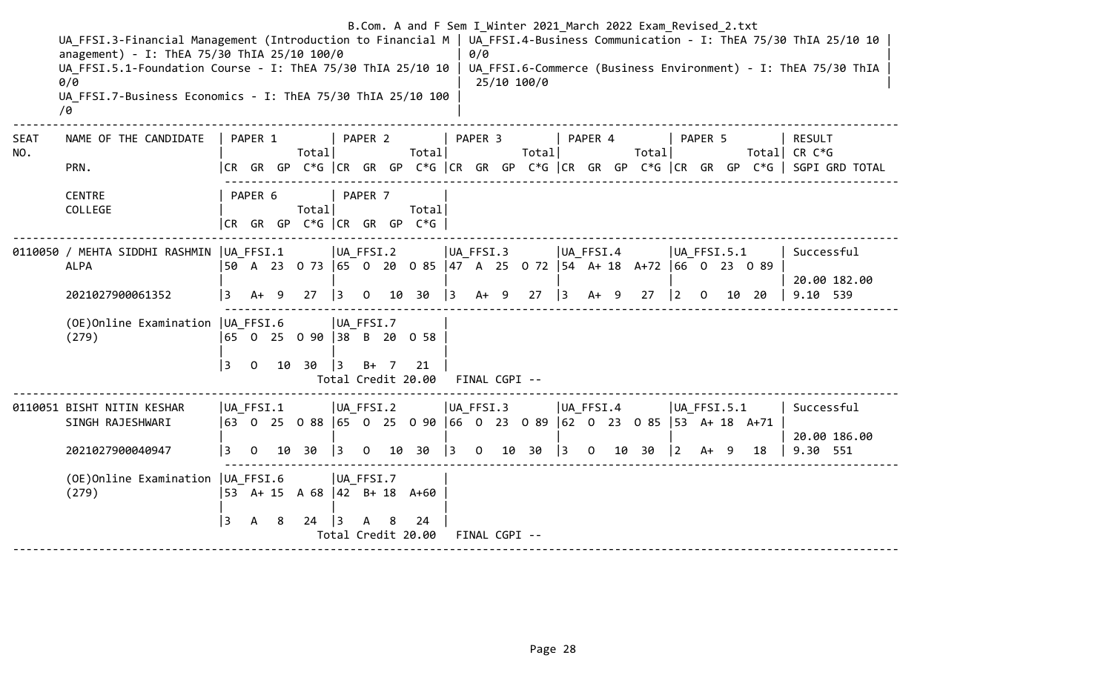|                    | UA FFSI.3-Financial Management (Introduction to Financial M   UA FFSI.4-Business Communication - I: ThEA 75/30 ThIA 25/10 10<br>anagement) - I: ThEA 75/30 ThIA 25/10 100/0<br>UA FFSI.5.1-Foundation Course - I: ThEA 75/30 ThIA 25/10 10   UA FFSI.6-Commerce (Business Environment) - I: ThEA 75/30 ThIA<br>0/0<br>UA FFSI.7-Business Economics - I: ThEA 75/30 ThIA 25/10 100<br>70 |                |              |   |                                    |                                 |              |   |                                        |             | 0/0                         |      | B.Com. A and F Sem I Winter 2021 March 2022 Exam Revised 2.txt<br>25/10 100/0                                                            |           |                                 |        |                                       |                          |       |                                                                                                                   |
|--------------------|-----------------------------------------------------------------------------------------------------------------------------------------------------------------------------------------------------------------------------------------------------------------------------------------------------------------------------------------------------------------------------------------|----------------|--------------|---|------------------------------------|---------------------------------|--------------|---|----------------------------------------|-------------|-----------------------------|------|------------------------------------------------------------------------------------------------------------------------------------------|-----------|---------------------------------|--------|---------------------------------------|--------------------------|-------|-------------------------------------------------------------------------------------------------------------------|
| <b>SEAT</b><br>NO. | NAME OF THE CANDIDATE<br>PRN.                                                                                                                                                                                                                                                                                                                                                           |                | PAPER 1      |   | Total                              |                                 | PAPER 2      |   | Total                                  |             | PAPER 3                     |      | Totall                                                                                                                                   |           | PAPER 4                         | Totall |                                       | PAPER 5                  |       | RESULT<br>Total  CR C*G<br> CR GR GP C*G  CR GR GP C*G  CR GR GP C*G  CR GR GP C*G  CR GR GP C*G   SGPI GRD TOTAL |
|                    | <b>CENTRE</b><br>COLLEGE                                                                                                                                                                                                                                                                                                                                                                |                | PAPER 6      |   | Total                              |                                 | PAPER 7      |   | Total<br> CR GR GP C*G  CR GR GP C*G   |             |                             |      |                                                                                                                                          |           |                                 |        |                                       |                          |       |                                                                                                                   |
|                    | 0110050 / MEHTA SIDDHI RASHMIN   UA FFSI.1<br><b>ALPA</b><br>2021027900061352                                                                                                                                                                                                                                                                                                           | 3              | $A+ 9$       |   | 27                                 | $ UA_FFSI.2 $<br>$\overline{3}$ | $\mathbf{O}$ |   | 10 30                                  | $ 3\rangle$ | UA FFSI.3                   | A+ 9 | 50 A 23 0 73 65 0 20 0 85 47 A 25 0 72 54 A+ 18 A+72 66 0 23 0 89<br>27                                                                  | $\vert$ 3 | UA FFSI.4<br>$A+ 9$             | 27     | $\begin{vmatrix} 2 & 0 \end{vmatrix}$ | $ UA$ FFSI.5.1           | 10 20 | Successful<br>20.00 182.00<br>9.10 539                                                                            |
|                    | (OE) Online Examination   UA FFSI.6<br>(279)                                                                                                                                                                                                                                                                                                                                            | 3              | $\mathsf{O}$ |   | 65 0 25 0 90 38 B 20 0 58<br>10 30 | UA_FFSI.7<br>$\vert$ 3          | $B+ 7$       |   | 21<br>Total Credit 20.00 FINAL CGPI -- |             |                             |      |                                                                                                                                          |           |                                 |        |                                       |                          |       |                                                                                                                   |
|                    | 0110051 BISHT NITIN KESHAR<br>SINGH RAJESHWARI<br>2021027900040947                                                                                                                                                                                                                                                                                                                      | UA FFSI.1<br>3 | $\mathbf 0$  |   | 10 30                              | $ UA_FFSI.2 $<br>$ 3\rangle$    | $\mathbf{0}$ |   | 10 30                                  | $ 3\rangle$ | UA_FFSI.3<br>$\overline{0}$ |      | 63    0    25    0   88    65     0    25     0   90   66    0    23     0  89   62    0    23    0   85   53    A+  18    A+71<br>10 30 | $\vert$ 3 | $ UA_FFSI.4 $<br>$\overline{0}$ | 10 30  | $\vert$ 2                             | $ UA$ FFSI.5.1<br>$A+ 9$ | 18    | Successful<br>20.00 186.00<br>9.30 551                                                                            |
|                    | (OE) Online Examination   UA FFSI.6<br>(279)                                                                                                                                                                                                                                                                                                                                            | 3              | $\mathsf{A}$ | 8 | 53 A+ 15 A 68 42 B+ 18 A+60<br>24  | $ UA_FFSI.7$<br>$\overline{3}$  | A            | 8 | 24<br>Total Credit 20.00               |             | FINAL CGPI --               |      |                                                                                                                                          |           |                                 |        |                                       |                          |       |                                                                                                                   |